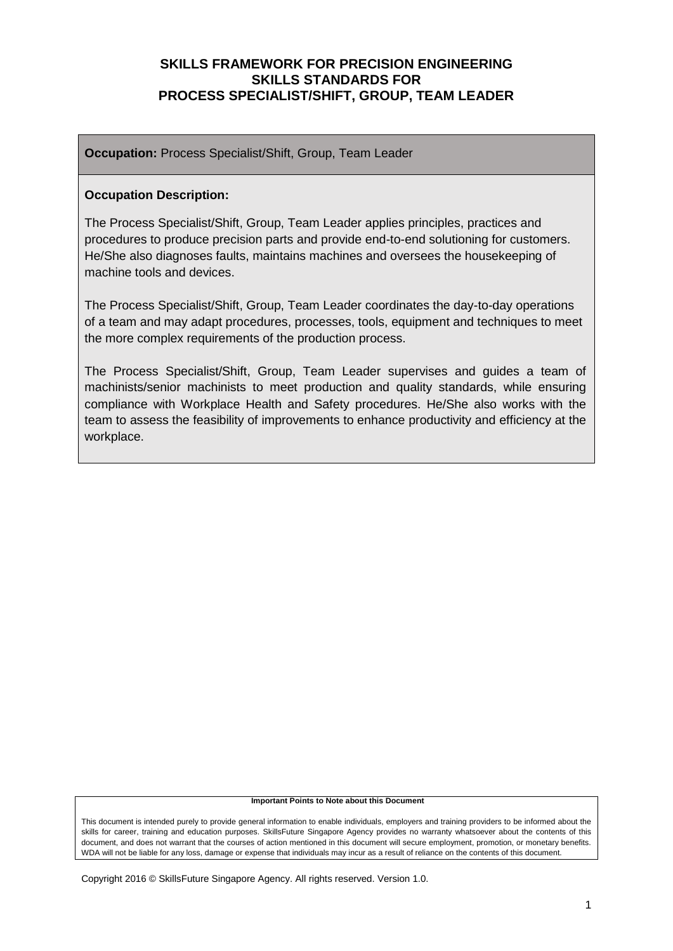**Occupation:** Process Specialist/Shift, Group, Team Leader

#### **Occupation Description:**

The Process Specialist/Shift, Group, Team Leader applies principles, practices and procedures to produce precision parts and provide end-to-end solutioning for customers. He/She also diagnoses faults, maintains machines and oversees the housekeeping of machine tools and devices.

The Process Specialist/Shift, Group, Team Leader coordinates the day-to-day operations of a team and may adapt procedures, processes, tools, equipment and techniques to meet the more complex requirements of the production process.

The Process Specialist/Shift, Group, Team Leader supervises and guides a team of machinists/senior machinists to meet production and quality standards, while ensuring compliance with Workplace Health and Safety procedures. He/She also works with the team to assess the feasibility of improvements to enhance productivity and efficiency at the workplace.

#### **Important Points to Note about this Document**

This document is intended purely to provide general information to enable individuals, employers and training providers to be informed about the skills for career, training and education purposes. SkillsFuture Singapore Agency provides no warranty whatsoever about the contents of this document, and does not warrant that the courses of action mentioned in this document will secure employment, promotion, or monetary benefits. WDA will not be liable for any loss, damage or expense that individuals may incur as a result of reliance on the contents of this document.

Copyright 2016 © SkillsFuture Singapore Agency. All rights reserved. Version 1.0.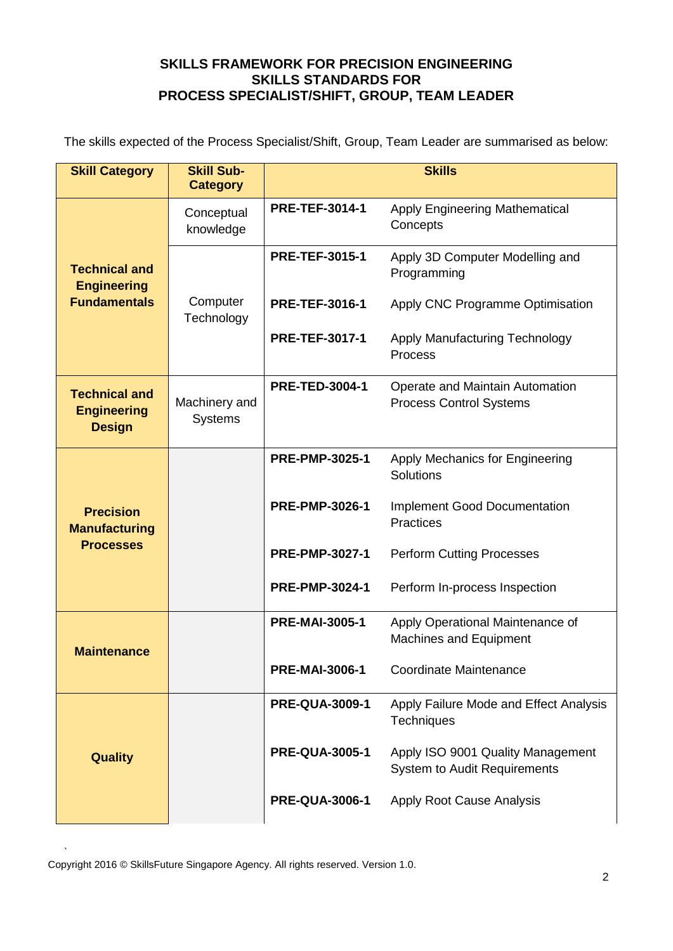The skills expected of the Process Specialist/Shift, Group, Team Leader are summarised as below:

| <b>Skill Category</b>                                        | <b>Skill Sub-</b><br><b>Category</b> |                       | <b>Skills</b>                                                            |
|--------------------------------------------------------------|--------------------------------------|-----------------------|--------------------------------------------------------------------------|
|                                                              | Conceptual<br>knowledge              | <b>PRE-TEF-3014-1</b> | <b>Apply Engineering Mathematical</b><br>Concepts                        |
| <b>Technical and</b><br><b>Engineering</b>                   |                                      | <b>PRE-TEF-3015-1</b> | Apply 3D Computer Modelling and<br>Programming                           |
| <b>Fundamentals</b>                                          | Computer<br>Technology               | <b>PRE-TEF-3016-1</b> | Apply CNC Programme Optimisation                                         |
|                                                              |                                      | <b>PRE-TEF-3017-1</b> | Apply Manufacturing Technology<br><b>Process</b>                         |
| <b>Technical and</b><br><b>Engineering</b><br><b>Design</b>  | Machinery and<br><b>Systems</b>      | <b>PRE-TED-3004-1</b> | Operate and Maintain Automation<br><b>Process Control Systems</b>        |
|                                                              |                                      | <b>PRE-PMP-3025-1</b> | Apply Mechanics for Engineering<br>Solutions                             |
| <b>Precision</b><br><b>Manufacturing</b><br><b>Processes</b> |                                      | <b>PRE-PMP-3026-1</b> | <b>Implement Good Documentation</b><br><b>Practices</b>                  |
|                                                              |                                      | <b>PRE-PMP-3027-1</b> | <b>Perform Cutting Processes</b>                                         |
|                                                              |                                      | <b>PRE-PMP-3024-1</b> | Perform In-process Inspection                                            |
| <b>Maintenance</b>                                           |                                      | <b>PRE-MAI-3005-1</b> | Apply Operational Maintenance of<br><b>Machines and Equipment</b>        |
|                                                              |                                      | <b>PRE-MAI-3006-1</b> | <b>Coordinate Maintenance</b>                                            |
|                                                              |                                      | <b>PRE-QUA-3009-1</b> | Apply Failure Mode and Effect Analysis<br><b>Techniques</b>              |
| <b>Quality</b>                                               |                                      | <b>PRE-QUA-3005-1</b> | Apply ISO 9001 Quality Management<br><b>System to Audit Requirements</b> |
|                                                              |                                      | <b>PRE-QUA-3006-1</b> | Apply Root Cause Analysis                                                |

Copyright 2016 © SkillsFuture Singapore Agency. All rights reserved. Version 1.0.

 $\mathbf{r}$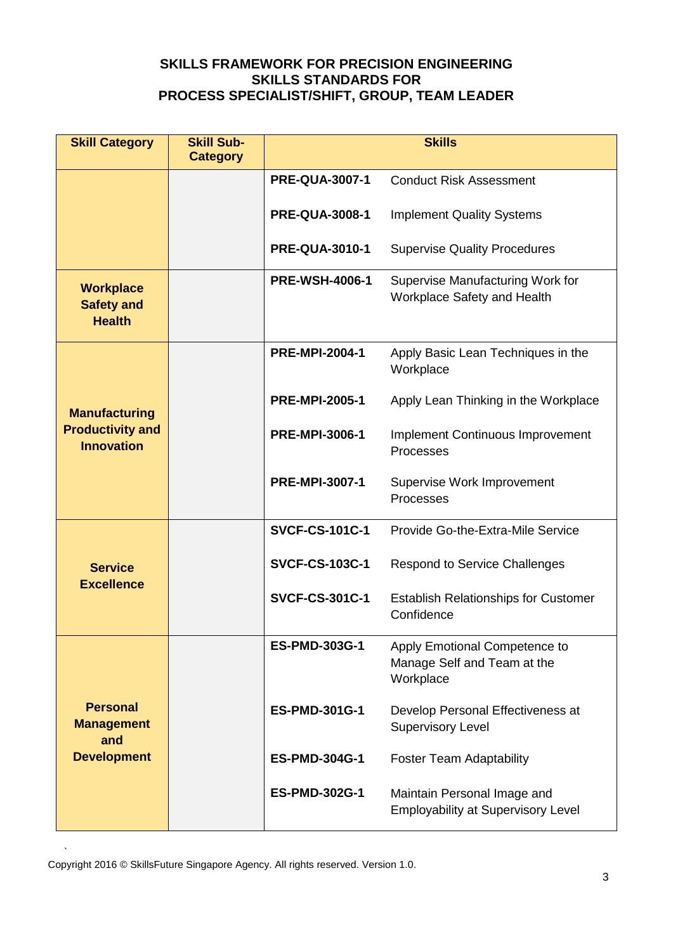| <b>Skill Category</b>                                  | <b>Skill Sub-</b><br><b>Category</b> | <b>Skills</b>         |                                                                           |
|--------------------------------------------------------|--------------------------------------|-----------------------|---------------------------------------------------------------------------|
|                                                        |                                      | <b>PRE-QUA-3007-1</b> | <b>Conduct Risk Assessment</b>                                            |
|                                                        |                                      | <b>PRE-QUA-3008-1</b> | <b>Implement Quality Systems</b>                                          |
|                                                        |                                      | <b>PRE-QUA-3010-1</b> | <b>Supervise Quality Procedures</b>                                       |
| <b>Workplace</b><br><b>Safety and</b><br><b>Health</b> |                                      | <b>PRE-WSH-4006-1</b> | Supervise Manufacturing Work for<br><b>Workplace Safety and Health</b>    |
|                                                        |                                      | <b>PRE-MPI-2004-1</b> | Apply Basic Lean Techniques in the<br>Workplace                           |
| <b>Manufacturing</b>                                   |                                      | <b>PRE-MPI-2005-1</b> | Apply Lean Thinking in the Workplace                                      |
| <b>Productivity and</b><br><b>Innovation</b>           |                                      | <b>PRE-MPI-3006-1</b> | <b>Implement Continuous Improvement</b><br>Processes                      |
|                                                        |                                      | <b>PRE-MPI-3007-1</b> | Supervise Work Improvement<br>Processes                                   |
|                                                        |                                      | <b>SVCF-CS-101C-1</b> | Provide Go-the-Extra-Mile Service                                         |
| <b>Service</b><br><b>Excellence</b>                    |                                      | <b>SVCF-CS-103C-1</b> | <b>Respond to Service Challenges</b>                                      |
|                                                        |                                      | <b>SVCF-CS-301C-1</b> | <b>Establish Relationships for Customer</b><br>Confidence                 |
|                                                        |                                      | <b>ES-PMD-303G-1</b>  | Apply Emotional Competence to<br>Manage Self and Team at the<br>Workplace |
| <b>Personal</b><br><b>Management</b><br>and            |                                      | <b>ES-PMD-301G-1</b>  | Develop Personal Effectiveness at<br><b>Supervisory Level</b>             |
| <b>Development</b>                                     |                                      | <b>ES-PMD-304G-1</b>  | <b>Foster Team Adaptability</b>                                           |
|                                                        |                                      | <b>ES-PMD-302G-1</b>  | Maintain Personal Image and<br><b>Employability at Supervisory Level</b>  |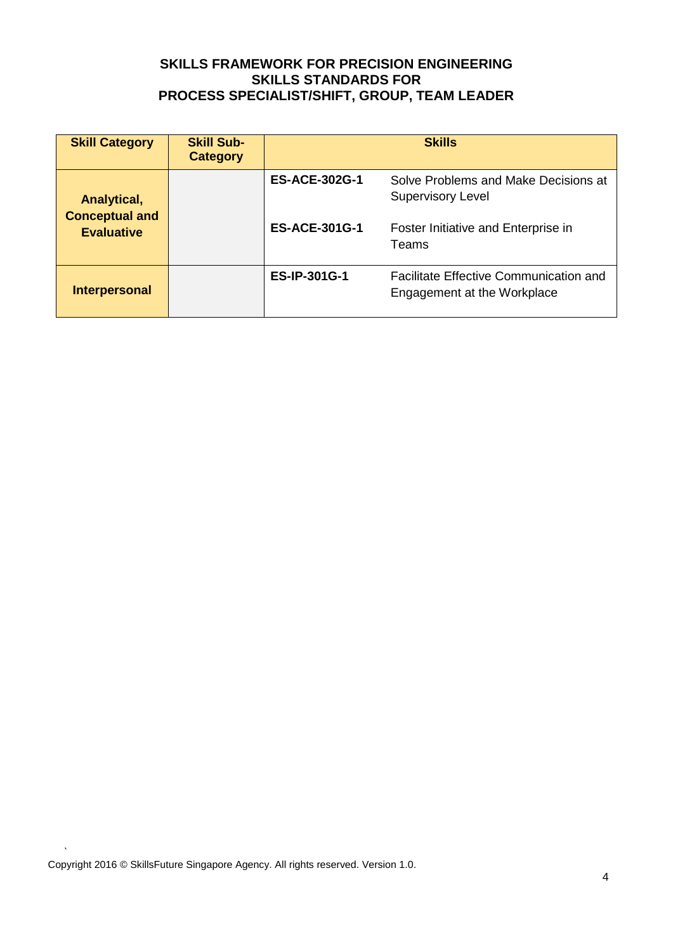| <b>Skill Category</b>                      | <b>Skill Sub-</b><br><b>Category</b> | <b>Skills</b>        |                                                                              |
|--------------------------------------------|--------------------------------------|----------------------|------------------------------------------------------------------------------|
| <b>Analytical,</b>                         |                                      | <b>ES-ACE-302G-1</b> | Solve Problems and Make Decisions at<br><b>Supervisory Level</b>             |
| <b>Conceptual and</b><br><b>Evaluative</b> |                                      | <b>ES-ACE-301G-1</b> | Foster Initiative and Enterprise in<br>Teams                                 |
| Interpersonal                              |                                      | <b>ES-IP-301G-1</b>  | <b>Facilitate Effective Communication and</b><br>Engagement at the Workplace |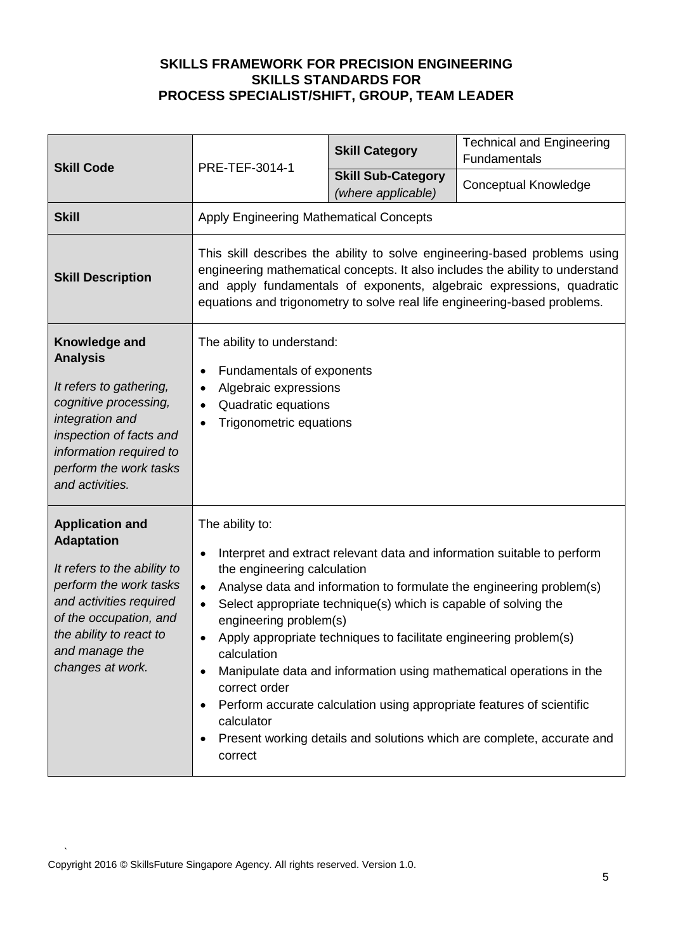| <b>Skill Code</b>                                                                                                                                                                                                          | PRE-TEF-3014-1                                                                                                                                                                                                                                                                                                                                                                                                                                                                                                                                                                                                                                                                                 | <b>Skill Category</b>                           | <b>Technical and Engineering</b><br>Fundamentals |
|----------------------------------------------------------------------------------------------------------------------------------------------------------------------------------------------------------------------------|------------------------------------------------------------------------------------------------------------------------------------------------------------------------------------------------------------------------------------------------------------------------------------------------------------------------------------------------------------------------------------------------------------------------------------------------------------------------------------------------------------------------------------------------------------------------------------------------------------------------------------------------------------------------------------------------|-------------------------------------------------|--------------------------------------------------|
|                                                                                                                                                                                                                            |                                                                                                                                                                                                                                                                                                                                                                                                                                                                                                                                                                                                                                                                                                | <b>Skill Sub-Category</b><br>(where applicable) | <b>Conceptual Knowledge</b>                      |
| <b>Skill</b>                                                                                                                                                                                                               | Apply Engineering Mathematical Concepts                                                                                                                                                                                                                                                                                                                                                                                                                                                                                                                                                                                                                                                        |                                                 |                                                  |
| <b>Skill Description</b>                                                                                                                                                                                                   | This skill describes the ability to solve engineering-based problems using<br>engineering mathematical concepts. It also includes the ability to understand<br>and apply fundamentals of exponents, algebraic expressions, quadratic<br>equations and trigonometry to solve real life engineering-based problems.                                                                                                                                                                                                                                                                                                                                                                              |                                                 |                                                  |
| Knowledge and<br><b>Analysis</b><br>It refers to gathering,<br>cognitive processing,<br>integration and<br>inspection of facts and<br>information required to<br>perform the work tasks<br>and activities.                 | The ability to understand:<br>Fundamentals of exponents<br>Algebraic expressions<br>$\bullet$<br>Quadratic equations<br>Trigonometric equations<br>$\bullet$                                                                                                                                                                                                                                                                                                                                                                                                                                                                                                                                   |                                                 |                                                  |
| <b>Application and</b><br><b>Adaptation</b><br>It refers to the ability to<br>perform the work tasks<br>and activities required<br>of the occupation, and<br>the ability to react to<br>and manage the<br>changes at work. | The ability to:<br>Interpret and extract relevant data and information suitable to perform<br>$\bullet$<br>the engineering calculation<br>Analyse data and information to formulate the engineering problem(s)<br>$\bullet$<br>Select appropriate technique(s) which is capable of solving the<br>$\bullet$<br>engineering problem(s)<br>Apply appropriate techniques to facilitate engineering problem(s)<br>calculation<br>Manipulate data and information using mathematical operations in the<br>correct order<br>Perform accurate calculation using appropriate features of scientific<br>calculator<br>Present working details and solutions which are complete, accurate and<br>correct |                                                 |                                                  |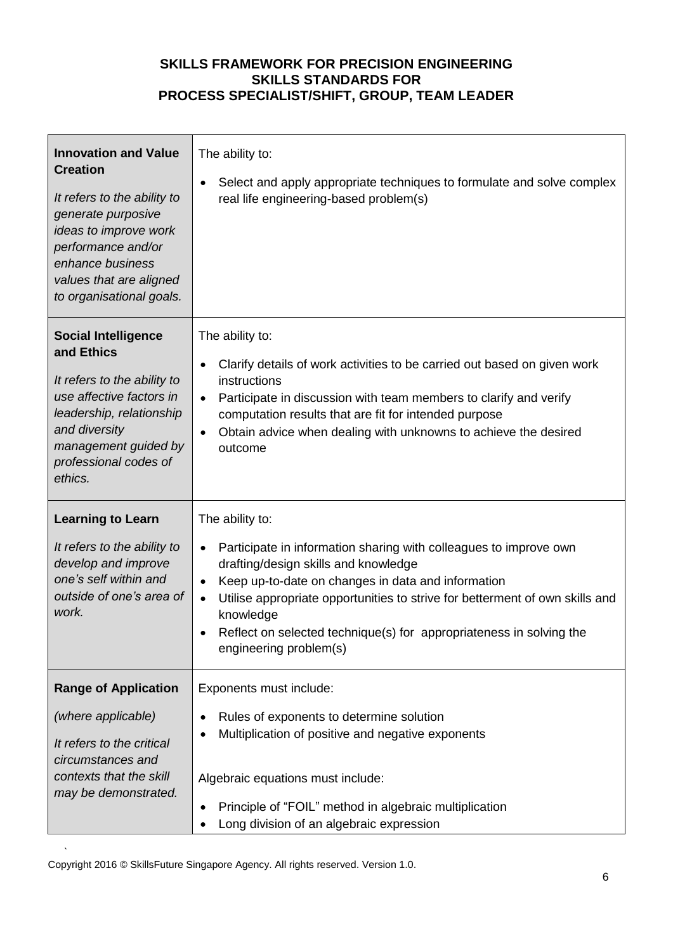| <b>Innovation and Value</b><br><b>Creation</b><br>It refers to the ability to<br>generate purposive<br>ideas to improve work<br>performance and/or<br>enhance business<br>values that are aligned<br>to organisational goals. | The ability to:<br>Select and apply appropriate techniques to formulate and solve complex<br>$\bullet$<br>real life engineering-based problem(s)                                                                                                                                                                                                                                                                        |
|-------------------------------------------------------------------------------------------------------------------------------------------------------------------------------------------------------------------------------|-------------------------------------------------------------------------------------------------------------------------------------------------------------------------------------------------------------------------------------------------------------------------------------------------------------------------------------------------------------------------------------------------------------------------|
| <b>Social Intelligence</b><br>and Ethics<br>It refers to the ability to<br>use affective factors in<br>leadership, relationship<br>and diversity<br>management guided by<br>professional codes of<br>ethics.                  | The ability to:<br>Clarify details of work activities to be carried out based on given work<br>$\bullet$<br>instructions<br>Participate in discussion with team members to clarify and verify<br>$\bullet$<br>computation results that are fit for intended purpose<br>Obtain advice when dealing with unknowns to achieve the desired<br>$\bullet$<br>outcome                                                          |
| <b>Learning to Learn</b><br>It refers to the ability to<br>develop and improve<br>one's self within and<br>outside of one's area of<br>work.                                                                                  | The ability to:<br>Participate in information sharing with colleagues to improve own<br>$\bullet$<br>drafting/design skills and knowledge<br>Keep up-to-date on changes in data and information<br>$\bullet$<br>Utilise appropriate opportunities to strive for betterment of own skills and<br>$\bullet$<br>knowledge<br>Reflect on selected technique(s) for appropriateness in solving the<br>engineering problem(s) |
| <b>Range of Application</b><br>(where applicable)<br>It refers to the critical<br>circumstances and<br>contexts that the skill<br>may be demonstrated.                                                                        | Exponents must include:<br>Rules of exponents to determine solution<br>Multiplication of positive and negative exponents<br>Algebraic equations must include:<br>Principle of "FOIL" method in algebraic multiplication<br>Long division of an algebraic expression                                                                                                                                                     |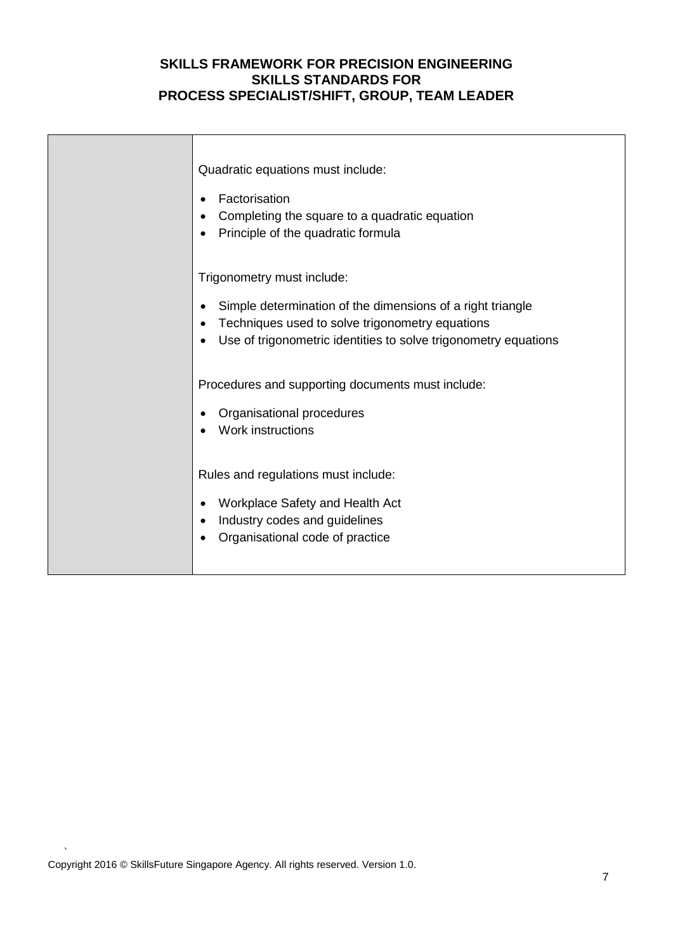| Quadratic equations must include:                                                                                                                        |
|----------------------------------------------------------------------------------------------------------------------------------------------------------|
| Factorisation<br>Completing the square to a quadratic equation<br>Principle of the quadratic formula                                                     |
| Trigonometry must include:<br>Simple determination of the dimensions of a right triangle<br>Techniques used to solve trigonometry equations<br>$\bullet$ |
| Use of trigonometric identities to solve trigonometry equations<br>٠                                                                                     |
| Procedures and supporting documents must include:                                                                                                        |
| Organisational procedures<br>Work instructions                                                                                                           |
| Rules and regulations must include:                                                                                                                      |
| Workplace Safety and Health Act<br>Industry codes and guidelines                                                                                         |
| Organisational code of practice                                                                                                                          |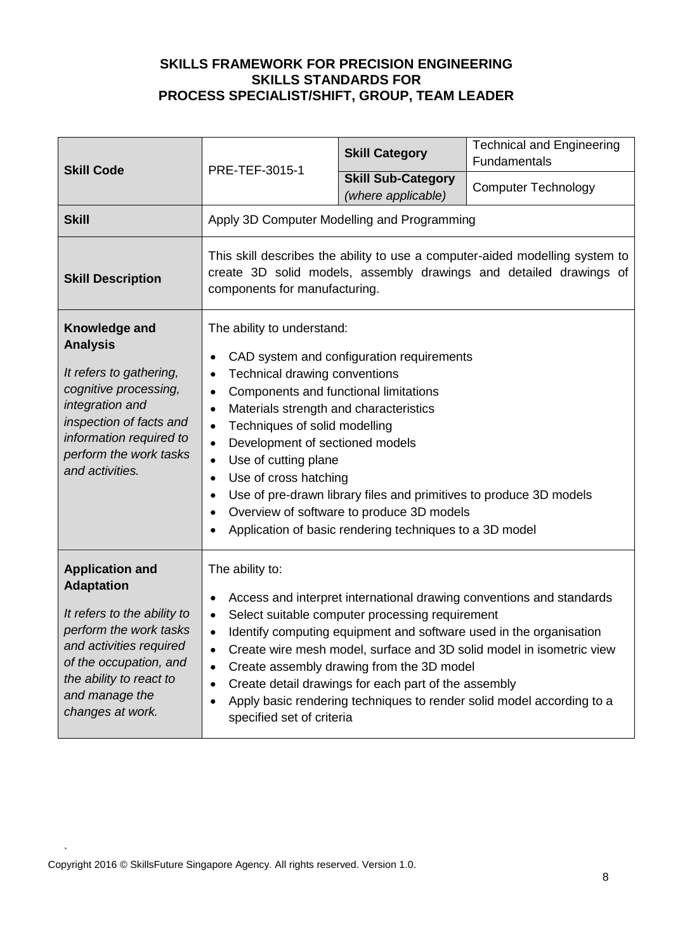| <b>Skill Code</b>                                                                                                                                                                                                          | PRE-TEF-3015-1                                                                                                                                                                                                                                                                                                                                                                                                                                                                                                                                                                                                      | <b>Skill Category</b>                           | <b>Technical and Engineering</b><br>Fundamentals |
|----------------------------------------------------------------------------------------------------------------------------------------------------------------------------------------------------------------------------|---------------------------------------------------------------------------------------------------------------------------------------------------------------------------------------------------------------------------------------------------------------------------------------------------------------------------------------------------------------------------------------------------------------------------------------------------------------------------------------------------------------------------------------------------------------------------------------------------------------------|-------------------------------------------------|--------------------------------------------------|
|                                                                                                                                                                                                                            |                                                                                                                                                                                                                                                                                                                                                                                                                                                                                                                                                                                                                     | <b>Skill Sub-Category</b><br>(where applicable) | <b>Computer Technology</b>                       |
| <b>Skill</b>                                                                                                                                                                                                               | Apply 3D Computer Modelling and Programming                                                                                                                                                                                                                                                                                                                                                                                                                                                                                                                                                                         |                                                 |                                                  |
| <b>Skill Description</b>                                                                                                                                                                                                   | This skill describes the ability to use a computer-aided modelling system to<br>create 3D solid models, assembly drawings and detailed drawings of<br>components for manufacturing.                                                                                                                                                                                                                                                                                                                                                                                                                                 |                                                 |                                                  |
| Knowledge and<br><b>Analysis</b><br>It refers to gathering,<br>cognitive processing,<br>integration and<br>inspection of facts and<br>information required to<br>perform the work tasks<br>and activities.                 | The ability to understand:<br>CAD system and configuration requirements<br>$\bullet$<br>Technical drawing conventions<br>$\bullet$<br>Components and functional limitations<br>$\bullet$<br>Materials strength and characteristics<br>$\bullet$<br>Techniques of solid modelling<br>$\bullet$<br>Development of sectioned models<br>$\bullet$<br>Use of cutting plane<br>$\bullet$<br>Use of cross hatching<br>$\bullet$<br>Use of pre-drawn library files and primitives to produce 3D models<br>Overview of software to produce 3D models<br>$\bullet$<br>Application of basic rendering techniques to a 3D model |                                                 |                                                  |
| <b>Application and</b><br><b>Adaptation</b><br>It refers to the ability to<br>perform the work tasks<br>and activities required<br>of the occupation, and<br>the ability to react to<br>and manage the<br>changes at work. | The ability to:<br>Access and interpret international drawing conventions and standards<br>$\bullet$<br>Select suitable computer processing requirement<br>$\bullet$<br>Identify computing equipment and software used in the organisation<br>$\bullet$<br>Create wire mesh model, surface and 3D solid model in isometric view<br>Create assembly drawing from the 3D model<br>$\bullet$<br>Create detail drawings for each part of the assembly<br>Apply basic rendering techniques to render solid model according to a<br>$\bullet$<br>specified set of criteria                                                |                                                 |                                                  |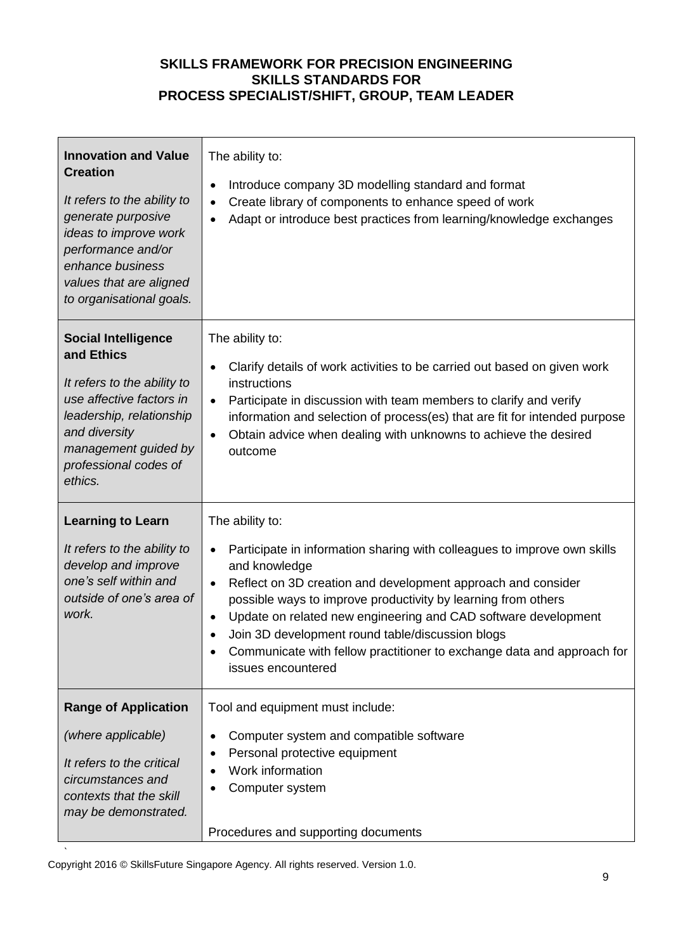| <b>Innovation and Value</b><br><b>Creation</b><br>It refers to the ability to<br>generate purposive<br>ideas to improve work<br>performance and/or<br>enhance business<br>values that are aligned<br>to organisational goals. | The ability to:<br>Introduce company 3D modelling standard and format<br>$\bullet$<br>Create library of components to enhance speed of work<br>Adapt or introduce best practices from learning/knowledge exchanges                                                                                                                                                                                                                                                                                         |
|-------------------------------------------------------------------------------------------------------------------------------------------------------------------------------------------------------------------------------|------------------------------------------------------------------------------------------------------------------------------------------------------------------------------------------------------------------------------------------------------------------------------------------------------------------------------------------------------------------------------------------------------------------------------------------------------------------------------------------------------------|
| <b>Social Intelligence</b><br>and Ethics<br>It refers to the ability to<br>use affective factors in<br>leadership, relationship<br>and diversity<br>management guided by<br>professional codes of<br>ethics.                  | The ability to:<br>Clarify details of work activities to be carried out based on given work<br>$\bullet$<br>instructions<br>Participate in discussion with team members to clarify and verify<br>$\bullet$<br>information and selection of process(es) that are fit for intended purpose<br>Obtain advice when dealing with unknowns to achieve the desired<br>$\bullet$<br>outcome                                                                                                                        |
| <b>Learning to Learn</b><br>It refers to the ability to<br>develop and improve<br>one's self within and<br>outside of one's area of<br>work.                                                                                  | The ability to:<br>Participate in information sharing with colleagues to improve own skills<br>$\bullet$<br>and knowledge<br>Reflect on 3D creation and development approach and consider<br>$\bullet$<br>possible ways to improve productivity by learning from others<br>Update on related new engineering and CAD software development<br>$\bullet$<br>Join 3D development round table/discussion blogs<br>Communicate with fellow practitioner to exchange data and approach for<br>issues encountered |
| <b>Range of Application</b><br>(where applicable)<br>It refers to the critical<br>circumstances and<br>contexts that the skill<br>may be demonstrated.                                                                        | Tool and equipment must include:<br>Computer system and compatible software<br>$\bullet$<br>Personal protective equipment<br>Work information<br>Computer system<br>Procedures and supporting documents                                                                                                                                                                                                                                                                                                    |

Copyright 2016 © SkillsFuture Singapore Agency. All rights reserved. Version 1.0.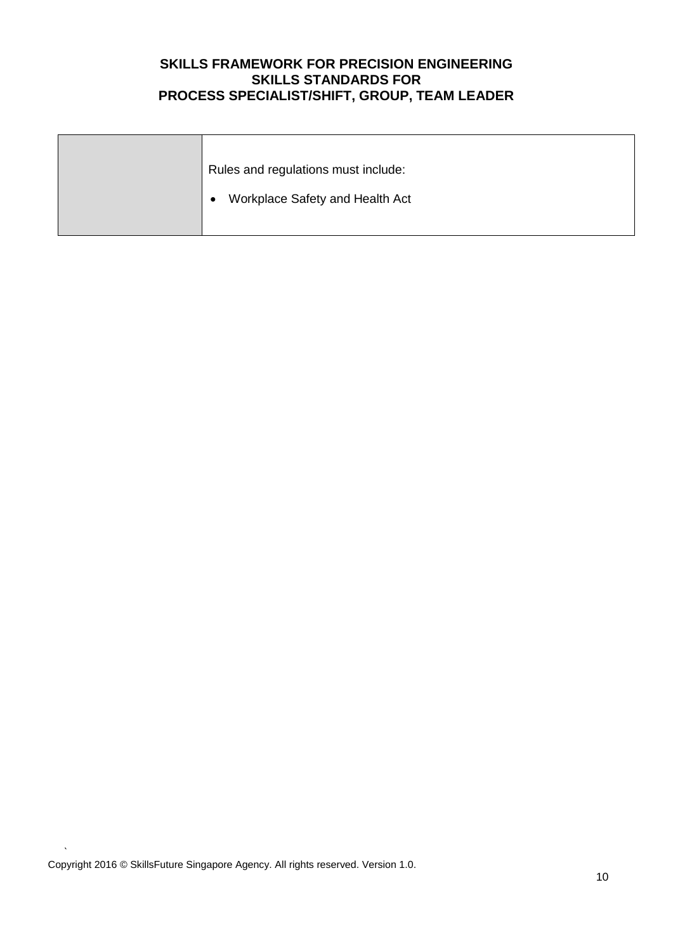| Rules and regulations must include:          |
|----------------------------------------------|
| Workplace Safety and Health Act<br>$\bullet$ |
|                                              |

`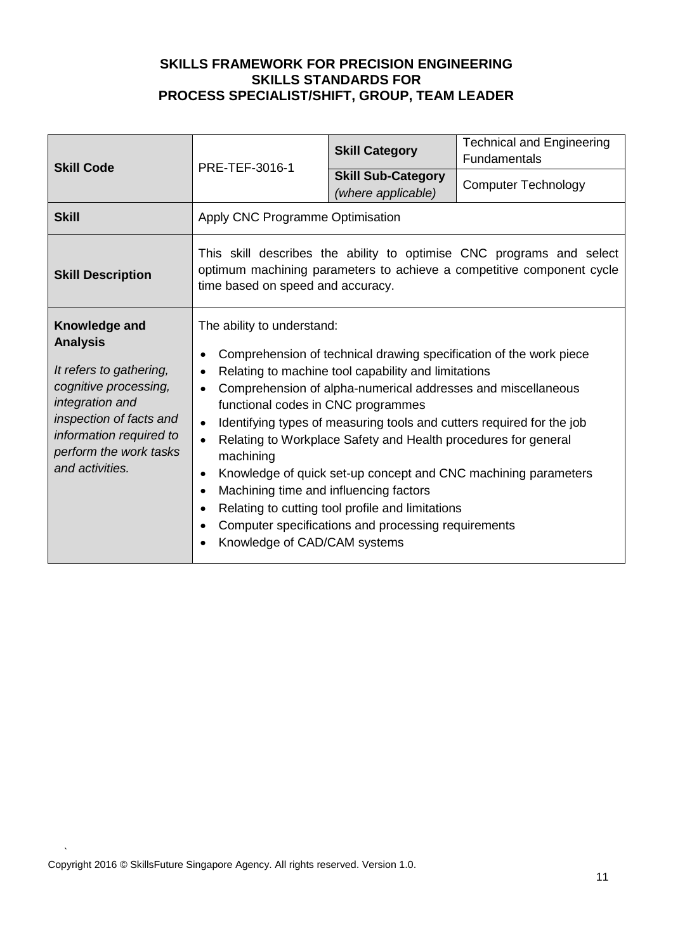| <b>Skill Code</b>                                                                                                                                                                                          | PRE-TEF-3016-1                                                                                                                                                                                                                                                                                                                                                                                                                                                                                                                                                                                                                                                                                                                                                          | <b>Skill Category</b>                           | <b>Technical and Engineering</b><br><b>Fundamentals</b>                                                                                       |
|------------------------------------------------------------------------------------------------------------------------------------------------------------------------------------------------------------|-------------------------------------------------------------------------------------------------------------------------------------------------------------------------------------------------------------------------------------------------------------------------------------------------------------------------------------------------------------------------------------------------------------------------------------------------------------------------------------------------------------------------------------------------------------------------------------------------------------------------------------------------------------------------------------------------------------------------------------------------------------------------|-------------------------------------------------|-----------------------------------------------------------------------------------------------------------------------------------------------|
|                                                                                                                                                                                                            |                                                                                                                                                                                                                                                                                                                                                                                                                                                                                                                                                                                                                                                                                                                                                                         | <b>Skill Sub-Category</b><br>(where applicable) | <b>Computer Technology</b>                                                                                                                    |
| <b>Skill</b>                                                                                                                                                                                               | Apply CNC Programme Optimisation                                                                                                                                                                                                                                                                                                                                                                                                                                                                                                                                                                                                                                                                                                                                        |                                                 |                                                                                                                                               |
| <b>Skill Description</b>                                                                                                                                                                                   | time based on speed and accuracy.                                                                                                                                                                                                                                                                                                                                                                                                                                                                                                                                                                                                                                                                                                                                       |                                                 | This skill describes the ability to optimise CNC programs and select<br>optimum machining parameters to achieve a competitive component cycle |
| Knowledge and<br><b>Analysis</b><br>It refers to gathering,<br>cognitive processing,<br>integration and<br>inspection of facts and<br>information required to<br>perform the work tasks<br>and activities. | The ability to understand:<br>Comprehension of technical drawing specification of the work piece<br>Relating to machine tool capability and limitations<br>Comprehension of alpha-numerical addresses and miscellaneous<br>$\bullet$<br>functional codes in CNC programmes<br>Identifying types of measuring tools and cutters required for the job<br>$\bullet$<br>Relating to Workplace Safety and Health procedures for general<br>machining<br>Knowledge of quick set-up concept and CNC machining parameters<br>$\bullet$<br>Machining time and influencing factors<br>$\bullet$<br>Relating to cutting tool profile and limitations<br>$\bullet$<br>Computer specifications and processing requirements<br>$\bullet$<br>Knowledge of CAD/CAM systems<br>$\bullet$ |                                                 |                                                                                                                                               |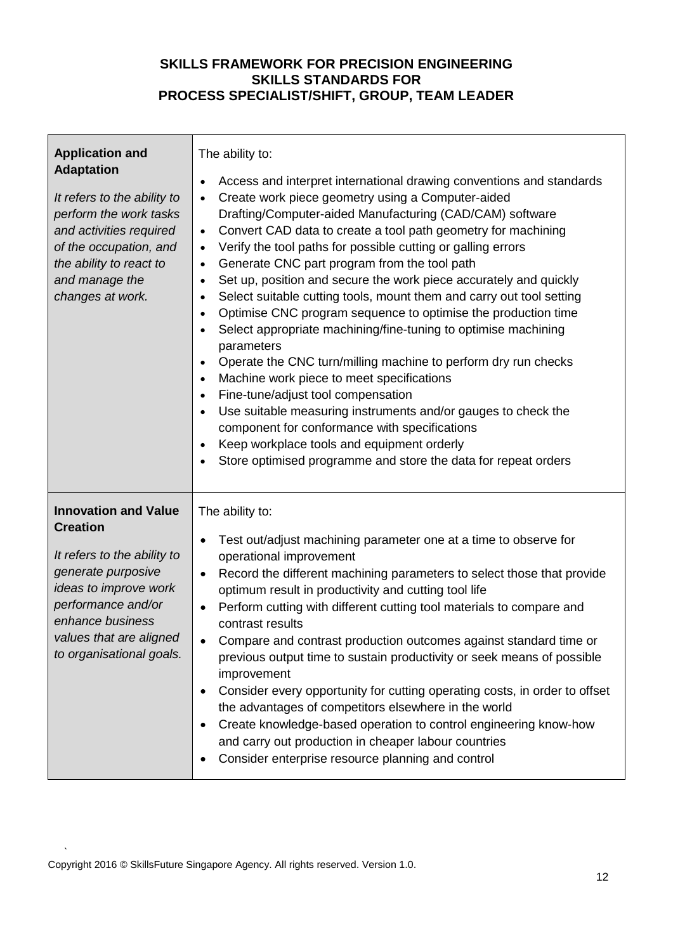| <b>Application and</b><br><b>Adaptation</b><br>It refers to the ability to<br>perform the work tasks<br>and activities required<br>of the occupation, and<br>the ability to react to<br>and manage the<br>changes at work.    | The ability to:<br>Access and interpret international drawing conventions and standards<br>$\bullet$<br>Create work piece geometry using a Computer-aided<br>$\bullet$<br>Drafting/Computer-aided Manufacturing (CAD/CAM) software<br>Convert CAD data to create a tool path geometry for machining<br>$\bullet$<br>Verify the tool paths for possible cutting or galling errors<br>$\bullet$<br>Generate CNC part program from the tool path<br>$\bullet$<br>Set up, position and secure the work piece accurately and quickly<br>$\bullet$<br>Select suitable cutting tools, mount them and carry out tool setting<br>$\bullet$<br>Optimise CNC program sequence to optimise the production time<br>$\bullet$<br>Select appropriate machining/fine-tuning to optimise machining<br>parameters<br>Operate the CNC turn/milling machine to perform dry run checks<br>$\bullet$<br>Machine work piece to meet specifications<br>$\bullet$<br>Fine-tune/adjust tool compensation<br>$\bullet$<br>Use suitable measuring instruments and/or gauges to check the<br>$\bullet$<br>component for conformance with specifications<br>Keep workplace tools and equipment orderly<br>$\bullet$<br>Store optimised programme and store the data for repeat orders |
|-------------------------------------------------------------------------------------------------------------------------------------------------------------------------------------------------------------------------------|---------------------------------------------------------------------------------------------------------------------------------------------------------------------------------------------------------------------------------------------------------------------------------------------------------------------------------------------------------------------------------------------------------------------------------------------------------------------------------------------------------------------------------------------------------------------------------------------------------------------------------------------------------------------------------------------------------------------------------------------------------------------------------------------------------------------------------------------------------------------------------------------------------------------------------------------------------------------------------------------------------------------------------------------------------------------------------------------------------------------------------------------------------------------------------------------------------------------------------------------------------|
| <b>Innovation and Value</b><br><b>Creation</b><br>It refers to the ability to<br>generate purposive<br>ideas to improve work<br>performance and/or<br>enhance business<br>values that are aligned<br>to organisational goals. | The ability to:<br>Test out/adjust machining parameter one at a time to observe for<br>$\bullet$<br>operational improvement<br>Record the different machining parameters to select those that provide<br>$\bullet$<br>optimum result in productivity and cutting tool life<br>Perform cutting with different cutting tool materials to compare and<br>$\bullet$<br>contrast results<br>Compare and contrast production outcomes against standard time or<br>previous output time to sustain productivity or seek means of possible<br>improvement<br>Consider every opportunity for cutting operating costs, in order to offset<br>the advantages of competitors elsewhere in the world<br>Create knowledge-based operation to control engineering know-how<br>and carry out production in cheaper labour countries<br>Consider enterprise resource planning and control                                                                                                                                                                                                                                                                                                                                                                                |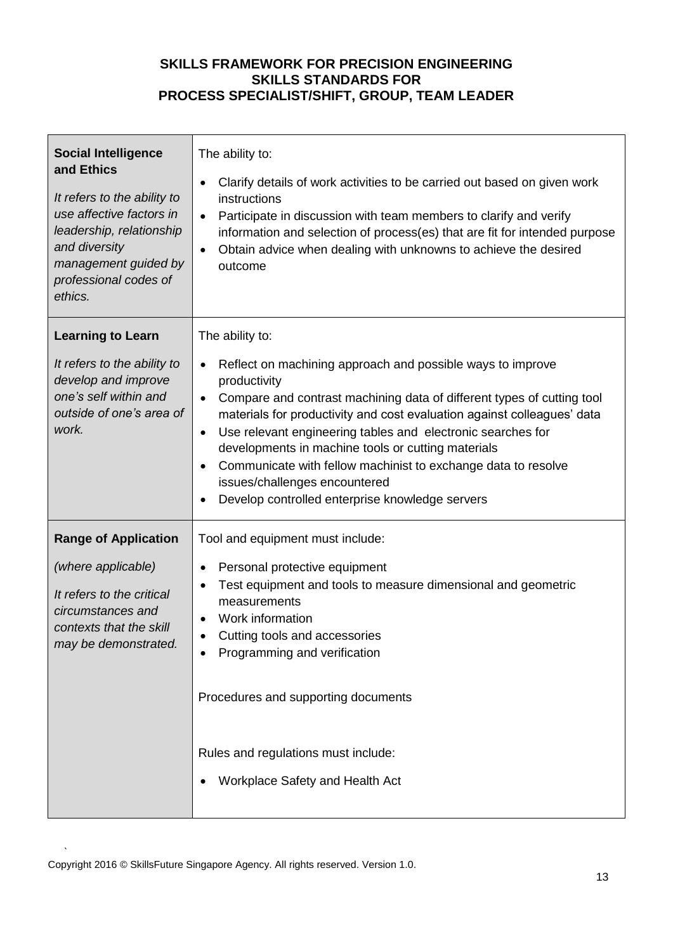| <b>Social Intelligence</b><br>and Ethics<br>It refers to the ability to<br>use affective factors in<br>leadership, relationship<br>and diversity<br>management guided by<br>professional codes of<br>ethics. | The ability to:<br>Clarify details of work activities to be carried out based on given work<br>$\bullet$<br>instructions<br>Participate in discussion with team members to clarify and verify<br>$\bullet$<br>information and selection of process(es) that are fit for intended purpose<br>Obtain advice when dealing with unknowns to achieve the desired<br>$\bullet$<br>outcome                                                                                                                                                                                              |
|--------------------------------------------------------------------------------------------------------------------------------------------------------------------------------------------------------------|----------------------------------------------------------------------------------------------------------------------------------------------------------------------------------------------------------------------------------------------------------------------------------------------------------------------------------------------------------------------------------------------------------------------------------------------------------------------------------------------------------------------------------------------------------------------------------|
| <b>Learning to Learn</b><br>It refers to the ability to<br>develop and improve<br>one's self within and<br>outside of one's area of<br>work.                                                                 | The ability to:<br>Reflect on machining approach and possible ways to improve<br>$\bullet$<br>productivity<br>Compare and contrast machining data of different types of cutting tool<br>$\bullet$<br>materials for productivity and cost evaluation against colleagues' data<br>Use relevant engineering tables and electronic searches for<br>$\bullet$<br>developments in machine tools or cutting materials<br>Communicate with fellow machinist to exchange data to resolve<br>$\bullet$<br>issues/challenges encountered<br>Develop controlled enterprise knowledge servers |
| <b>Range of Application</b><br>(where applicable)<br>It refers to the critical<br>circumstances and<br>contexts that the skill<br>may be demonstrated.                                                       | Tool and equipment must include:<br>Personal protective equipment<br>$\bullet$<br>Test equipment and tools to measure dimensional and geometric<br>measurements<br>Work information<br>Cutting tools and accessories<br>Programming and verification<br>Procedures and supporting documents<br>Rules and regulations must include:<br>Workplace Safety and Health Act                                                                                                                                                                                                            |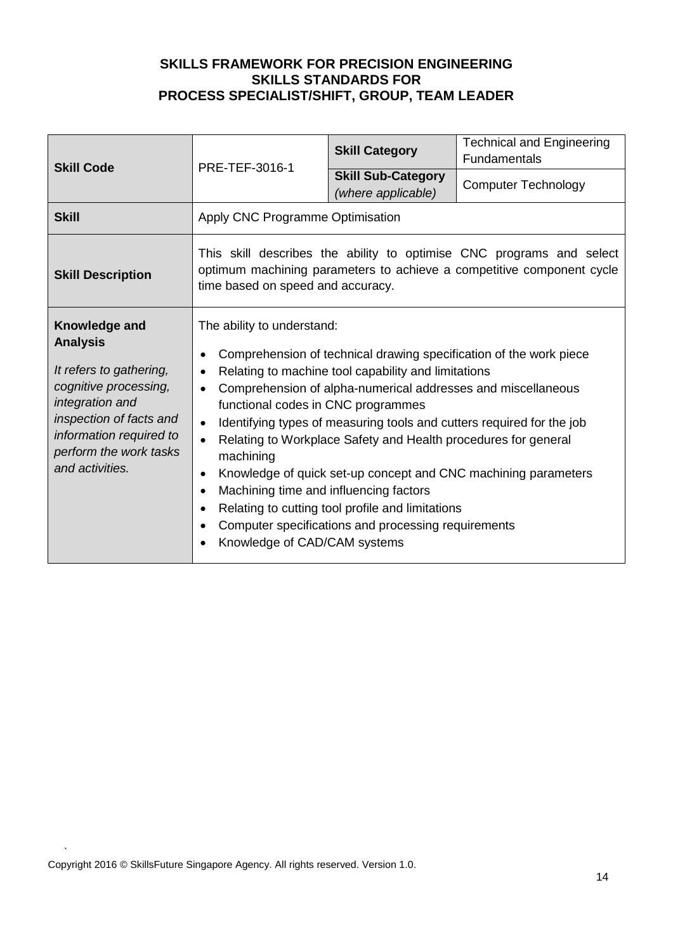| <b>Skill Code</b>                                                                                                                                                                                          | PRE-TEF-3016-1                                                                                                                                                                                                                                                                                                                                                                                                                                                                                                                                                                                                                                                                                                                                                                       | <b>Skill Category</b>                           | <b>Technical and Engineering</b><br><b>Fundamentals</b> |
|------------------------------------------------------------------------------------------------------------------------------------------------------------------------------------------------------------|--------------------------------------------------------------------------------------------------------------------------------------------------------------------------------------------------------------------------------------------------------------------------------------------------------------------------------------------------------------------------------------------------------------------------------------------------------------------------------------------------------------------------------------------------------------------------------------------------------------------------------------------------------------------------------------------------------------------------------------------------------------------------------------|-------------------------------------------------|---------------------------------------------------------|
|                                                                                                                                                                                                            |                                                                                                                                                                                                                                                                                                                                                                                                                                                                                                                                                                                                                                                                                                                                                                                      | <b>Skill Sub-Category</b><br>(where applicable) | <b>Computer Technology</b>                              |
| <b>Skill</b>                                                                                                                                                                                               | Apply CNC Programme Optimisation                                                                                                                                                                                                                                                                                                                                                                                                                                                                                                                                                                                                                                                                                                                                                     |                                                 |                                                         |
| <b>Skill Description</b>                                                                                                                                                                                   | This skill describes the ability to optimise CNC programs and select<br>optimum machining parameters to achieve a competitive component cycle<br>time based on speed and accuracy.                                                                                                                                                                                                                                                                                                                                                                                                                                                                                                                                                                                                   |                                                 |                                                         |
| Knowledge and<br><b>Analysis</b><br>It refers to gathering,<br>cognitive processing,<br>integration and<br>inspection of facts and<br>information required to<br>perform the work tasks<br>and activities. | The ability to understand:<br>Comprehension of technical drawing specification of the work piece<br>Relating to machine tool capability and limitations<br>Comprehension of alpha-numerical addresses and miscellaneous<br>$\bullet$<br>functional codes in CNC programmes<br>Identifying types of measuring tools and cutters required for the job<br>$\bullet$<br>Relating to Workplace Safety and Health procedures for general<br>$\bullet$<br>machining<br>Knowledge of quick set-up concept and CNC machining parameters<br>$\bullet$<br>Machining time and influencing factors<br>$\bullet$<br>Relating to cutting tool profile and limitations<br>$\bullet$<br>Computer specifications and processing requirements<br>$\bullet$<br>Knowledge of CAD/CAM systems<br>$\bullet$ |                                                 |                                                         |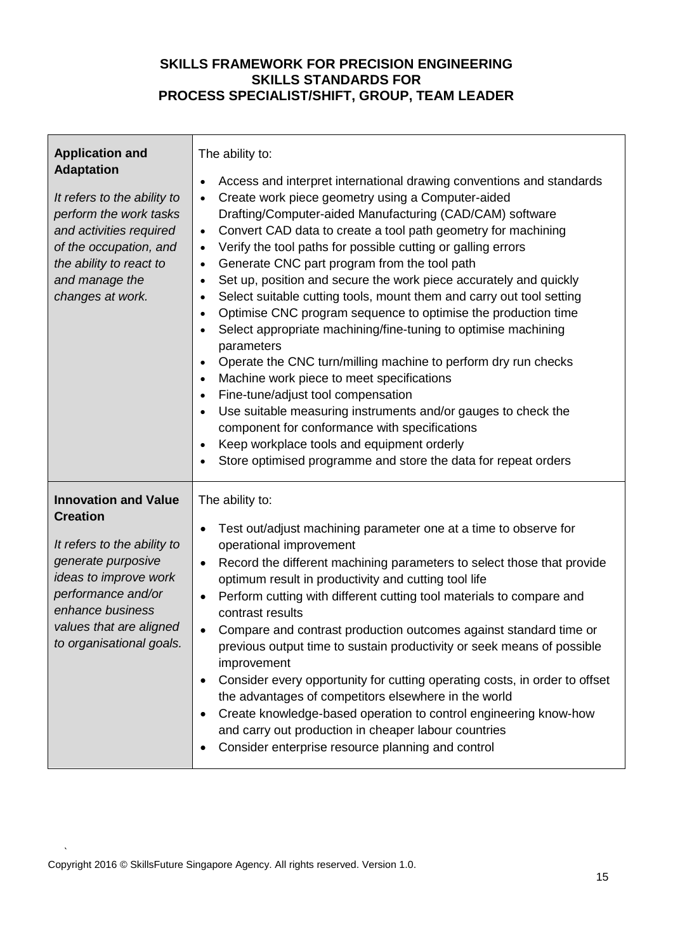| <b>Application and</b><br><b>Adaptation</b><br>It refers to the ability to<br>perform the work tasks<br>and activities required<br>of the occupation, and<br>the ability to react to<br>and manage the<br>changes at work.    | The ability to:<br>Access and interpret international drawing conventions and standards<br>$\bullet$<br>Create work piece geometry using a Computer-aided<br>Drafting/Computer-aided Manufacturing (CAD/CAM) software<br>Convert CAD data to create a tool path geometry for machining<br>$\bullet$<br>Verify the tool paths for possible cutting or galling errors<br>$\bullet$<br>Generate CNC part program from the tool path<br>$\bullet$<br>Set up, position and secure the work piece accurately and quickly<br>$\bullet$<br>Select suitable cutting tools, mount them and carry out tool setting<br>$\bullet$<br>Optimise CNC program sequence to optimise the production time<br>Select appropriate machining/fine-tuning to optimise machining<br>٠<br>parameters<br>Operate the CNC turn/milling machine to perform dry run checks<br>Machine work piece to meet specifications<br>$\bullet$<br>Fine-tune/adjust tool compensation<br>$\bullet$<br>Use suitable measuring instruments and/or gauges to check the<br>$\bullet$<br>component for conformance with specifications<br>Keep workplace tools and equipment orderly<br>$\bullet$<br>Store optimised programme and store the data for repeat orders |
|-------------------------------------------------------------------------------------------------------------------------------------------------------------------------------------------------------------------------------|-----------------------------------------------------------------------------------------------------------------------------------------------------------------------------------------------------------------------------------------------------------------------------------------------------------------------------------------------------------------------------------------------------------------------------------------------------------------------------------------------------------------------------------------------------------------------------------------------------------------------------------------------------------------------------------------------------------------------------------------------------------------------------------------------------------------------------------------------------------------------------------------------------------------------------------------------------------------------------------------------------------------------------------------------------------------------------------------------------------------------------------------------------------------------------------------------------------------------|
| <b>Innovation and Value</b><br><b>Creation</b><br>It refers to the ability to<br>generate purposive<br>ideas to improve work<br>performance and/or<br>enhance business<br>values that are aligned<br>to organisational goals. | The ability to:<br>Test out/adjust machining parameter one at a time to observe for<br>$\bullet$<br>operational improvement<br>Record the different machining parameters to select those that provide<br>$\bullet$<br>optimum result in productivity and cutting tool life<br>Perform cutting with different cutting tool materials to compare and<br>$\bullet$<br>contrast results<br>Compare and contrast production outcomes against standard time or<br>$\bullet$<br>previous output time to sustain productivity or seek means of possible<br>improvement<br>Consider every opportunity for cutting operating costs, in order to offset<br>the advantages of competitors elsewhere in the world<br>Create knowledge-based operation to control engineering know-how<br>and carry out production in cheaper labour countries<br>Consider enterprise resource planning and control                                                                                                                                                                                                                                                                                                                                 |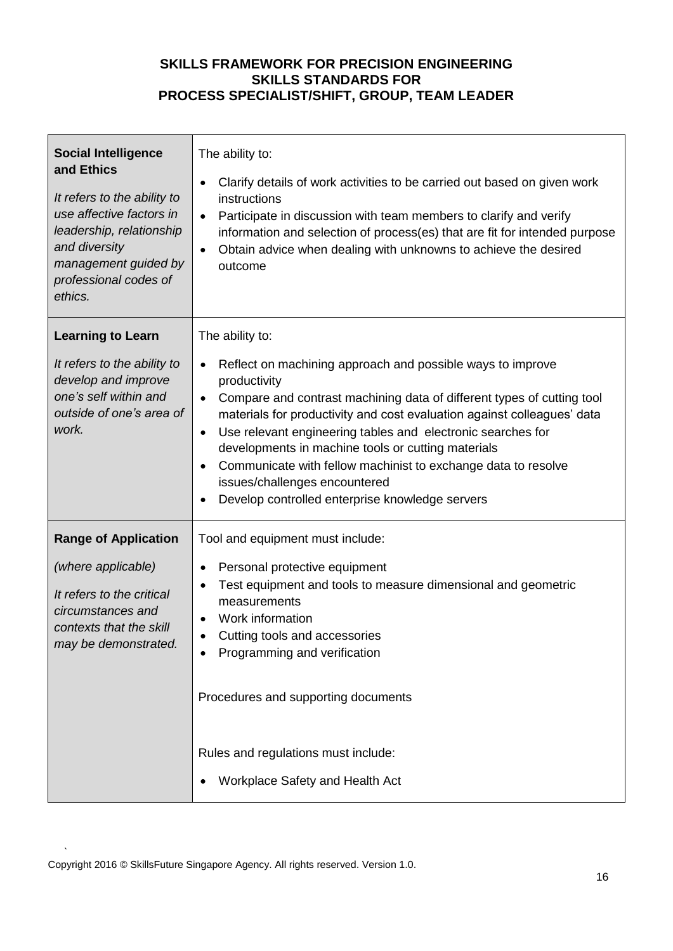| <b>Social Intelligence</b><br>and Ethics<br>It refers to the ability to<br>use affective factors in<br>leadership, relationship<br>and diversity<br>management guided by<br>professional codes of<br>ethics. | The ability to:<br>Clarify details of work activities to be carried out based on given work<br>$\bullet$<br>instructions<br>Participate in discussion with team members to clarify and verify<br>$\bullet$<br>information and selection of process(es) that are fit for intended purpose<br>Obtain advice when dealing with unknowns to achieve the desired<br>$\bullet$<br>outcome                                                                                                                                                                                              |
|--------------------------------------------------------------------------------------------------------------------------------------------------------------------------------------------------------------|----------------------------------------------------------------------------------------------------------------------------------------------------------------------------------------------------------------------------------------------------------------------------------------------------------------------------------------------------------------------------------------------------------------------------------------------------------------------------------------------------------------------------------------------------------------------------------|
| <b>Learning to Learn</b><br>It refers to the ability to<br>develop and improve<br>one's self within and<br>outside of one's area of<br>work.                                                                 | The ability to:<br>Reflect on machining approach and possible ways to improve<br>$\bullet$<br>productivity<br>Compare and contrast machining data of different types of cutting tool<br>$\bullet$<br>materials for productivity and cost evaluation against colleagues' data<br>Use relevant engineering tables and electronic searches for<br>$\bullet$<br>developments in machine tools or cutting materials<br>Communicate with fellow machinist to exchange data to resolve<br>$\bullet$<br>issues/challenges encountered<br>Develop controlled enterprise knowledge servers |
| <b>Range of Application</b><br>(where applicable)<br>It refers to the critical<br>circumstances and<br>contexts that the skill<br>may be demonstrated.                                                       | Tool and equipment must include:<br>Personal protective equipment<br>$\bullet$<br>Test equipment and tools to measure dimensional and geometric<br>measurements<br>Work information<br>Cutting tools and accessories<br>Programming and verification<br>Procedures and supporting documents<br>Rules and regulations must include:<br>Workplace Safety and Health Act                                                                                                                                                                                                            |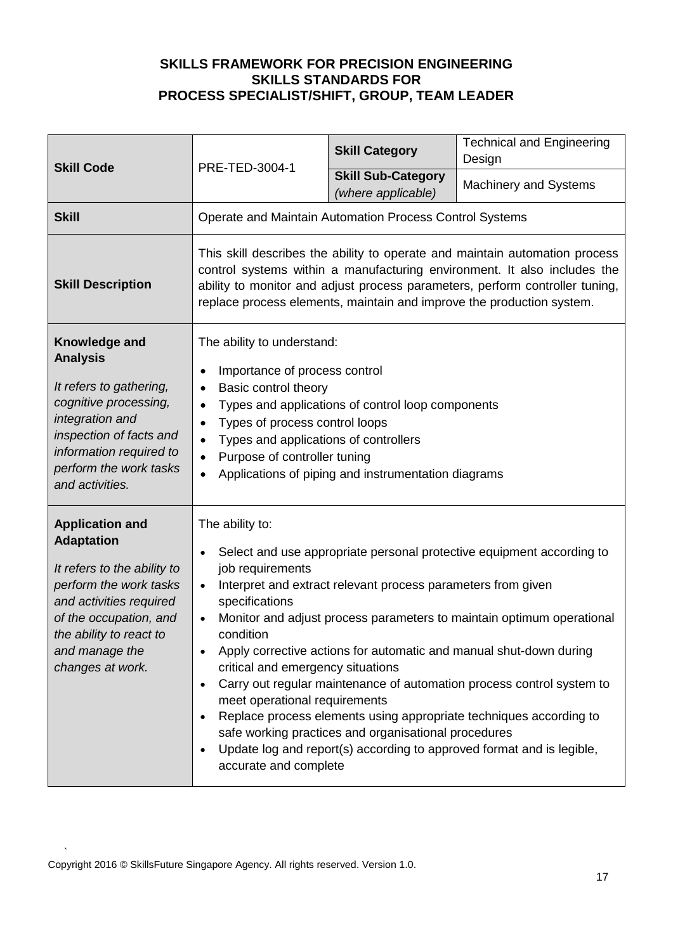| <b>Skill Code</b>                                                                                                                                                                                                          | PRE-TED-3004-1                                                                                                                                                                                                                                                                                                                                                                                                                                                                                                                                                                                                                                                                                                                                                      | <b>Skill Category</b>                           | <b>Technical and Engineering</b><br>Design |
|----------------------------------------------------------------------------------------------------------------------------------------------------------------------------------------------------------------------------|---------------------------------------------------------------------------------------------------------------------------------------------------------------------------------------------------------------------------------------------------------------------------------------------------------------------------------------------------------------------------------------------------------------------------------------------------------------------------------------------------------------------------------------------------------------------------------------------------------------------------------------------------------------------------------------------------------------------------------------------------------------------|-------------------------------------------------|--------------------------------------------|
|                                                                                                                                                                                                                            |                                                                                                                                                                                                                                                                                                                                                                                                                                                                                                                                                                                                                                                                                                                                                                     | <b>Skill Sub-Category</b><br>(where applicable) | <b>Machinery and Systems</b>               |
| <b>Skill</b>                                                                                                                                                                                                               | Operate and Maintain Automation Process Control Systems                                                                                                                                                                                                                                                                                                                                                                                                                                                                                                                                                                                                                                                                                                             |                                                 |                                            |
| <b>Skill Description</b>                                                                                                                                                                                                   | This skill describes the ability to operate and maintain automation process<br>control systems within a manufacturing environment. It also includes the<br>ability to monitor and adjust process parameters, perform controller tuning,<br>replace process elements, maintain and improve the production system.                                                                                                                                                                                                                                                                                                                                                                                                                                                    |                                                 |                                            |
| Knowledge and<br><b>Analysis</b><br>It refers to gathering,<br>cognitive processing,<br>integration and<br>inspection of facts and<br>information required to<br>perform the work tasks<br>and activities.                 | The ability to understand:<br>Importance of process control<br>Basic control theory<br>$\bullet$<br>Types and applications of control loop components<br>Types of process control loops<br>$\bullet$<br>Types and applications of controllers<br>Purpose of controller tuning<br>$\bullet$<br>Applications of piping and instrumentation diagrams<br>$\bullet$                                                                                                                                                                                                                                                                                                                                                                                                      |                                                 |                                            |
| <b>Application and</b><br><b>Adaptation</b><br>It refers to the ability to<br>perform the work tasks<br>and activities required<br>of the occupation, and<br>the ability to react to<br>and manage the<br>changes at work. | The ability to:<br>Select and use appropriate personal protective equipment according to<br>job requirements<br>Interpret and extract relevant process parameters from given<br>$\bullet$<br>specifications<br>Monitor and adjust process parameters to maintain optimum operational<br>$\bullet$<br>condition<br>Apply corrective actions for automatic and manual shut-down during<br>critical and emergency situations<br>Carry out regular maintenance of automation process control system to<br>meet operational requirements<br>Replace process elements using appropriate techniques according to<br>safe working practices and organisational procedures<br>Update log and report(s) according to approved format and is legible,<br>accurate and complete |                                                 |                                            |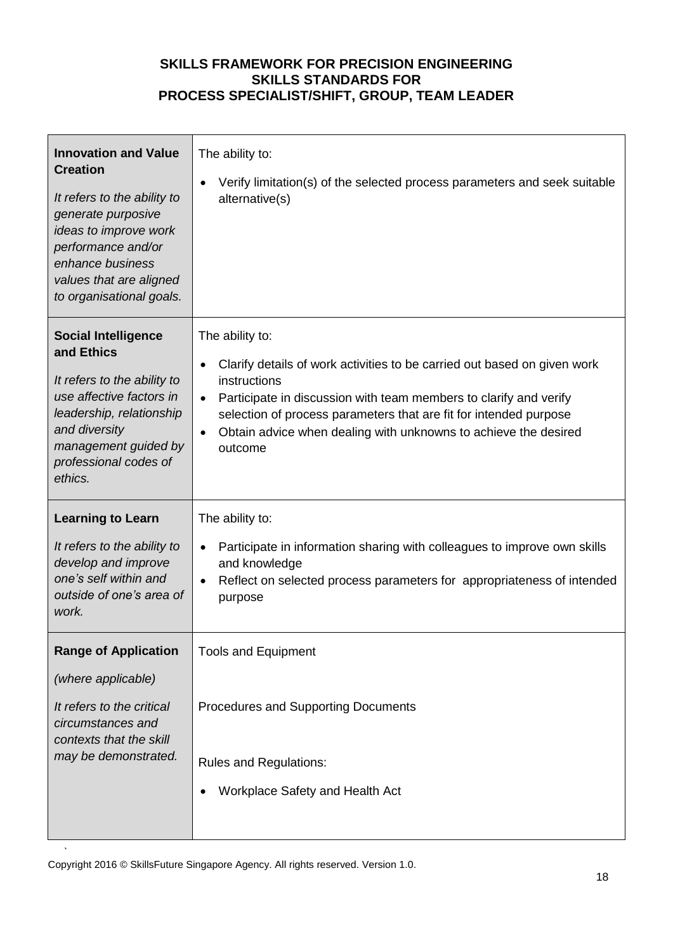| <b>Innovation and Value</b><br><b>Creation</b><br>It refers to the ability to<br>generate purposive<br>ideas to improve work<br>performance and/or<br>enhance business<br>values that are aligned<br>to organisational goals. | The ability to:<br>Verify limitation(s) of the selected process parameters and seek suitable<br>alternative(s)                                                                                                                                                                                                                                                             |
|-------------------------------------------------------------------------------------------------------------------------------------------------------------------------------------------------------------------------------|----------------------------------------------------------------------------------------------------------------------------------------------------------------------------------------------------------------------------------------------------------------------------------------------------------------------------------------------------------------------------|
| <b>Social Intelligence</b><br>and Ethics<br>It refers to the ability to<br>use affective factors in<br>leadership, relationship<br>and diversity<br>management guided by<br>professional codes of<br>ethics.                  | The ability to:<br>Clarify details of work activities to be carried out based on given work<br>$\bullet$<br>instructions<br>Participate in discussion with team members to clarify and verify<br>$\bullet$<br>selection of process parameters that are fit for intended purpose<br>Obtain advice when dealing with unknowns to achieve the desired<br>$\bullet$<br>outcome |
| <b>Learning to Learn</b><br>It refers to the ability to<br>develop and improve<br>one's self within and<br>outside of one's area of<br>work.                                                                                  | The ability to:<br>Participate in information sharing with colleagues to improve own skills<br>and knowledge<br>Reflect on selected process parameters for appropriateness of intended<br>purpose                                                                                                                                                                          |
| <b>Range of Application</b><br>(where applicable)<br>It refers to the critical<br>circumstances and<br>contexts that the skill<br>may be demonstrated.                                                                        | <b>Tools and Equipment</b><br><b>Procedures and Supporting Documents</b><br><b>Rules and Regulations:</b><br>Workplace Safety and Health Act                                                                                                                                                                                                                               |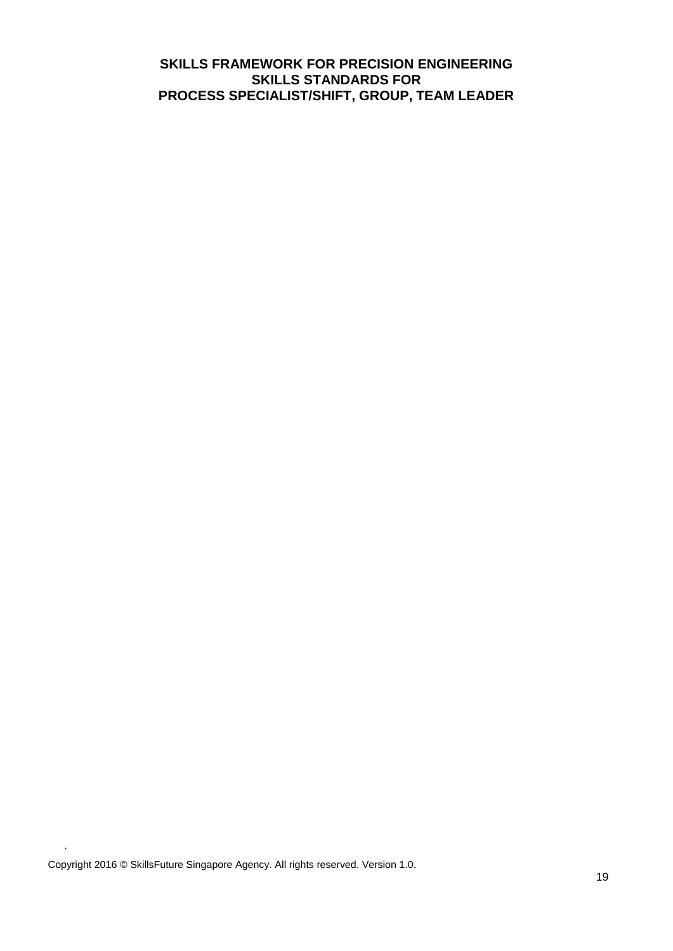Copyright 2016 © SkillsFuture Singapore Agency. All rights reserved. Version 1.0.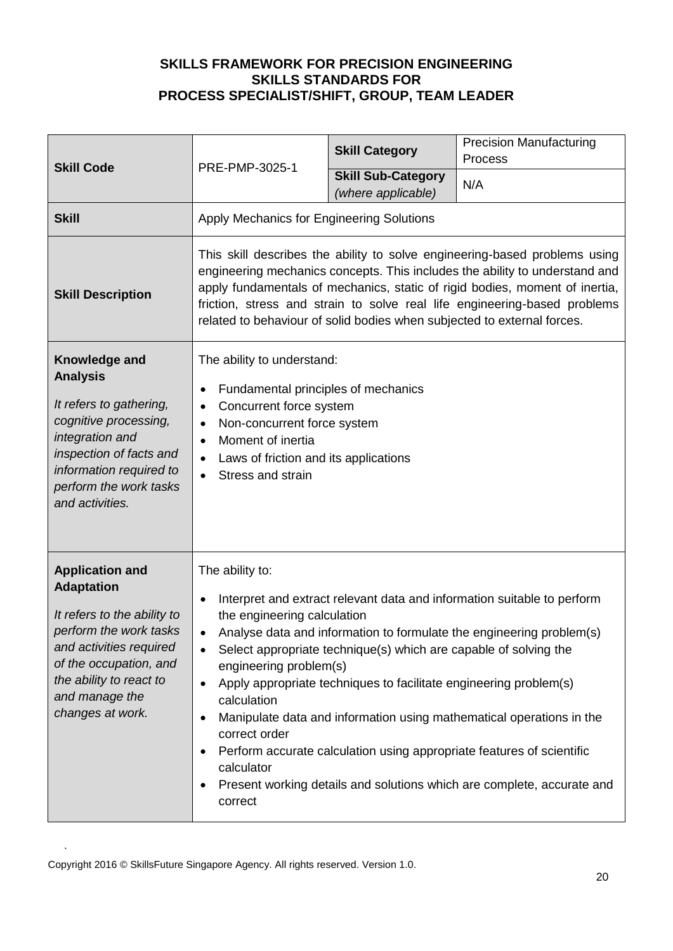| <b>Skill Code</b>                                                                                                                                                                                                          | PRE-PMP-3025-1                                                                                                                                                                                                                                                                                                                                                                                                                                                                                                                                                                                                                                                                     | <b>Skill Category</b>                           | <b>Precision Manufacturing</b><br>Process |
|----------------------------------------------------------------------------------------------------------------------------------------------------------------------------------------------------------------------------|------------------------------------------------------------------------------------------------------------------------------------------------------------------------------------------------------------------------------------------------------------------------------------------------------------------------------------------------------------------------------------------------------------------------------------------------------------------------------------------------------------------------------------------------------------------------------------------------------------------------------------------------------------------------------------|-------------------------------------------------|-------------------------------------------|
|                                                                                                                                                                                                                            |                                                                                                                                                                                                                                                                                                                                                                                                                                                                                                                                                                                                                                                                                    | <b>Skill Sub-Category</b><br>(where applicable) | N/A                                       |
| <b>Skill</b>                                                                                                                                                                                                               | Apply Mechanics for Engineering Solutions                                                                                                                                                                                                                                                                                                                                                                                                                                                                                                                                                                                                                                          |                                                 |                                           |
| <b>Skill Description</b>                                                                                                                                                                                                   | This skill describes the ability to solve engineering-based problems using<br>engineering mechanics concepts. This includes the ability to understand and<br>apply fundamentals of mechanics, static of rigid bodies, moment of inertia,<br>friction, stress and strain to solve real life engineering-based problems<br>related to behaviour of solid bodies when subjected to external forces.                                                                                                                                                                                                                                                                                   |                                                 |                                           |
| Knowledge and<br><b>Analysis</b><br>It refers to gathering,<br>cognitive processing,<br>integration and<br>inspection of facts and<br>information required to<br>perform the work tasks<br>and activities.                 | The ability to understand:<br>Fundamental principles of mechanics<br>$\bullet$<br>Concurrent force system<br>$\bullet$<br>Non-concurrent force system<br>$\bullet$<br>Moment of inertia<br>$\bullet$<br>Laws of friction and its applications<br>$\bullet$<br>Stress and strain                                                                                                                                                                                                                                                                                                                                                                                                    |                                                 |                                           |
| <b>Application and</b><br><b>Adaptation</b><br>It refers to the ability to<br>perform the work tasks<br>and activities required<br>of the occupation, and<br>the ability to react to<br>and manage the<br>changes at work. | The ability to:<br>Interpret and extract relevant data and information suitable to perform<br>$\bullet$<br>the engineering calculation<br>Analyse data and information to formulate the engineering problem(s)<br>$\bullet$<br>Select appropriate technique(s) which are capable of solving the<br>engineering problem(s)<br>Apply appropriate techniques to facilitate engineering problem(s)<br>calculation<br>Manipulate data and information using mathematical operations in the<br>correct order<br>Perform accurate calculation using appropriate features of scientific<br>calculator<br>Present working details and solutions which are complete, accurate and<br>correct |                                                 |                                           |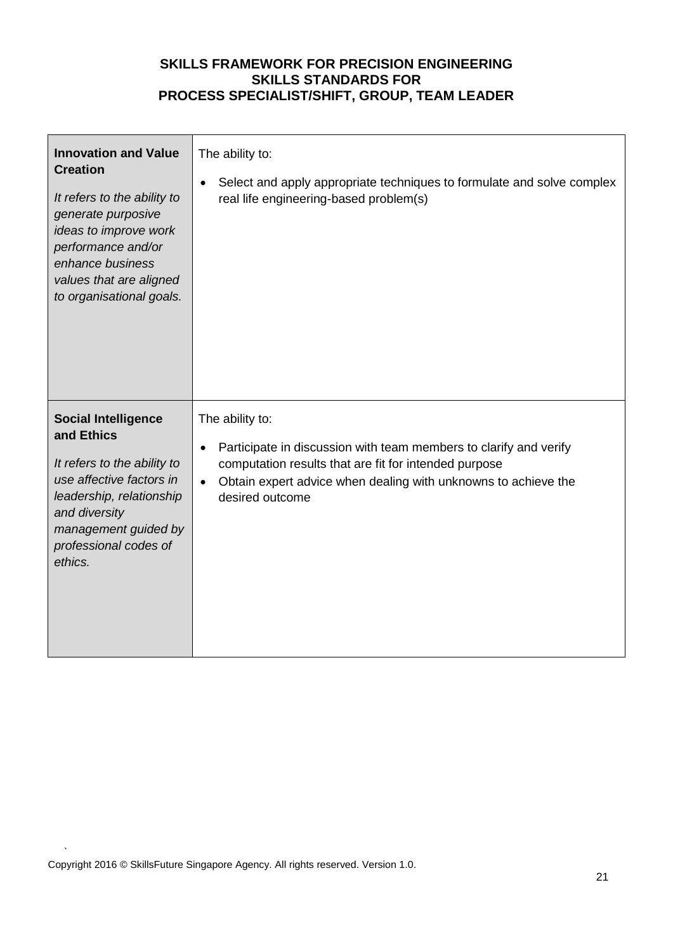| <b>Innovation and Value</b><br><b>Creation</b><br>It refers to the ability to<br>generate purposive<br>ideas to improve work<br>performance and/or<br>enhance business<br>values that are aligned<br>to organisational goals. | The ability to:<br>Select and apply appropriate techniques to formulate and solve complex<br>$\bullet$<br>real life engineering-based problem(s)                                                                                                             |
|-------------------------------------------------------------------------------------------------------------------------------------------------------------------------------------------------------------------------------|--------------------------------------------------------------------------------------------------------------------------------------------------------------------------------------------------------------------------------------------------------------|
| <b>Social Intelligence</b><br>and Ethics<br>It refers to the ability to<br>use affective factors in<br>leadership, relationship<br>and diversity<br>management guided by<br>professional codes of<br>ethics.                  | The ability to:<br>Participate in discussion with team members to clarify and verify<br>$\bullet$<br>computation results that are fit for intended purpose<br>Obtain expert advice when dealing with unknowns to achieve the<br>$\bullet$<br>desired outcome |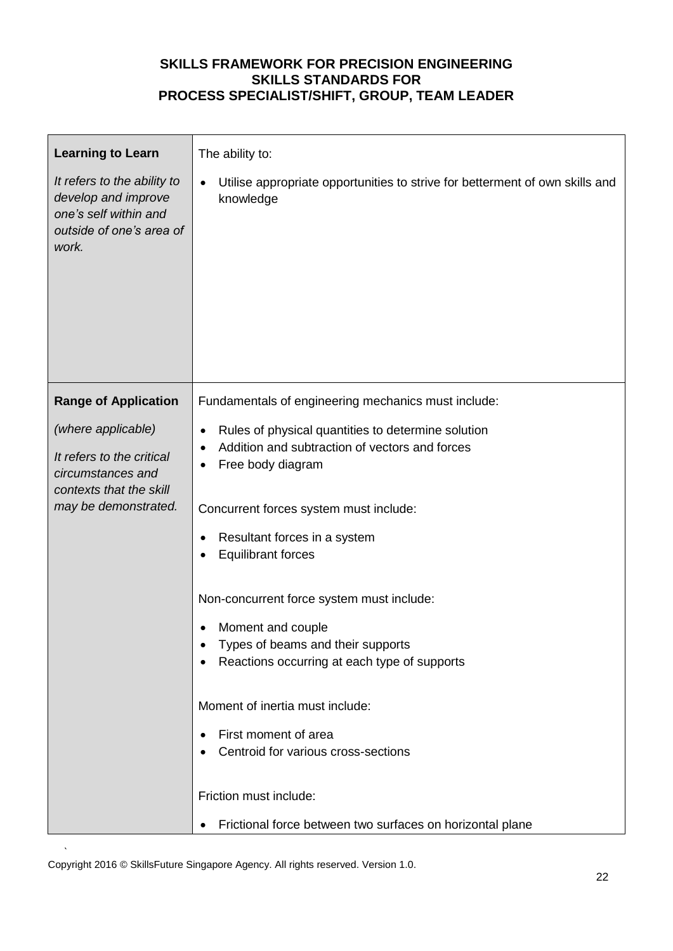| <b>Learning to Learn</b>                                                                                         | The ability to:                                                                           |  |  |
|------------------------------------------------------------------------------------------------------------------|-------------------------------------------------------------------------------------------|--|--|
| It refers to the ability to<br>develop and improve<br>one's self within and<br>outside of one's area of<br>work. | Utilise appropriate opportunities to strive for betterment of own skills and<br>knowledge |  |  |
| <b>Range of Application</b>                                                                                      | Fundamentals of engineering mechanics must include:                                       |  |  |
| (where applicable)                                                                                               | Rules of physical quantities to determine solution<br>$\bullet$                           |  |  |
| It refers to the critical<br>circumstances and<br>contexts that the skill                                        | Addition and subtraction of vectors and forces<br>Free body diagram                       |  |  |
| may be demonstrated.                                                                                             | Concurrent forces system must include:                                                    |  |  |
|                                                                                                                  | Resultant forces in a system                                                              |  |  |
|                                                                                                                  | <b>Equilibrant forces</b>                                                                 |  |  |
|                                                                                                                  | Non-concurrent force system must include:                                                 |  |  |
|                                                                                                                  | Moment and couple                                                                         |  |  |
|                                                                                                                  | Types of beams and their supports<br>Reactions occurring at each type of supports         |  |  |
|                                                                                                                  |                                                                                           |  |  |
|                                                                                                                  | Moment of inertia must include:                                                           |  |  |
|                                                                                                                  | First moment of area                                                                      |  |  |
|                                                                                                                  | Centroid for various cross-sections                                                       |  |  |
|                                                                                                                  | Friction must include:                                                                    |  |  |
|                                                                                                                  | Frictional force between two surfaces on horizontal plane                                 |  |  |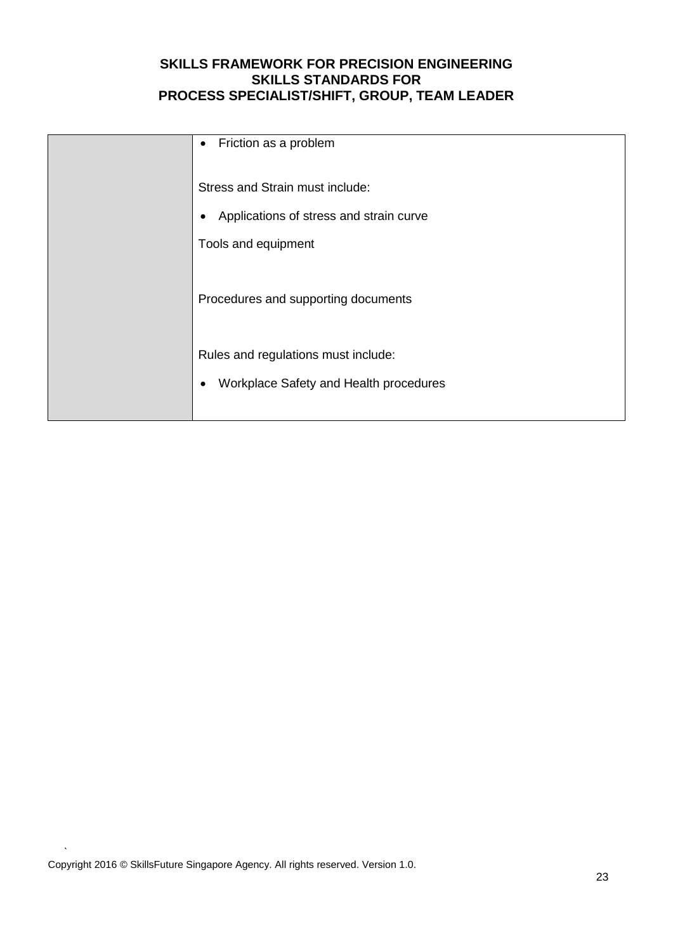| Friction as a problem<br>$\bullet$      |
|-----------------------------------------|
| Stress and Strain must include:         |
| Applications of stress and strain curve |
| Tools and equipment                     |
| Procedures and supporting documents     |
| Rules and regulations must include:     |
| Workplace Safety and Health procedures  |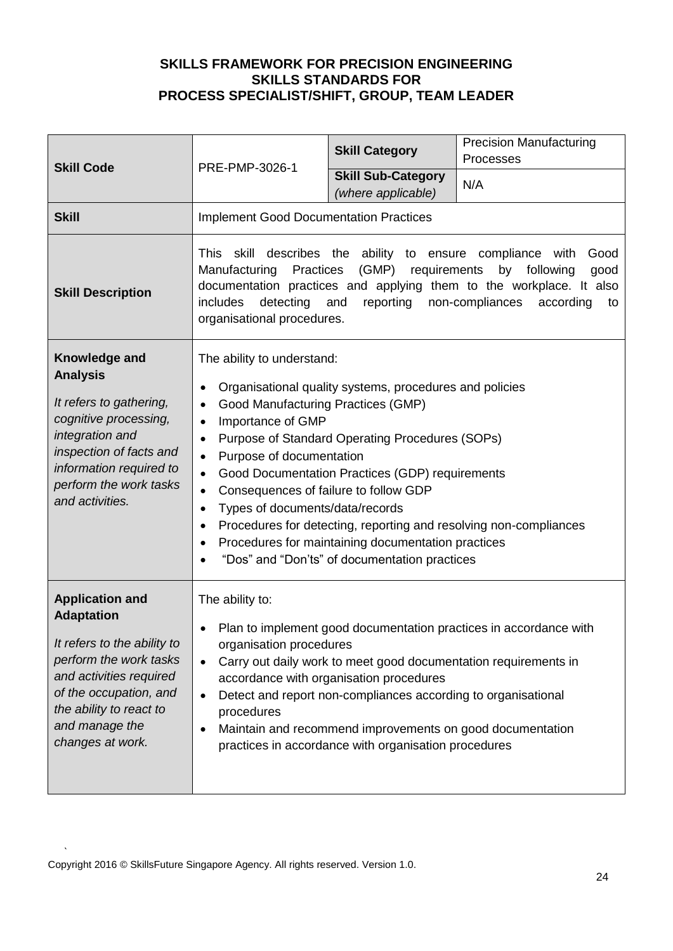| <b>Skill Code</b>                                                                                                                                                                                                          | PRE-PMP-3026-1                                                                                                                                                                                                                                                                                                                                                                                                                                                                                                                                                                                                                                                               | <b>Skill Category</b>                           | <b>Precision Manufacturing</b><br>Processes |
|----------------------------------------------------------------------------------------------------------------------------------------------------------------------------------------------------------------------------|------------------------------------------------------------------------------------------------------------------------------------------------------------------------------------------------------------------------------------------------------------------------------------------------------------------------------------------------------------------------------------------------------------------------------------------------------------------------------------------------------------------------------------------------------------------------------------------------------------------------------------------------------------------------------|-------------------------------------------------|---------------------------------------------|
|                                                                                                                                                                                                                            |                                                                                                                                                                                                                                                                                                                                                                                                                                                                                                                                                                                                                                                                              | <b>Skill Sub-Category</b><br>(where applicable) | N/A                                         |
| <b>Skill</b>                                                                                                                                                                                                               | <b>Implement Good Documentation Practices</b>                                                                                                                                                                                                                                                                                                                                                                                                                                                                                                                                                                                                                                |                                                 |                                             |
| <b>Skill Description</b>                                                                                                                                                                                                   | This skill describes the ability to ensure compliance with<br>Good<br>(GMP) requirements<br>Manufacturing<br>Practices<br>by<br>following<br>good<br>documentation practices and applying them to the workplace. It also<br>includes<br>detecting<br>reporting<br>and<br>non-compliances<br>according<br>to<br>organisational procedures.                                                                                                                                                                                                                                                                                                                                    |                                                 |                                             |
| Knowledge and<br><b>Analysis</b><br>It refers to gathering,<br>cognitive processing,<br>integration and<br>inspection of facts and<br>information required to<br>perform the work tasks<br>and activities.                 | The ability to understand:<br>Organisational quality systems, procedures and policies<br>$\bullet$<br>Good Manufacturing Practices (GMP)<br>$\bullet$<br>Importance of GMP<br>$\bullet$<br>Purpose of Standard Operating Procedures (SOPs)<br>$\bullet$<br>Purpose of documentation<br>$\bullet$<br>Good Documentation Practices (GDP) requirements<br>$\bullet$<br>Consequences of failure to follow GDP<br>$\bullet$<br>Types of documents/data/records<br>$\bullet$<br>Procedures for detecting, reporting and resolving non-compliances<br>$\bullet$<br>Procedures for maintaining documentation practices<br>$\bullet$<br>"Dos" and "Don'ts" of documentation practices |                                                 |                                             |
| <b>Application and</b><br><b>Adaptation</b><br>It refers to the ability to<br>perform the work tasks<br>and activities required<br>of the occupation, and<br>the ability to react to<br>and manage the<br>changes at work. | The ability to:<br>Plan to implement good documentation practices in accordance with<br>organisation procedures<br>Carry out daily work to meet good documentation requirements in<br>$\bullet$<br>accordance with organisation procedures<br>Detect and report non-compliances according to organisational<br>$\bullet$<br>procedures<br>Maintain and recommend improvements on good documentation<br>practices in accordance with organisation procedures                                                                                                                                                                                                                  |                                                 |                                             |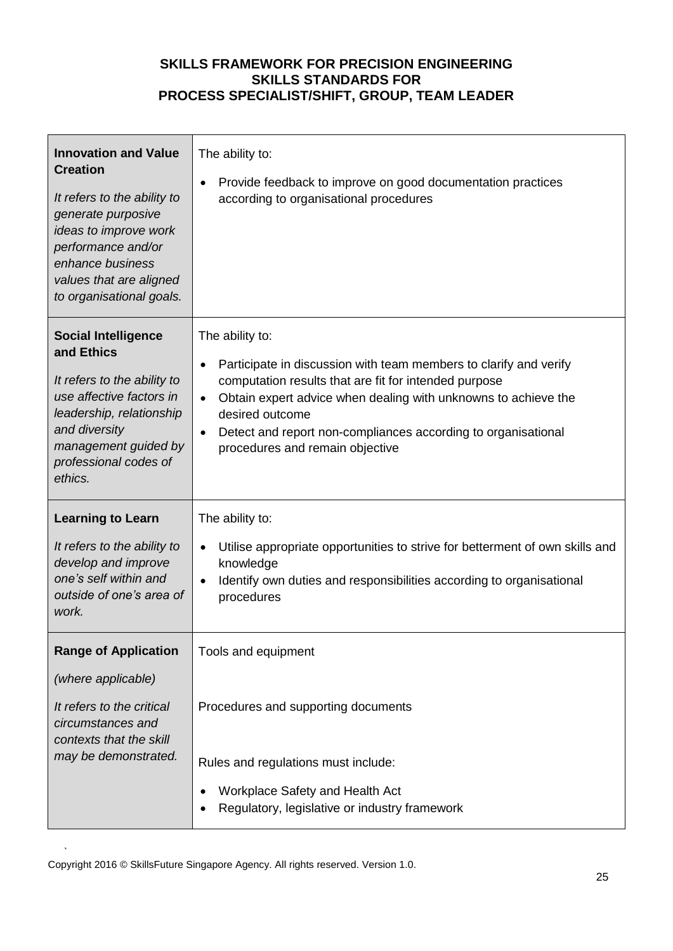| <b>Innovation and Value</b><br><b>Creation</b><br>It refers to the ability to<br>generate purposive<br>ideas to improve work<br>performance and/or<br>enhance business<br>values that are aligned<br>to organisational goals. | The ability to:<br>Provide feedback to improve on good documentation practices<br>according to organisational procedures                                                                                                                                                                                                                                                      |
|-------------------------------------------------------------------------------------------------------------------------------------------------------------------------------------------------------------------------------|-------------------------------------------------------------------------------------------------------------------------------------------------------------------------------------------------------------------------------------------------------------------------------------------------------------------------------------------------------------------------------|
| <b>Social Intelligence</b><br>and Ethics<br>It refers to the ability to<br>use affective factors in<br>leadership, relationship<br>and diversity<br>management guided by<br>professional codes of<br>ethics.                  | The ability to:<br>Participate in discussion with team members to clarify and verify<br>$\bullet$<br>computation results that are fit for intended purpose<br>Obtain expert advice when dealing with unknowns to achieve the<br>$\bullet$<br>desired outcome<br>Detect and report non-compliances according to organisational<br>$\bullet$<br>procedures and remain objective |
| <b>Learning to Learn</b><br>It refers to the ability to<br>develop and improve<br>one's self within and<br>outside of one's area of<br>work.                                                                                  | The ability to:<br>Utilise appropriate opportunities to strive for betterment of own skills and<br>knowledge<br>Identify own duties and responsibilities according to organisational<br>procedures                                                                                                                                                                            |
| <b>Range of Application</b><br>(where applicable)<br>It refers to the critical<br>circumstances and<br>contexts that the skill                                                                                                | Tools and equipment<br>Procedures and supporting documents                                                                                                                                                                                                                                                                                                                    |
| may be demonstrated.                                                                                                                                                                                                          | Rules and regulations must include:<br>Workplace Safety and Health Act<br>Regulatory, legislative or industry framework                                                                                                                                                                                                                                                       |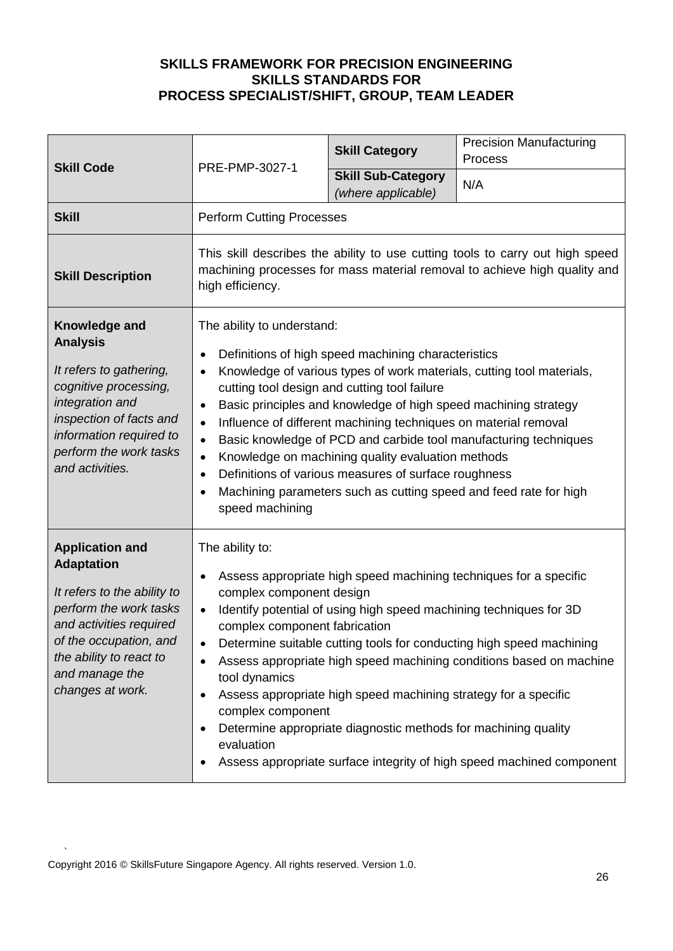| <b>Skill Code</b>                                                                                                                                                                                                          | PRE-PMP-3027-1                                                                                                                                                                                                                                                                                                                                                                                                                                                                                                                                                                                                                                                                                                       | <b>Skill Category</b>                           | <b>Precision Manufacturing</b><br>Process |
|----------------------------------------------------------------------------------------------------------------------------------------------------------------------------------------------------------------------------|----------------------------------------------------------------------------------------------------------------------------------------------------------------------------------------------------------------------------------------------------------------------------------------------------------------------------------------------------------------------------------------------------------------------------------------------------------------------------------------------------------------------------------------------------------------------------------------------------------------------------------------------------------------------------------------------------------------------|-------------------------------------------------|-------------------------------------------|
|                                                                                                                                                                                                                            |                                                                                                                                                                                                                                                                                                                                                                                                                                                                                                                                                                                                                                                                                                                      | <b>Skill Sub-Category</b><br>(where applicable) | N/A                                       |
| <b>Skill</b>                                                                                                                                                                                                               | <b>Perform Cutting Processes</b>                                                                                                                                                                                                                                                                                                                                                                                                                                                                                                                                                                                                                                                                                     |                                                 |                                           |
| <b>Skill Description</b>                                                                                                                                                                                                   | This skill describes the ability to use cutting tools to carry out high speed<br>machining processes for mass material removal to achieve high quality and<br>high efficiency.                                                                                                                                                                                                                                                                                                                                                                                                                                                                                                                                       |                                                 |                                           |
| Knowledge and<br><b>Analysis</b><br>It refers to gathering,<br>cognitive processing,<br>integration and<br>inspection of facts and<br>information required to<br>perform the work tasks<br>and activities.                 | The ability to understand:<br>Definitions of high speed machining characteristics<br>$\bullet$<br>Knowledge of various types of work materials, cutting tool materials,<br>cutting tool design and cutting tool failure<br>Basic principles and knowledge of high speed machining strategy<br>$\bullet$<br>Influence of different machining techniques on material removal<br>$\bullet$<br>Basic knowledge of PCD and carbide tool manufacturing techniques<br>$\bullet$<br>Knowledge on machining quality evaluation methods<br>$\bullet$<br>Definitions of various measures of surface roughness<br>$\bullet$<br>Machining parameters such as cutting speed and feed rate for high<br>$\bullet$<br>speed machining |                                                 |                                           |
| <b>Application and</b><br><b>Adaptation</b><br>It refers to the ability to<br>perform the work tasks<br>and activities required<br>of the occupation, and<br>the ability to react to<br>and manage the<br>changes at work. | The ability to:<br>Assess appropriate high speed machining techniques for a specific<br>$\bullet$<br>complex component design<br>Identify potential of using high speed machining techniques for 3D<br>$\bullet$<br>complex component fabrication<br>Determine suitable cutting tools for conducting high speed machining<br>Assess appropriate high speed machining conditions based on machine<br>tool dynamics<br>Assess appropriate high speed machining strategy for a specific<br>complex component<br>Determine appropriate diagnostic methods for machining quality<br>evaluation<br>Assess appropriate surface integrity of high speed machined component                                                   |                                                 |                                           |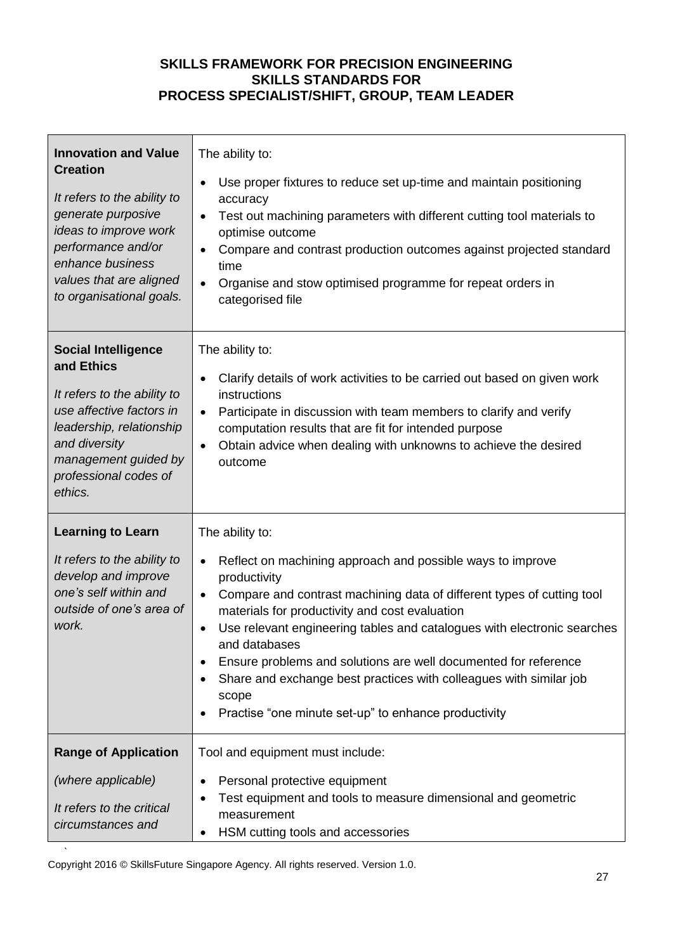| <b>Innovation and Value</b><br><b>Creation</b><br>It refers to the ability to<br>generate purposive<br>ideas to improve work<br>performance and/or<br>enhance business<br>values that are aligned<br>to organisational goals. | The ability to:<br>Use proper fixtures to reduce set up-time and maintain positioning<br>$\bullet$<br>accuracy<br>Test out machining parameters with different cutting tool materials to<br>$\bullet$<br>optimise outcome<br>Compare and contrast production outcomes against projected standard<br>$\bullet$<br>time<br>Organise and stow optimised programme for repeat orders in<br>$\bullet$<br>categorised file                                                                                                                                      |
|-------------------------------------------------------------------------------------------------------------------------------------------------------------------------------------------------------------------------------|-----------------------------------------------------------------------------------------------------------------------------------------------------------------------------------------------------------------------------------------------------------------------------------------------------------------------------------------------------------------------------------------------------------------------------------------------------------------------------------------------------------------------------------------------------------|
| <b>Social Intelligence</b><br>and Ethics<br>It refers to the ability to<br>use affective factors in<br>leadership, relationship<br>and diversity<br>management guided by<br>professional codes of<br>ethics.                  | The ability to:<br>Clarify details of work activities to be carried out based on given work<br>instructions<br>Participate in discussion with team members to clarify and verify<br>$\bullet$<br>computation results that are fit for intended purpose<br>Obtain advice when dealing with unknowns to achieve the desired<br>$\bullet$<br>outcome                                                                                                                                                                                                         |
| <b>Learning to Learn</b><br>It refers to the ability to<br>develop and improve<br>one's self within and<br>outside of one's area of<br>work.                                                                                  | The ability to:<br>Reflect on machining approach and possible ways to improve<br>$\bullet$<br>productivity<br>Compare and contrast machining data of different types of cutting tool<br>$\bullet$<br>materials for productivity and cost evaluation<br>Use relevant engineering tables and catalogues with electronic searches<br>and databases<br>Ensure problems and solutions are well documented for reference<br>Share and exchange best practices with colleagues with similar job<br>scope<br>Practise "one minute set-up" to enhance productivity |
| <b>Range of Application</b><br>(where applicable)<br>It refers to the critical<br>circumstances and                                                                                                                           | Tool and equipment must include:<br>Personal protective equipment<br>Test equipment and tools to measure dimensional and geometric<br>measurement<br>HSM cutting tools and accessories                                                                                                                                                                                                                                                                                                                                                                    |

` Copyright 2016 © SkillsFuture Singapore Agency. All rights reserved. Version 1.0.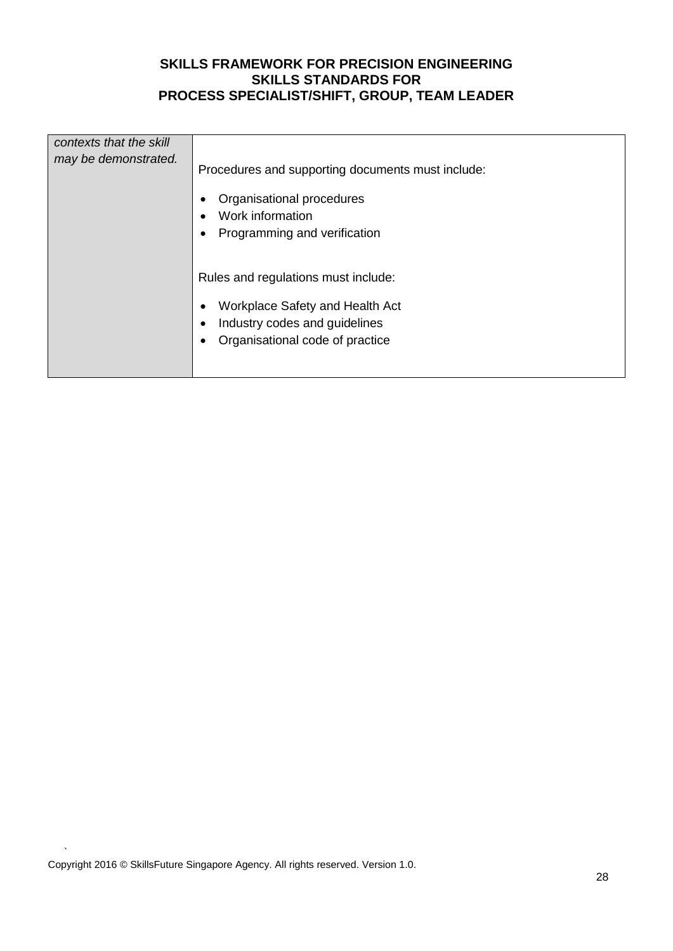| contexts that the skill<br>may be demonstrated. | Procedures and supporting documents must include:<br>Organisational procedures<br>Work information<br>Programming and verification         |
|-------------------------------------------------|--------------------------------------------------------------------------------------------------------------------------------------------|
|                                                 | Rules and regulations must include:<br>Workplace Safety and Health Act<br>Industry codes and guidelines<br>Organisational code of practice |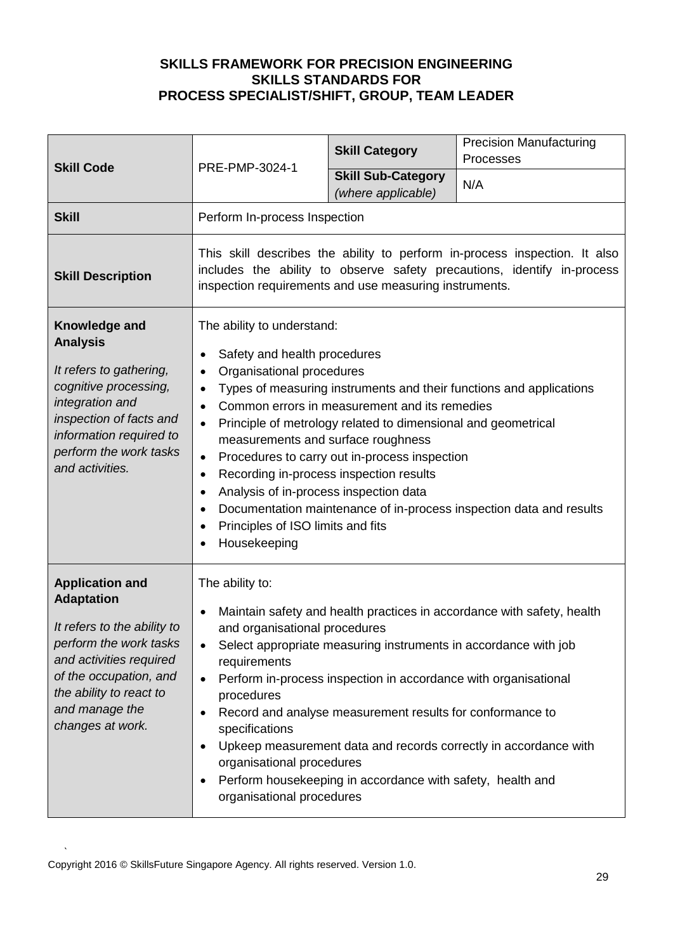| <b>Skill Code</b>                                                                                                                                                                                                          | PRE-PMP-3024-1                                                                                                                                                                                                                                                                                                                                                                                                                                                                                                                                                                                                                                                                                                                          | <b>Skill Category</b>                                                                                                                                                                                                                                         | <b>Precision Manufacturing</b><br>Processes                                                                                                |
|----------------------------------------------------------------------------------------------------------------------------------------------------------------------------------------------------------------------------|-----------------------------------------------------------------------------------------------------------------------------------------------------------------------------------------------------------------------------------------------------------------------------------------------------------------------------------------------------------------------------------------------------------------------------------------------------------------------------------------------------------------------------------------------------------------------------------------------------------------------------------------------------------------------------------------------------------------------------------------|---------------------------------------------------------------------------------------------------------------------------------------------------------------------------------------------------------------------------------------------------------------|--------------------------------------------------------------------------------------------------------------------------------------------|
|                                                                                                                                                                                                                            |                                                                                                                                                                                                                                                                                                                                                                                                                                                                                                                                                                                                                                                                                                                                         | <b>Skill Sub-Category</b><br>(where applicable)                                                                                                                                                                                                               | N/A                                                                                                                                        |
| <b>Skill</b>                                                                                                                                                                                                               | Perform In-process Inspection                                                                                                                                                                                                                                                                                                                                                                                                                                                                                                                                                                                                                                                                                                           |                                                                                                                                                                                                                                                               |                                                                                                                                            |
| <b>Skill Description</b>                                                                                                                                                                                                   | This skill describes the ability to perform in-process inspection. It also<br>includes the ability to observe safety precautions, identify in-process<br>inspection requirements and use measuring instruments.                                                                                                                                                                                                                                                                                                                                                                                                                                                                                                                         |                                                                                                                                                                                                                                                               |                                                                                                                                            |
| Knowledge and<br><b>Analysis</b><br>It refers to gathering,<br>cognitive processing,<br>integration and<br>inspection of facts and<br>information required to<br>perform the work tasks<br>and activities.                 | The ability to understand:<br>Safety and health procedures<br>$\bullet$<br>Organisational procedures<br>$\bullet$<br>Types of measuring instruments and their functions and applications<br>$\bullet$<br>Common errors in measurement and its remedies<br>$\bullet$<br>Principle of metrology related to dimensional and geometrical<br>$\bullet$<br>measurements and surface roughness<br>Procedures to carry out in-process inspection<br>$\bullet$<br>Recording in-process inspection results<br>$\bullet$<br>Analysis of in-process inspection data<br>$\bullet$<br>Documentation maintenance of in-process inspection data and results<br>$\bullet$<br>Principles of ISO limits and fits<br>$\bullet$<br>Housekeeping<br>$\bullet$ |                                                                                                                                                                                                                                                               |                                                                                                                                            |
| <b>Application and</b><br><b>Adaptation</b><br>It refers to the ability to<br>perform the work tasks<br>and activities required<br>of the occupation, and<br>the ability to react to<br>and manage the<br>changes at work. | The ability to:<br>$\bullet$<br>and organisational procedures<br>٠<br>requirements<br>$\bullet$<br>procedures<br>$\bullet$<br>specifications<br>$\bullet$<br>organisational procedures<br>organisational procedures                                                                                                                                                                                                                                                                                                                                                                                                                                                                                                                     | Select appropriate measuring instruments in accordance with job<br>Perform in-process inspection in accordance with organisational<br>Record and analyse measurement results for conformance to<br>Perform housekeeping in accordance with safety, health and | Maintain safety and health practices in accordance with safety, health<br>Upkeep measurement data and records correctly in accordance with |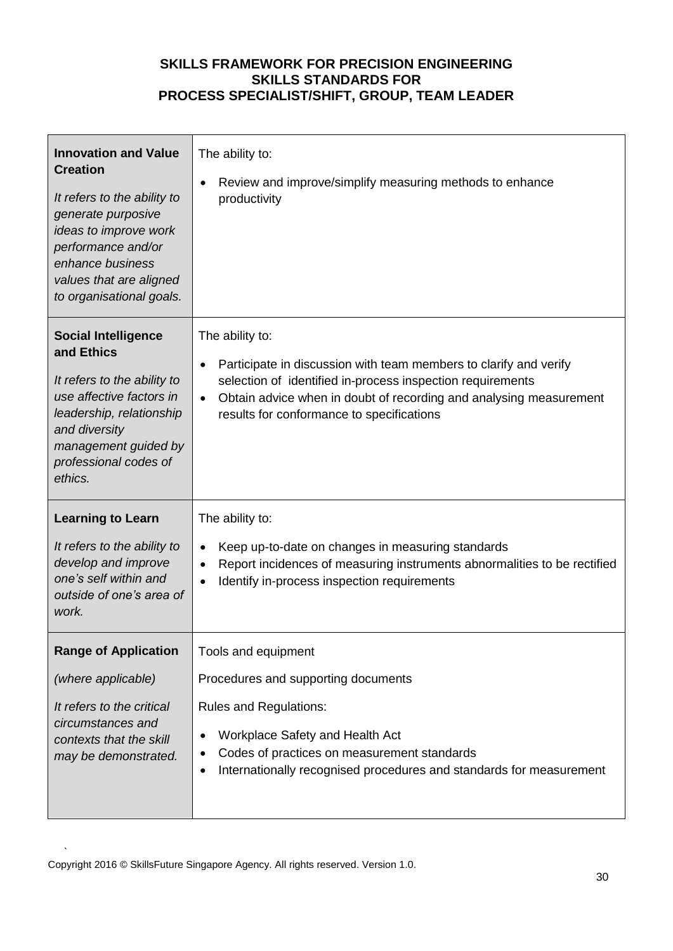| <b>Innovation and Value</b><br><b>Creation</b><br>It refers to the ability to<br>generate purposive<br>ideas to improve work<br>performance and/or<br>enhance business<br>values that are aligned<br>to organisational goals. | The ability to:<br>Review and improve/simplify measuring methods to enhance<br>productivity                                                                                                                                                                                                     |  |
|-------------------------------------------------------------------------------------------------------------------------------------------------------------------------------------------------------------------------------|-------------------------------------------------------------------------------------------------------------------------------------------------------------------------------------------------------------------------------------------------------------------------------------------------|--|
| <b>Social Intelligence</b><br>and Ethics<br>It refers to the ability to<br>use affective factors in<br>leadership, relationship<br>and diversity<br>management guided by<br>professional codes of<br>ethics.                  | The ability to:<br>Participate in discussion with team members to clarify and verify<br>$\bullet$<br>selection of identified in-process inspection requirements<br>Obtain advice when in doubt of recording and analysing measurement<br>$\bullet$<br>results for conformance to specifications |  |
| <b>Learning to Learn</b><br>It refers to the ability to<br>develop and improve<br>one's self within and<br>outside of one's area of<br>work.                                                                                  | The ability to:<br>Keep up-to-date on changes in measuring standards<br>Report incidences of measuring instruments abnormalities to be rectified<br>$\bullet$<br>Identify in-process inspection requirements                                                                                    |  |
| <b>Range of Application</b><br>(where applicable)<br>It refers to the critical<br>circumstances and<br>contexts that the skill<br>may be demonstrated.                                                                        | Tools and equipment<br>Procedures and supporting documents<br><b>Rules and Regulations:</b><br>Workplace Safety and Health Act<br>Codes of practices on measurement standards<br>٠<br>Internationally recognised procedures and standards for measurement<br>$\bullet$                          |  |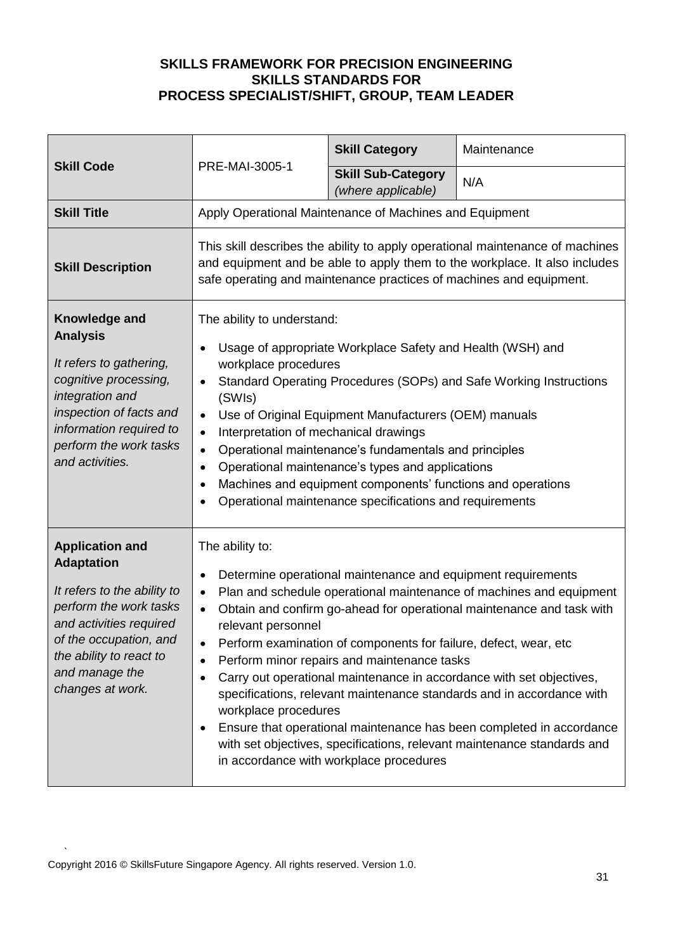| <b>Skill Code</b>                                                                                                                                                                                                          |                                                                                                                                                                                                                                                                                                                                                                                                                                                                                                                                                                                                                         | <b>Skill Category</b>                                                                                                                                                                                                      | Maintenance                                                                                                                                                                                                                                                                                                                                                                                                                                      |
|----------------------------------------------------------------------------------------------------------------------------------------------------------------------------------------------------------------------------|-------------------------------------------------------------------------------------------------------------------------------------------------------------------------------------------------------------------------------------------------------------------------------------------------------------------------------------------------------------------------------------------------------------------------------------------------------------------------------------------------------------------------------------------------------------------------------------------------------------------------|----------------------------------------------------------------------------------------------------------------------------------------------------------------------------------------------------------------------------|--------------------------------------------------------------------------------------------------------------------------------------------------------------------------------------------------------------------------------------------------------------------------------------------------------------------------------------------------------------------------------------------------------------------------------------------------|
|                                                                                                                                                                                                                            | PRE-MAI-3005-1                                                                                                                                                                                                                                                                                                                                                                                                                                                                                                                                                                                                          | <b>Skill Sub-Category</b><br>(where applicable)                                                                                                                                                                            | N/A                                                                                                                                                                                                                                                                                                                                                                                                                                              |
| <b>Skill Title</b>                                                                                                                                                                                                         | Apply Operational Maintenance of Machines and Equipment                                                                                                                                                                                                                                                                                                                                                                                                                                                                                                                                                                 |                                                                                                                                                                                                                            |                                                                                                                                                                                                                                                                                                                                                                                                                                                  |
| <b>Skill Description</b>                                                                                                                                                                                                   | This skill describes the ability to apply operational maintenance of machines<br>and equipment and be able to apply them to the workplace. It also includes<br>safe operating and maintenance practices of machines and equipment.                                                                                                                                                                                                                                                                                                                                                                                      |                                                                                                                                                                                                                            |                                                                                                                                                                                                                                                                                                                                                                                                                                                  |
| Knowledge and<br><b>Analysis</b><br>It refers to gathering,<br>cognitive processing,<br>integration and<br>inspection of facts and<br>information required to<br>perform the work tasks<br>and activities.                 | The ability to understand:<br>Usage of appropriate Workplace Safety and Health (WSH) and<br>workplace procedures<br>Standard Operating Procedures (SOPs) and Safe Working Instructions<br>$\bullet$<br>(SWIs)<br>Use of Original Equipment Manufacturers (OEM) manuals<br>$\bullet$<br>Interpretation of mechanical drawings<br>$\bullet$<br>Operational maintenance's fundamentals and principles<br>$\bullet$<br>Operational maintenance's types and applications<br>$\bullet$<br>Machines and equipment components' functions and operations<br>$\bullet$<br>Operational maintenance specifications and requirements |                                                                                                                                                                                                                            |                                                                                                                                                                                                                                                                                                                                                                                                                                                  |
| <b>Application and</b><br><b>Adaptation</b><br>It refers to the ability to<br>perform the work tasks<br>and activities required<br>of the occupation, and<br>the ability to react to<br>and manage the<br>changes at work. | The ability to:<br>$\bullet$<br>$\bullet$<br>relevant personnel<br>workplace procedures                                                                                                                                                                                                                                                                                                                                                                                                                                                                                                                                 | Determine operational maintenance and equipment requirements<br>Perform examination of components for failure, defect, wear, etc<br>Perform minor repairs and maintenance tasks<br>in accordance with workplace procedures | Plan and schedule operational maintenance of machines and equipment<br>Obtain and confirm go-ahead for operational maintenance and task with<br>Carry out operational maintenance in accordance with set objectives,<br>specifications, relevant maintenance standards and in accordance with<br>Ensure that operational maintenance has been completed in accordance<br>with set objectives, specifications, relevant maintenance standards and |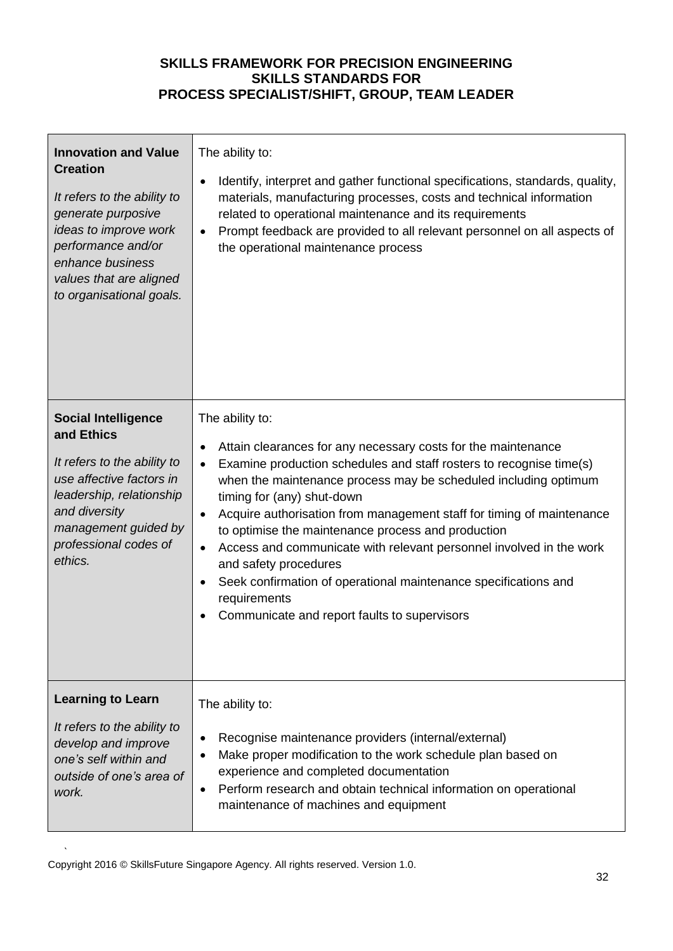| <b>Innovation and Value</b><br><b>Creation</b><br>It refers to the ability to<br>generate purposive<br>ideas to improve work<br>performance and/or<br>enhance business<br>values that are aligned<br>to organisational goals. | The ability to:<br>Identify, interpret and gather functional specifications, standards, quality,<br>$\bullet$<br>materials, manufacturing processes, costs and technical information<br>related to operational maintenance and its requirements<br>Prompt feedback are provided to all relevant personnel on all aspects of<br>the operational maintenance process                                                                                                                                                                                                                                                                                                             |
|-------------------------------------------------------------------------------------------------------------------------------------------------------------------------------------------------------------------------------|--------------------------------------------------------------------------------------------------------------------------------------------------------------------------------------------------------------------------------------------------------------------------------------------------------------------------------------------------------------------------------------------------------------------------------------------------------------------------------------------------------------------------------------------------------------------------------------------------------------------------------------------------------------------------------|
| <b>Social Intelligence</b><br>and Ethics<br>It refers to the ability to<br>use affective factors in<br>leadership, relationship<br>and diversity<br>management guided by<br>professional codes of<br>ethics.                  | The ability to:<br>Attain clearances for any necessary costs for the maintenance<br>$\bullet$<br>Examine production schedules and staff rosters to recognise time(s)<br>$\bullet$<br>when the maintenance process may be scheduled including optimum<br>timing for (any) shut-down<br>Acquire authorisation from management staff for timing of maintenance<br>$\bullet$<br>to optimise the maintenance process and production<br>Access and communicate with relevant personnel involved in the work<br>$\bullet$<br>and safety procedures<br>Seek confirmation of operational maintenance specifications and<br>requirements<br>Communicate and report faults to supervisors |
| <b>Learning to Learn</b><br>It refers to the ability to<br>develop and improve<br>one's self within and<br>outside of one's area of<br>work.                                                                                  | The ability to:<br>Recognise maintenance providers (internal/external)<br>$\bullet$<br>Make proper modification to the work schedule plan based on<br>٠<br>experience and completed documentation<br>Perform research and obtain technical information on operational<br>$\bullet$<br>maintenance of machines and equipment                                                                                                                                                                                                                                                                                                                                                    |

 $\mathbf{r}$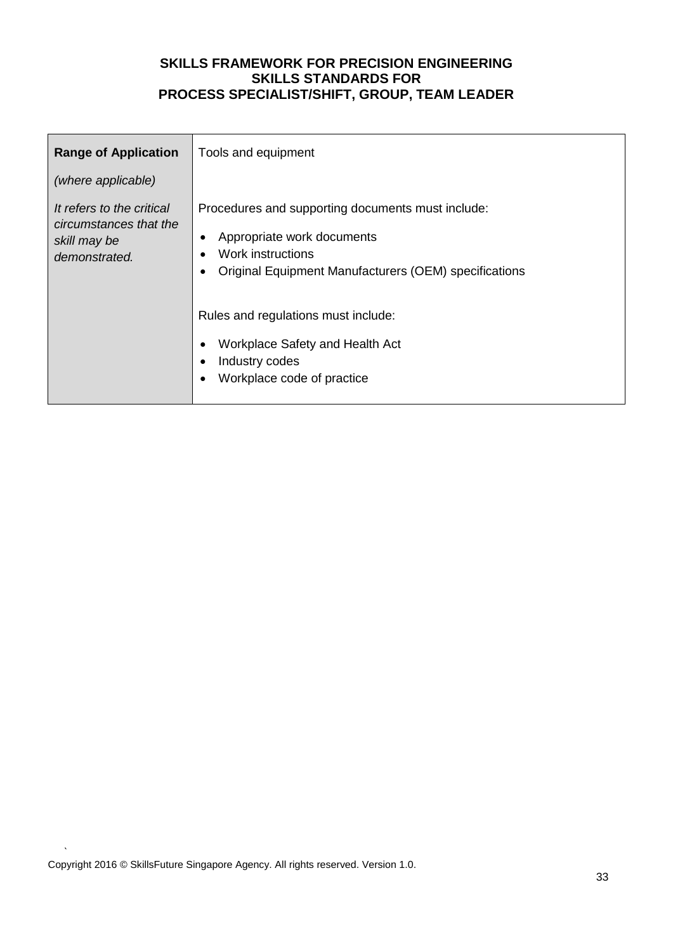| <b>Range of Application</b>                                                          | Tools and equipment                                                                                                                                           |
|--------------------------------------------------------------------------------------|---------------------------------------------------------------------------------------------------------------------------------------------------------------|
| (where applicable)                                                                   |                                                                                                                                                               |
| It refers to the critical<br>circumstances that the<br>skill may be<br>demonstrated. | Procedures and supporting documents must include:<br>Appropriate work documents<br>Work instructions<br>Original Equipment Manufacturers (OEM) specifications |
|                                                                                      | Rules and regulations must include:<br>Workplace Safety and Health Act<br>Industry codes<br>Workplace code of practice                                        |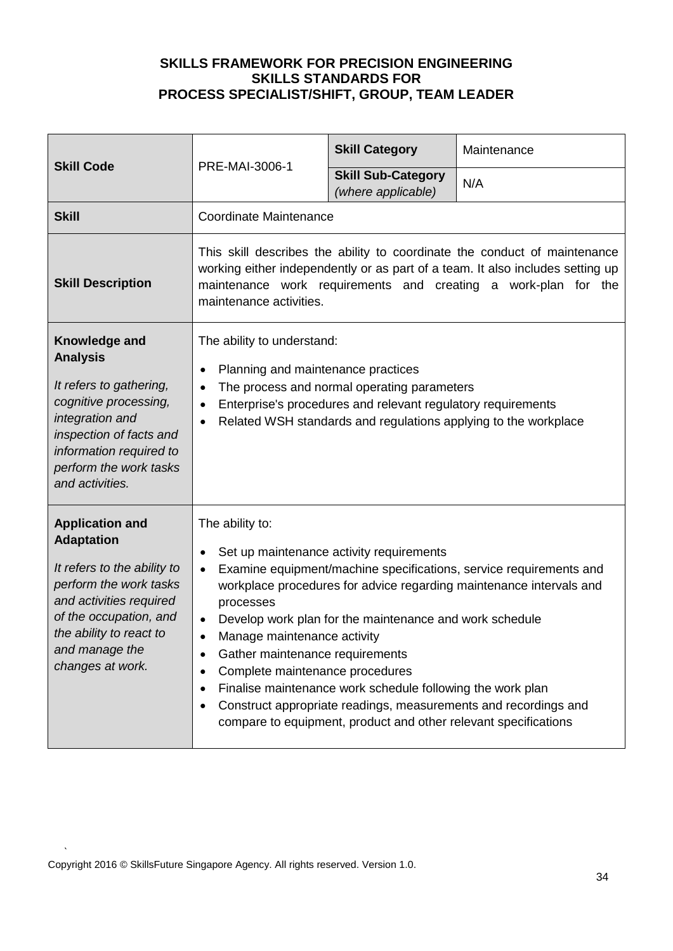| <b>Skill Code</b>                                                                                                                                                                                                          | PRE-MAI-3006-1                                                                                                                                                                                                                                                                         | <b>Skill Category</b>                                                                                                                                                                                                                | Maintenance                                                                                                                                                                                                  |
|----------------------------------------------------------------------------------------------------------------------------------------------------------------------------------------------------------------------------|----------------------------------------------------------------------------------------------------------------------------------------------------------------------------------------------------------------------------------------------------------------------------------------|--------------------------------------------------------------------------------------------------------------------------------------------------------------------------------------------------------------------------------------|--------------------------------------------------------------------------------------------------------------------------------------------------------------------------------------------------------------|
|                                                                                                                                                                                                                            |                                                                                                                                                                                                                                                                                        | <b>Skill Sub-Category</b><br>(where applicable)                                                                                                                                                                                      | N/A                                                                                                                                                                                                          |
| <b>Skill</b>                                                                                                                                                                                                               | <b>Coordinate Maintenance</b>                                                                                                                                                                                                                                                          |                                                                                                                                                                                                                                      |                                                                                                                                                                                                              |
| <b>Skill Description</b>                                                                                                                                                                                                   | This skill describes the ability to coordinate the conduct of maintenance<br>working either independently or as part of a team. It also includes setting up<br>maintenance work requirements and creating a work-plan for the<br>maintenance activities.                               |                                                                                                                                                                                                                                      |                                                                                                                                                                                                              |
| Knowledge and<br><b>Analysis</b><br>It refers to gathering,<br>cognitive processing,<br>integration and<br>inspection of facts and<br>information required to<br>perform the work tasks<br>and activities.                 | The ability to understand:<br>Planning and maintenance practices<br>٠<br>The process and normal operating parameters<br>٠<br>Enterprise's procedures and relevant regulatory requirements<br>$\bullet$<br>Related WSH standards and regulations applying to the workplace<br>$\bullet$ |                                                                                                                                                                                                                                      |                                                                                                                                                                                                              |
| <b>Application and</b><br><b>Adaptation</b><br>It refers to the ability to<br>perform the work tasks<br>and activities required<br>of the occupation, and<br>the ability to react to<br>and manage the<br>changes at work. | The ability to:<br>$\bullet$<br>$\bullet$<br>processes<br>$\bullet$<br>Manage maintenance activity<br>Gather maintenance requirements<br>Complete maintenance procedures<br>٠                                                                                                          | Set up maintenance activity requirements<br>Develop work plan for the maintenance and work schedule<br>Finalise maintenance work schedule following the work plan<br>compare to equipment, product and other relevant specifications | Examine equipment/machine specifications, service requirements and<br>workplace procedures for advice regarding maintenance intervals and<br>Construct appropriate readings, measurements and recordings and |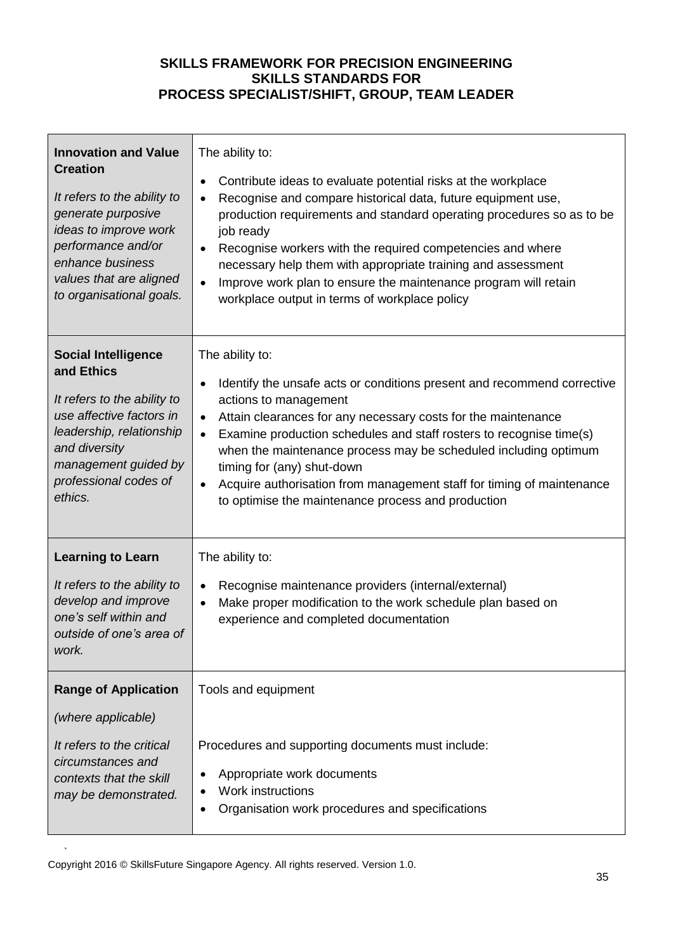| <b>Innovation and Value</b><br><b>Creation</b><br>It refers to the ability to<br>generate purposive<br>ideas to improve work<br>performance and/or<br>enhance business<br>values that are aligned<br>to organisational goals. | The ability to:<br>Contribute ideas to evaluate potential risks at the workplace<br>$\bullet$<br>Recognise and compare historical data, future equipment use,<br>$\bullet$<br>production requirements and standard operating procedures so as to be<br>job ready<br>Recognise workers with the required competencies and where<br>$\bullet$<br>necessary help them with appropriate training and assessment<br>Improve work plan to ensure the maintenance program will retain<br>$\bullet$<br>workplace output in terms of workplace policy    |
|-------------------------------------------------------------------------------------------------------------------------------------------------------------------------------------------------------------------------------|-------------------------------------------------------------------------------------------------------------------------------------------------------------------------------------------------------------------------------------------------------------------------------------------------------------------------------------------------------------------------------------------------------------------------------------------------------------------------------------------------------------------------------------------------|
| <b>Social Intelligence</b><br>and Ethics<br>It refers to the ability to<br>use affective factors in<br>leadership, relationship<br>and diversity<br>management guided by<br>professional codes of<br>ethics.                  | The ability to:<br>Identify the unsafe acts or conditions present and recommend corrective<br>$\bullet$<br>actions to management<br>Attain clearances for any necessary costs for the maintenance<br>$\bullet$<br>Examine production schedules and staff rosters to recognise time(s)<br>$\bullet$<br>when the maintenance process may be scheduled including optimum<br>timing for (any) shut-down<br>Acquire authorisation from management staff for timing of maintenance<br>$\bullet$<br>to optimise the maintenance process and production |
| <b>Learning to Learn</b><br>It refers to the ability to<br>develop and improve<br>one's self within and<br>outside of one's area of<br>work.                                                                                  | The ability to:<br>Recognise maintenance providers (internal/external)<br>٠<br>Make proper modification to the work schedule plan based on<br>$\bullet$<br>experience and completed documentation                                                                                                                                                                                                                                                                                                                                               |
| <b>Range of Application</b><br>(where applicable)<br>It refers to the critical<br>circumstances and<br>contexts that the skill<br>may be demonstrated.                                                                        | Tools and equipment<br>Procedures and supporting documents must include:<br>Appropriate work documents<br>٠<br>Work instructions<br>Organisation work procedures and specifications<br>$\bullet$                                                                                                                                                                                                                                                                                                                                                |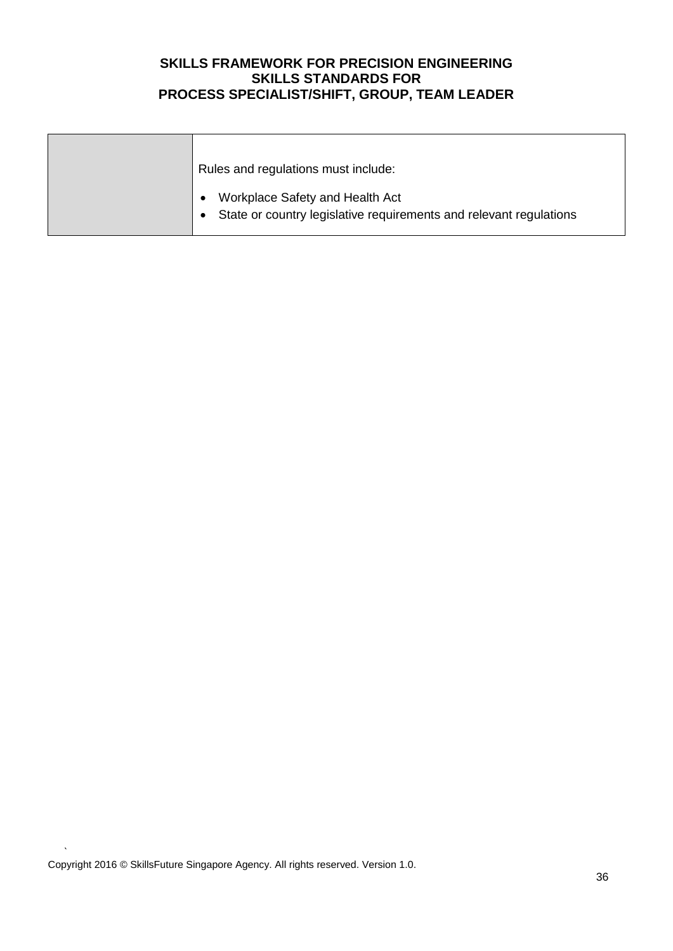| Rules and regulations must include:                                                                                  |
|----------------------------------------------------------------------------------------------------------------------|
| Workplace Safety and Health Act<br>$\bullet$<br>• State or country legislative requirements and relevant regulations |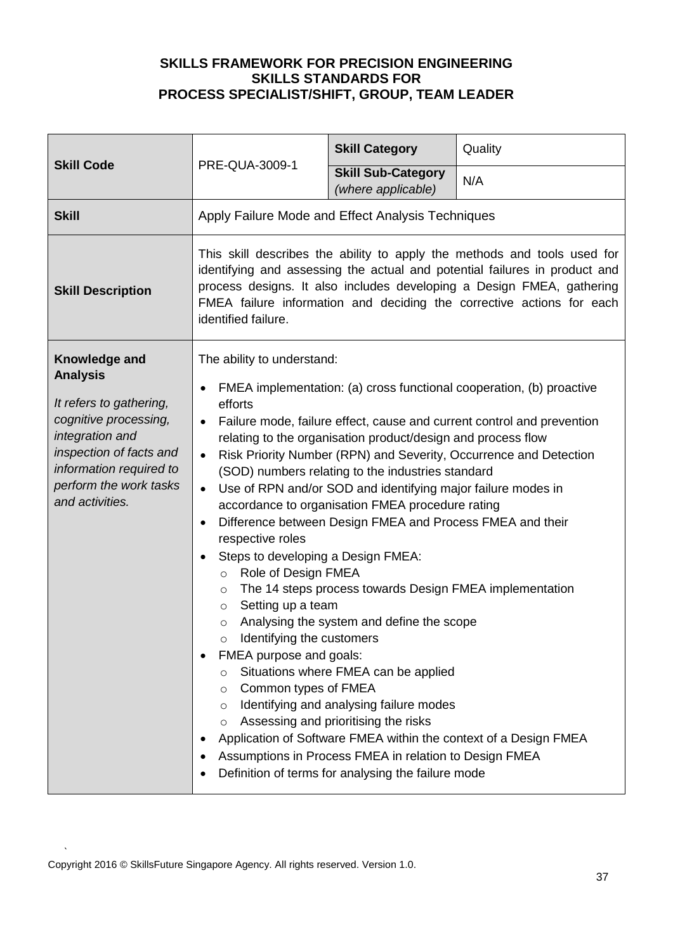| <b>Skill Code</b>                                                                                                                                                                                          |                                                                                                                                                                                                                                                                                                                                                                                                                                                                                                                                                                                                                                                                                                                                                                                                                                                                                                                                                                                                                                                                                                                                                                                                                                                                                               | <b>Skill Category</b>                           | Quality |
|------------------------------------------------------------------------------------------------------------------------------------------------------------------------------------------------------------|-----------------------------------------------------------------------------------------------------------------------------------------------------------------------------------------------------------------------------------------------------------------------------------------------------------------------------------------------------------------------------------------------------------------------------------------------------------------------------------------------------------------------------------------------------------------------------------------------------------------------------------------------------------------------------------------------------------------------------------------------------------------------------------------------------------------------------------------------------------------------------------------------------------------------------------------------------------------------------------------------------------------------------------------------------------------------------------------------------------------------------------------------------------------------------------------------------------------------------------------------------------------------------------------------|-------------------------------------------------|---------|
|                                                                                                                                                                                                            | PRE-QUA-3009-1                                                                                                                                                                                                                                                                                                                                                                                                                                                                                                                                                                                                                                                                                                                                                                                                                                                                                                                                                                                                                                                                                                                                                                                                                                                                                | <b>Skill Sub-Category</b><br>(where applicable) | N/A     |
| <b>Skill</b>                                                                                                                                                                                               | Apply Failure Mode and Effect Analysis Techniques                                                                                                                                                                                                                                                                                                                                                                                                                                                                                                                                                                                                                                                                                                                                                                                                                                                                                                                                                                                                                                                                                                                                                                                                                                             |                                                 |         |
| <b>Skill Description</b>                                                                                                                                                                                   | This skill describes the ability to apply the methods and tools used for<br>identifying and assessing the actual and potential failures in product and<br>process designs. It also includes developing a Design FMEA, gathering<br>FMEA failure information and deciding the corrective actions for each<br>identified failure.                                                                                                                                                                                                                                                                                                                                                                                                                                                                                                                                                                                                                                                                                                                                                                                                                                                                                                                                                               |                                                 |         |
| Knowledge and<br><b>Analysis</b><br>It refers to gathering,<br>cognitive processing,<br>integration and<br>inspection of facts and<br>information required to<br>perform the work tasks<br>and activities. | The ability to understand:<br>FMEA implementation: (a) cross functional cooperation, (b) proactive<br>$\bullet$<br>efforts<br>Failure mode, failure effect, cause and current control and prevention<br>$\bullet$<br>relating to the organisation product/design and process flow<br>Risk Priority Number (RPN) and Severity, Occurrence and Detection<br>$\bullet$<br>(SOD) numbers relating to the industries standard<br>Use of RPN and/or SOD and identifying major failure modes in<br>$\bullet$<br>accordance to organisation FMEA procedure rating<br>Difference between Design FMEA and Process FMEA and their<br>$\bullet$<br>respective roles<br>Steps to developing a Design FMEA:<br>$\bullet$<br>Role of Design FMEA<br>$\circ$<br>The 14 steps process towards Design FMEA implementation<br>O<br>Setting up a team<br>$\circ$<br>Analysing the system and define the scope<br>$\circ$<br>Identifying the customers<br>$\cap$<br>FMEA purpose and goals:<br>Situations where FMEA can be applied<br>$\circ$<br>Common types of FMEA<br>O<br>Identifying and analysing failure modes<br>$\circ$<br>Assessing and prioritising the risks<br>$\circ$<br>Application of Software FMEA within the context of a Design FMEA<br>Assumptions in Process FMEA in relation to Design FMEA |                                                 |         |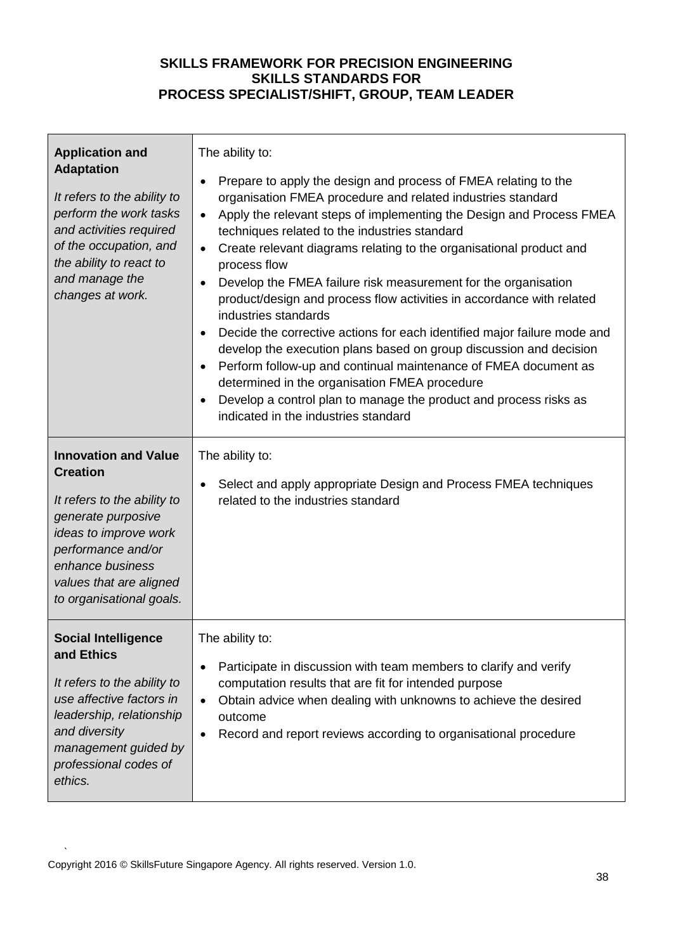| <b>Application and</b><br><b>Adaptation</b><br>It refers to the ability to<br>perform the work tasks<br>and activities required<br>of the occupation, and<br>the ability to react to<br>and manage the<br>changes at work.    | The ability to:<br>Prepare to apply the design and process of FMEA relating to the<br>$\bullet$<br>organisation FMEA procedure and related industries standard<br>Apply the relevant steps of implementing the Design and Process FMEA<br>$\bullet$<br>techniques related to the industries standard<br>Create relevant diagrams relating to the organisational product and<br>$\bullet$<br>process flow<br>Develop the FMEA failure risk measurement for the organisation<br>$\bullet$<br>product/design and process flow activities in accordance with related<br>industries standards<br>Decide the corrective actions for each identified major failure mode and<br>develop the execution plans based on group discussion and decision<br>Perform follow-up and continual maintenance of FMEA document as<br>$\bullet$<br>determined in the organisation FMEA procedure<br>Develop a control plan to manage the product and process risks as<br>indicated in the industries standard |
|-------------------------------------------------------------------------------------------------------------------------------------------------------------------------------------------------------------------------------|------------------------------------------------------------------------------------------------------------------------------------------------------------------------------------------------------------------------------------------------------------------------------------------------------------------------------------------------------------------------------------------------------------------------------------------------------------------------------------------------------------------------------------------------------------------------------------------------------------------------------------------------------------------------------------------------------------------------------------------------------------------------------------------------------------------------------------------------------------------------------------------------------------------------------------------------------------------------------------------|
| <b>Innovation and Value</b><br><b>Creation</b><br>It refers to the ability to<br>generate purposive<br>ideas to improve work<br>performance and/or<br>enhance business<br>values that are aligned<br>to organisational goals. | The ability to:<br>Select and apply appropriate Design and Process FMEA techniques<br>related to the industries standard                                                                                                                                                                                                                                                                                                                                                                                                                                                                                                                                                                                                                                                                                                                                                                                                                                                                 |
| <b>Social Intelligence</b><br>and Ethics<br>It refers to the ability to<br>use affective factors in<br>leadership, relationship<br>and diversity<br>management guided by<br>professional codes of<br>ethics.                  | The ability to:<br>Participate in discussion with team members to clarify and verify<br>computation results that are fit for intended purpose<br>Obtain advice when dealing with unknowns to achieve the desired<br>$\bullet$<br>outcome<br>Record and report reviews according to organisational procedure                                                                                                                                                                                                                                                                                                                                                                                                                                                                                                                                                                                                                                                                              |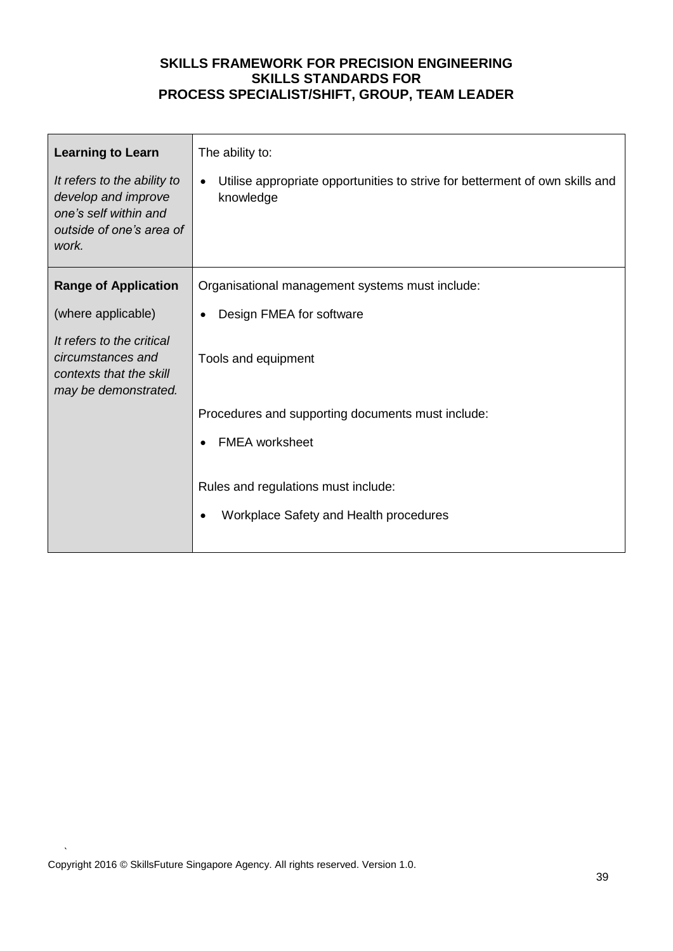| <b>Learning to Learn</b><br>It refers to the ability to<br>develop and improve<br>one's self within and<br>outside of one's area of<br>work.           | The ability to:<br>Utilise appropriate opportunities to strive for betterment of own skills and<br>$\bullet$<br>knowledge                                                                                                                                         |
|--------------------------------------------------------------------------------------------------------------------------------------------------------|-------------------------------------------------------------------------------------------------------------------------------------------------------------------------------------------------------------------------------------------------------------------|
| <b>Range of Application</b><br>(where applicable)<br>It refers to the critical<br>circumstances and<br>contexts that the skill<br>may be demonstrated. | Organisational management systems must include:<br>Design FMEA for software<br>Tools and equipment<br>Procedures and supporting documents must include:<br><b>FMEA</b> worksheet<br>Rules and regulations must include:<br>Workplace Safety and Health procedures |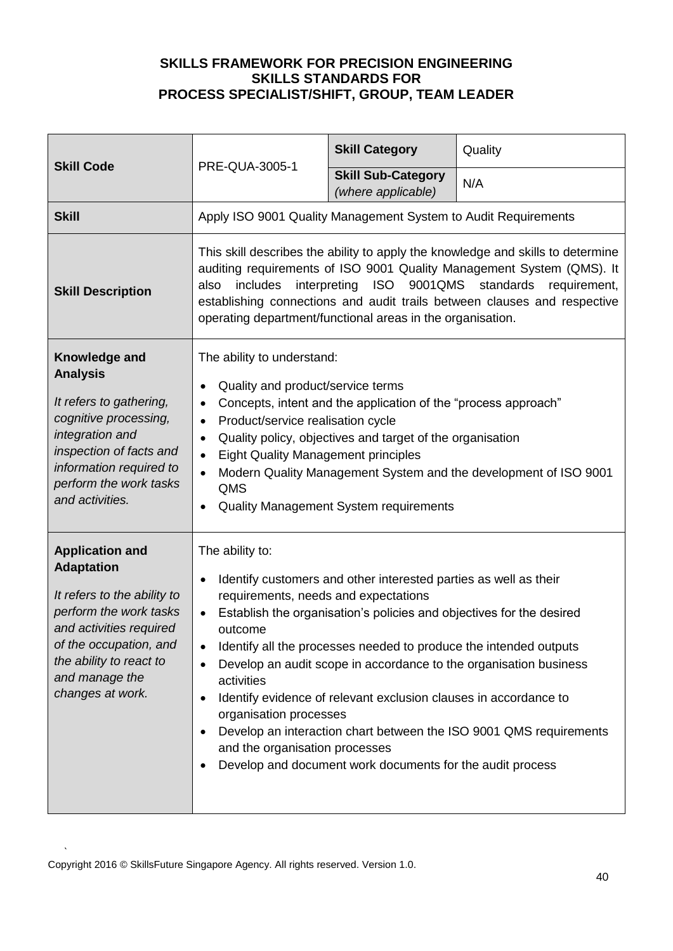| <b>Skill Code</b>                                                                                                                                                                                                          | PRE-QUA-3005-1                                                                                                                                                                                                                                                                                                                                                                                                                                                                                                                                                                                                                                                      | <b>Skill Category</b>                           | Quality |
|----------------------------------------------------------------------------------------------------------------------------------------------------------------------------------------------------------------------------|---------------------------------------------------------------------------------------------------------------------------------------------------------------------------------------------------------------------------------------------------------------------------------------------------------------------------------------------------------------------------------------------------------------------------------------------------------------------------------------------------------------------------------------------------------------------------------------------------------------------------------------------------------------------|-------------------------------------------------|---------|
|                                                                                                                                                                                                                            |                                                                                                                                                                                                                                                                                                                                                                                                                                                                                                                                                                                                                                                                     | <b>Skill Sub-Category</b><br>(where applicable) | N/A     |
| <b>Skill</b>                                                                                                                                                                                                               | Apply ISO 9001 Quality Management System to Audit Requirements                                                                                                                                                                                                                                                                                                                                                                                                                                                                                                                                                                                                      |                                                 |         |
| <b>Skill Description</b>                                                                                                                                                                                                   | This skill describes the ability to apply the knowledge and skills to determine<br>auditing requirements of ISO 9001 Quality Management System (QMS). It<br>9001QMS<br><b>ISO</b><br>standards<br>includes<br>interpreting<br>requirement,<br>also<br>establishing connections and audit trails between clauses and respective<br>operating department/functional areas in the organisation.                                                                                                                                                                                                                                                                        |                                                 |         |
| Knowledge and<br><b>Analysis</b><br>It refers to gathering,<br>cognitive processing,<br>integration and<br>inspection of facts and<br>information required to<br>perform the work tasks<br>and activities.                 | The ability to understand:<br>Quality and product/service terms<br>Concepts, intent and the application of the "process approach"<br>$\bullet$<br>Product/service realisation cycle<br>$\bullet$<br>Quality policy, objectives and target of the organisation<br>$\bullet$<br><b>Eight Quality Management principles</b><br>$\bullet$<br>Modern Quality Management System and the development of ISO 9001<br><b>QMS</b><br><b>Quality Management System requirements</b>                                                                                                                                                                                            |                                                 |         |
| <b>Application and</b><br><b>Adaptation</b><br>It refers to the ability to<br>perform the work tasks<br>and activities required<br>of the occupation, and<br>the ability to react to<br>and manage the<br>changes at work. | The ability to:<br>Identify customers and other interested parties as well as their<br>$\bullet$<br>requirements, needs and expectations<br>Establish the organisation's policies and objectives for the desired<br>$\bullet$<br>outcome<br>Identify all the processes needed to produce the intended outputs<br>Develop an audit scope in accordance to the organisation business<br>activities<br>Identify evidence of relevant exclusion clauses in accordance to<br>organisation processes<br>Develop an interaction chart between the ISO 9001 QMS requirements<br>and the organisation processes<br>Develop and document work documents for the audit process |                                                 |         |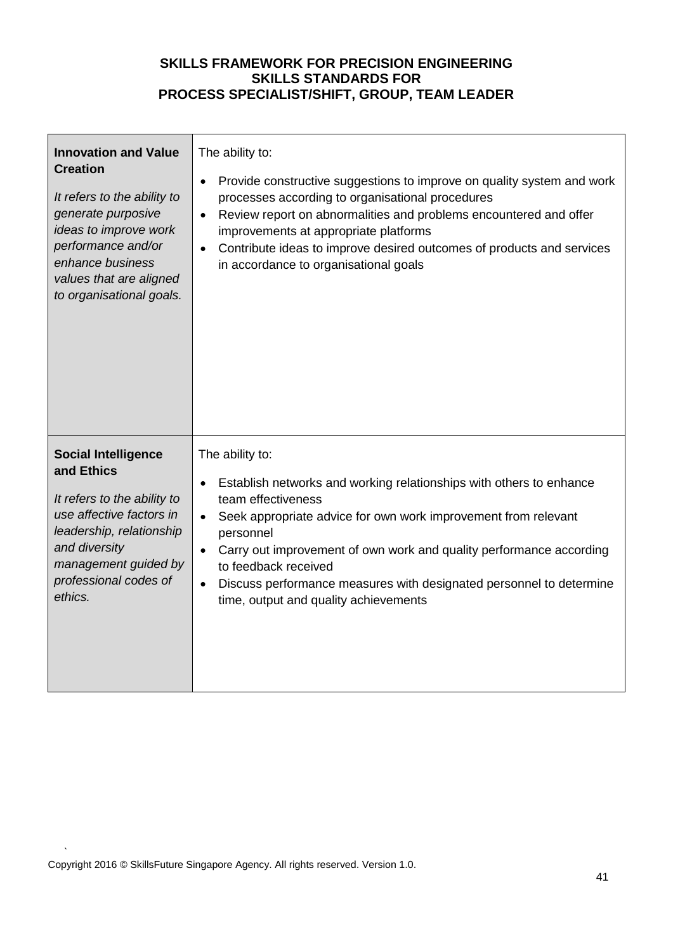| <b>Innovation and Value</b><br><b>Creation</b><br>It refers to the ability to<br>generate purposive<br>ideas to improve work<br>performance and/or<br>enhance business<br>values that are aligned<br>to organisational goals. | The ability to:<br>Provide constructive suggestions to improve on quality system and work<br>$\bullet$<br>processes according to organisational procedures<br>Review report on abnormalities and problems encountered and offer<br>$\bullet$<br>improvements at appropriate platforms<br>Contribute ideas to improve desired outcomes of products and services<br>$\bullet$<br>in accordance to organisational goals                              |
|-------------------------------------------------------------------------------------------------------------------------------------------------------------------------------------------------------------------------------|---------------------------------------------------------------------------------------------------------------------------------------------------------------------------------------------------------------------------------------------------------------------------------------------------------------------------------------------------------------------------------------------------------------------------------------------------|
| <b>Social Intelligence</b><br>and Ethics<br>It refers to the ability to<br>use affective factors in<br>leadership, relationship<br>and diversity<br>management guided by<br>professional codes of<br>ethics.                  | The ability to:<br>Establish networks and working relationships with others to enhance<br>$\bullet$<br>team effectiveness<br>Seek appropriate advice for own work improvement from relevant<br>$\bullet$<br>personnel<br>Carry out improvement of own work and quality performance according<br>$\bullet$<br>to feedback received<br>Discuss performance measures with designated personnel to determine<br>time, output and quality achievements |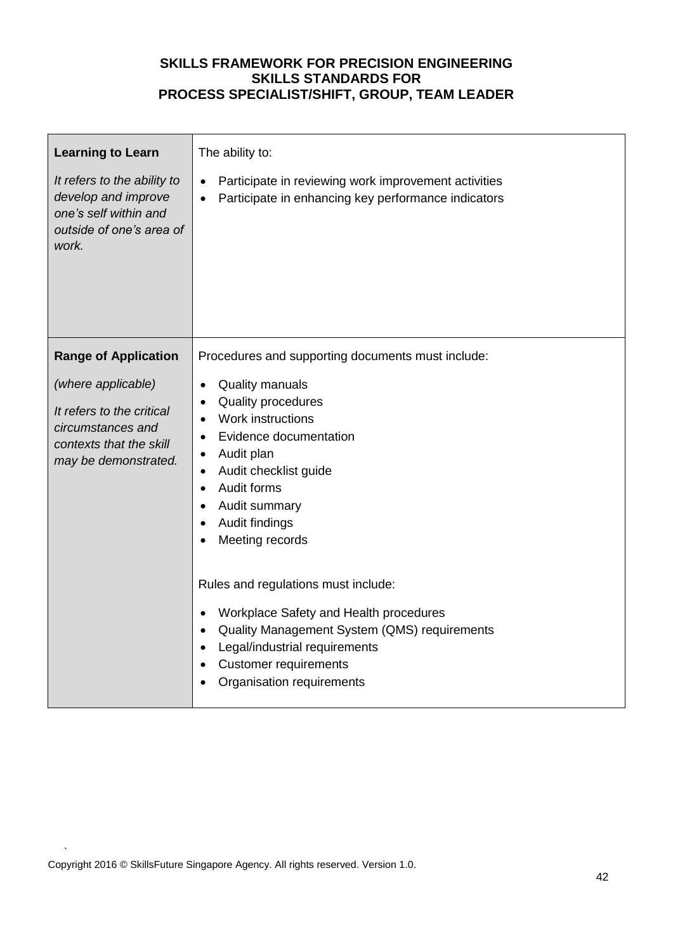| <b>Learning to Learn</b><br>It refers to the ability to<br>develop and improve<br>one's self within and<br>outside of one's area of<br>work.           | The ability to:<br>Participate in reviewing work improvement activities<br>Participate in enhancing key performance indicators<br>$\bullet$                                                                                                                                                                                                                                                                                                                                                                                                                               |
|--------------------------------------------------------------------------------------------------------------------------------------------------------|---------------------------------------------------------------------------------------------------------------------------------------------------------------------------------------------------------------------------------------------------------------------------------------------------------------------------------------------------------------------------------------------------------------------------------------------------------------------------------------------------------------------------------------------------------------------------|
| <b>Range of Application</b><br>(where applicable)<br>It refers to the critical<br>circumstances and<br>contexts that the skill<br>may be demonstrated. | Procedures and supporting documents must include:<br><b>Quality manuals</b><br>$\bullet$<br>Quality procedures<br>Work instructions<br>$\bullet$<br>Evidence documentation<br>$\bullet$<br>Audit plan<br>$\bullet$<br>Audit checklist guide<br>$\bullet$<br>Audit forms<br>$\bullet$<br>Audit summary<br>Audit findings<br>Meeting records<br>Rules and regulations must include:<br>Workplace Safety and Health procedures<br>Quality Management System (QMS) requirements<br>Legal/industrial requirements<br><b>Customer requirements</b><br>Organisation requirements |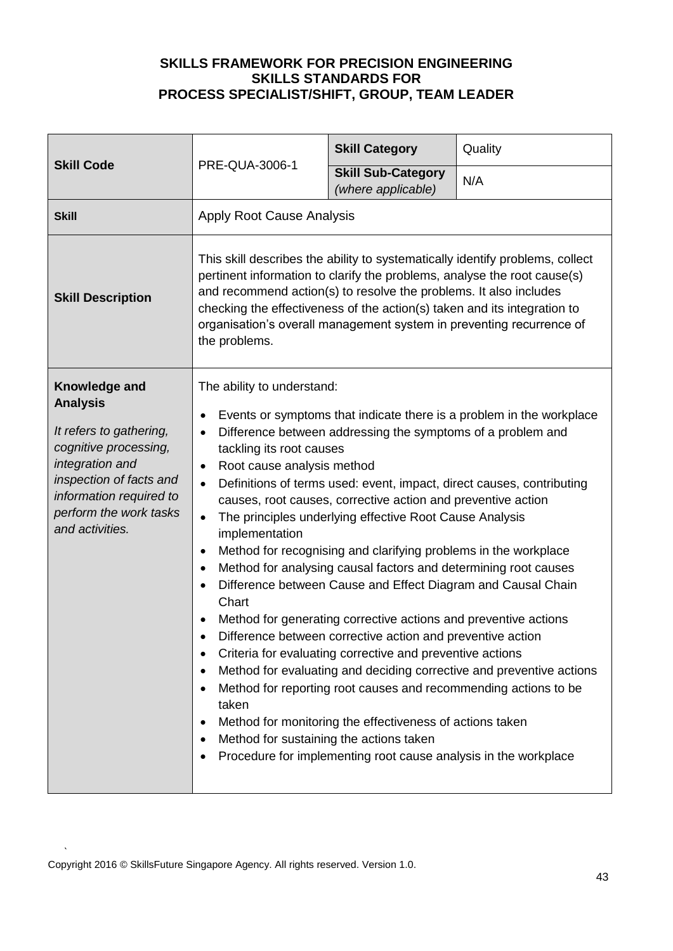| <b>Skill Code</b>                                                                                                                                                                                          |                                                                                                                                                                                                                                                                                                                                                                                                                                                                                                                                                                                                                                                                                                                                                                                                                                                                                                                                                                                                                                                                                                                                                                                                                                                                                                                            | <b>Skill Category</b>                           | Quality |
|------------------------------------------------------------------------------------------------------------------------------------------------------------------------------------------------------------|----------------------------------------------------------------------------------------------------------------------------------------------------------------------------------------------------------------------------------------------------------------------------------------------------------------------------------------------------------------------------------------------------------------------------------------------------------------------------------------------------------------------------------------------------------------------------------------------------------------------------------------------------------------------------------------------------------------------------------------------------------------------------------------------------------------------------------------------------------------------------------------------------------------------------------------------------------------------------------------------------------------------------------------------------------------------------------------------------------------------------------------------------------------------------------------------------------------------------------------------------------------------------------------------------------------------------|-------------------------------------------------|---------|
|                                                                                                                                                                                                            | PRE-QUA-3006-1                                                                                                                                                                                                                                                                                                                                                                                                                                                                                                                                                                                                                                                                                                                                                                                                                                                                                                                                                                                                                                                                                                                                                                                                                                                                                                             | <b>Skill Sub-Category</b><br>(where applicable) | N/A     |
| <b>Skill</b>                                                                                                                                                                                               | <b>Apply Root Cause Analysis</b>                                                                                                                                                                                                                                                                                                                                                                                                                                                                                                                                                                                                                                                                                                                                                                                                                                                                                                                                                                                                                                                                                                                                                                                                                                                                                           |                                                 |         |
| <b>Skill Description</b>                                                                                                                                                                                   | This skill describes the ability to systematically identify problems, collect<br>pertinent information to clarify the problems, analyse the root cause(s)<br>and recommend action(s) to resolve the problems. It also includes<br>checking the effectiveness of the action(s) taken and its integration to<br>organisation's overall management system in preventing recurrence of<br>the problems.                                                                                                                                                                                                                                                                                                                                                                                                                                                                                                                                                                                                                                                                                                                                                                                                                                                                                                                        |                                                 |         |
| Knowledge and<br><b>Analysis</b><br>It refers to gathering,<br>cognitive processing,<br>integration and<br>inspection of facts and<br>information required to<br>perform the work tasks<br>and activities. | The ability to understand:<br>Events or symptoms that indicate there is a problem in the workplace<br>٠<br>Difference between addressing the symptoms of a problem and<br>$\bullet$<br>tackling its root causes<br>Root cause analysis method<br>$\bullet$<br>Definitions of terms used: event, impact, direct causes, contributing<br>$\bullet$<br>causes, root causes, corrective action and preventive action<br>The principles underlying effective Root Cause Analysis<br>$\bullet$<br>implementation<br>Method for recognising and clarifying problems in the workplace<br>$\bullet$<br>Method for analysing causal factors and determining root causes<br>$\bullet$<br>Difference between Cause and Effect Diagram and Causal Chain<br>$\bullet$<br>Chart<br>Method for generating corrective actions and preventive actions<br>Difference between corrective action and preventive action<br>٠<br>Criteria for evaluating corrective and preventive actions<br>٠<br>Method for evaluating and deciding corrective and preventive actions<br>٠<br>Method for reporting root causes and recommending actions to be<br>taken<br>Method for monitoring the effectiveness of actions taken<br>٠<br>Method for sustaining the actions taken<br>٠<br>Procedure for implementing root cause analysis in the workplace<br>٠ |                                                 |         |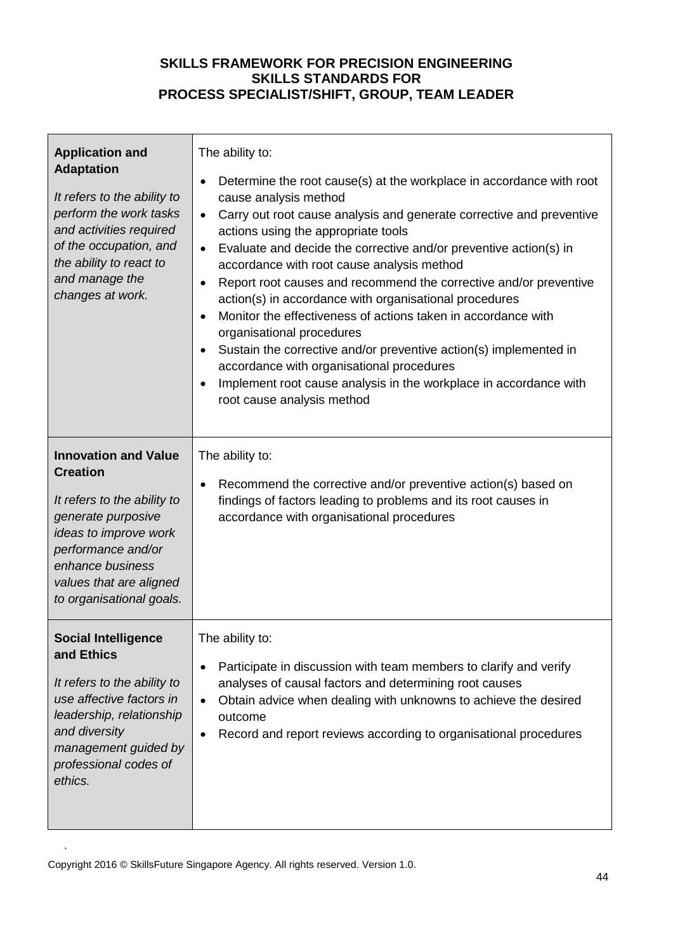| <b>Application and</b><br><b>Adaptation</b><br>It refers to the ability to<br>perform the work tasks<br>and activities required<br>of the occupation, and<br>the ability to react to<br>and manage the<br>changes at work.    | The ability to:<br>Determine the root cause(s) at the workplace in accordance with root<br>$\bullet$<br>cause analysis method<br>Carry out root cause analysis and generate corrective and preventive<br>$\bullet$<br>actions using the appropriate tools<br>Evaluate and decide the corrective and/or preventive action(s) in<br>$\bullet$<br>accordance with root cause analysis method<br>Report root causes and recommend the corrective and/or preventive<br>$\bullet$<br>action(s) in accordance with organisational procedures<br>Monitor the effectiveness of actions taken in accordance with<br>$\bullet$<br>organisational procedures<br>Sustain the corrective and/or preventive action(s) implemented in<br>$\bullet$<br>accordance with organisational procedures<br>Implement root cause analysis in the workplace in accordance with<br>$\bullet$<br>root cause analysis method |
|-------------------------------------------------------------------------------------------------------------------------------------------------------------------------------------------------------------------------------|-------------------------------------------------------------------------------------------------------------------------------------------------------------------------------------------------------------------------------------------------------------------------------------------------------------------------------------------------------------------------------------------------------------------------------------------------------------------------------------------------------------------------------------------------------------------------------------------------------------------------------------------------------------------------------------------------------------------------------------------------------------------------------------------------------------------------------------------------------------------------------------------------|
| <b>Innovation and Value</b><br><b>Creation</b><br>It refers to the ability to<br>generate purposive<br>ideas to improve work<br>performance and/or<br>enhance business<br>values that are aligned<br>to organisational goals. | The ability to:<br>Recommend the corrective and/or preventive action(s) based on<br>$\bullet$<br>findings of factors leading to problems and its root causes in<br>accordance with organisational procedures                                                                                                                                                                                                                                                                                                                                                                                                                                                                                                                                                                                                                                                                                    |
| <b>Social Intelligence</b><br>and Ethics<br>It refers to the ability to<br>use affective factors in<br>leadership, relationship<br>and diversity<br>management guided by<br>professional codes of<br>ethics.                  | The ability to:<br>Participate in discussion with team members to clarify and verify<br>$\bullet$<br>analyses of causal factors and determining root causes<br>Obtain advice when dealing with unknowns to achieve the desired<br>$\bullet$<br>outcome<br>Record and report reviews according to organisational procedures<br>$\bullet$                                                                                                                                                                                                                                                                                                                                                                                                                                                                                                                                                         |

 $\mathbf{r}$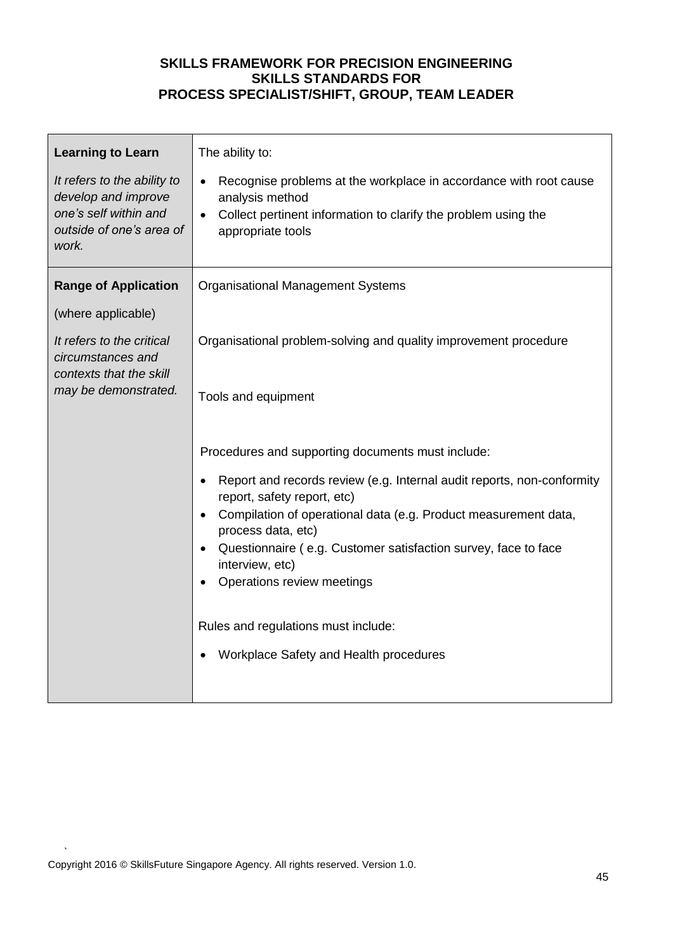| <b>Learning to Learn</b><br>It refers to the ability to                           | The ability to:<br>Recognise problems at the workplace in accordance with root cause<br>$\bullet$                   |  |  |
|-----------------------------------------------------------------------------------|---------------------------------------------------------------------------------------------------------------------|--|--|
| develop and improve<br>one's self within and<br>outside of one's area of<br>work. | analysis method<br>Collect pertinent information to clarify the problem using the<br>$\bullet$<br>appropriate tools |  |  |
| <b>Range of Application</b>                                                       | <b>Organisational Management Systems</b>                                                                            |  |  |
| (where applicable)                                                                |                                                                                                                     |  |  |
| It refers to the critical<br>circumstances and<br>contexts that the skill         | Organisational problem-solving and quality improvement procedure                                                    |  |  |
| may be demonstrated.                                                              | Tools and equipment                                                                                                 |  |  |
|                                                                                   | Procedures and supporting documents must include:                                                                   |  |  |
|                                                                                   | Report and records review (e.g. Internal audit reports, non-conformity<br>$\bullet$<br>report, safety report, etc)  |  |  |
|                                                                                   | Compilation of operational data (e.g. Product measurement data,<br>process data, etc)                               |  |  |
|                                                                                   | Questionnaire (e.g. Customer satisfaction survey, face to face<br>$\bullet$<br>interview, etc)                      |  |  |
|                                                                                   | Operations review meetings                                                                                          |  |  |
|                                                                                   | Rules and regulations must include:                                                                                 |  |  |
|                                                                                   | Workplace Safety and Health procedures                                                                              |  |  |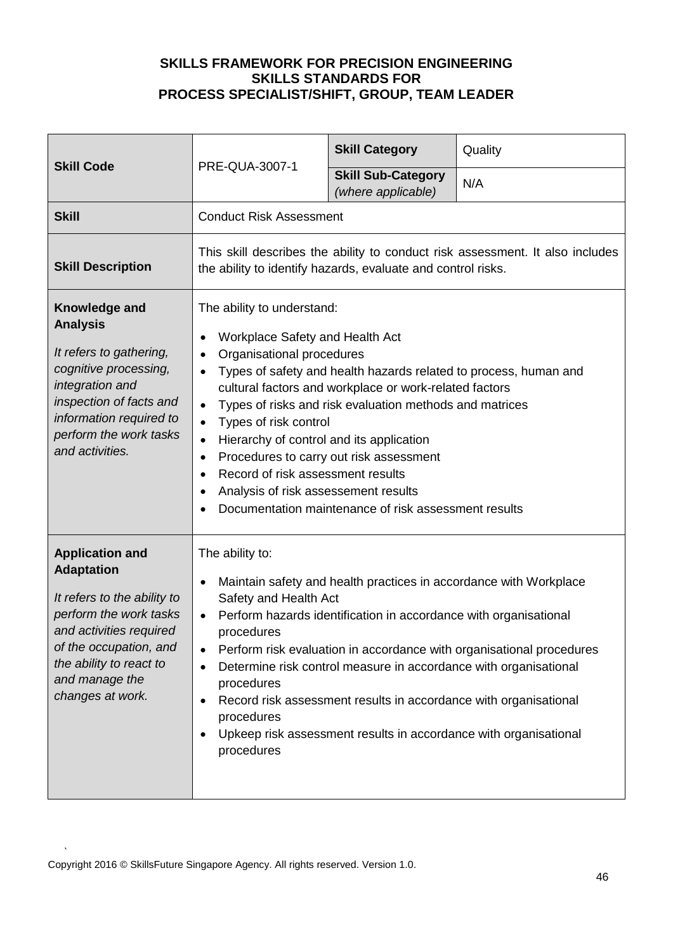| <b>Skill Code</b>                                                                                                                                                                                                          | PRE-QUA-3007-1                                                                                                                                                                                                                                                                                                                                                                                                                                                                                                                                                                                                                      | <b>Skill Category</b>                           | Quality |
|----------------------------------------------------------------------------------------------------------------------------------------------------------------------------------------------------------------------------|-------------------------------------------------------------------------------------------------------------------------------------------------------------------------------------------------------------------------------------------------------------------------------------------------------------------------------------------------------------------------------------------------------------------------------------------------------------------------------------------------------------------------------------------------------------------------------------------------------------------------------------|-------------------------------------------------|---------|
|                                                                                                                                                                                                                            |                                                                                                                                                                                                                                                                                                                                                                                                                                                                                                                                                                                                                                     | <b>Skill Sub-Category</b><br>(where applicable) | N/A     |
| <b>Skill</b>                                                                                                                                                                                                               | <b>Conduct Risk Assessment</b>                                                                                                                                                                                                                                                                                                                                                                                                                                                                                                                                                                                                      |                                                 |         |
| <b>Skill Description</b>                                                                                                                                                                                                   | This skill describes the ability to conduct risk assessment. It also includes<br>the ability to identify hazards, evaluate and control risks.                                                                                                                                                                                                                                                                                                                                                                                                                                                                                       |                                                 |         |
| Knowledge and<br><b>Analysis</b><br>It refers to gathering,<br>cognitive processing,<br>integration and<br>inspection of facts and<br>information required to<br>perform the work tasks<br>and activities.                 | The ability to understand:<br>Workplace Safety and Health Act<br>Organisational procedures<br>$\bullet$<br>Types of safety and health hazards related to process, human and<br>cultural factors and workplace or work-related factors<br>Types of risks and risk evaluation methods and matrices<br>$\bullet$<br>Types of risk control<br>$\bullet$<br>Hierarchy of control and its application<br>$\bullet$<br>Procedures to carry out risk assessment<br>$\bullet$<br>Record of risk assessment results<br>$\bullet$<br>Analysis of risk assessement results<br>$\bullet$<br>Documentation maintenance of risk assessment results |                                                 |         |
| <b>Application and</b><br><b>Adaptation</b><br>It refers to the ability to<br>perform the work tasks<br>and activities required<br>of the occupation, and<br>the ability to react to<br>and manage the<br>changes at work. | The ability to:<br>Maintain safety and health practices in accordance with Workplace<br>$\bullet$<br>Safety and Health Act<br>Perform hazards identification in accordance with organisational<br>procedures<br>Perform risk evaluation in accordance with organisational procedures<br>Determine risk control measure in accordance with organisational<br>procedures<br>Record risk assessment results in accordance with organisational<br>procedures<br>Upkeep risk assessment results in accordance with organisational<br>procedures                                                                                          |                                                 |         |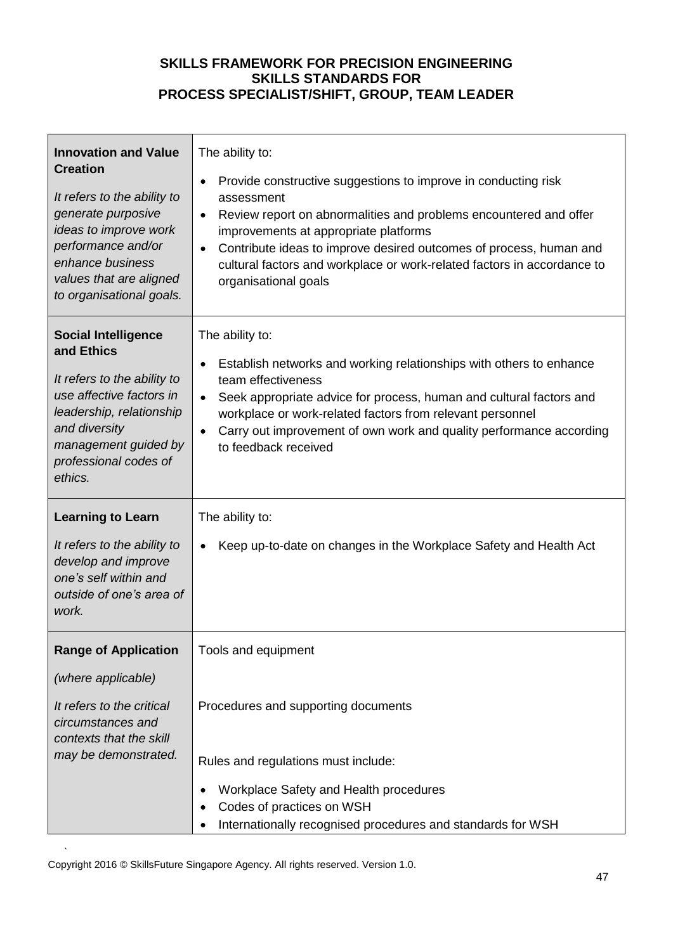| <b>Innovation and Value</b><br><b>Creation</b><br>It refers to the ability to<br>generate purposive<br>ideas to improve work<br>performance and/or<br>enhance business<br>values that are aligned<br>to organisational goals. | The ability to:<br>Provide constructive suggestions to improve in conducting risk<br>$\bullet$<br>assessment<br>Review report on abnormalities and problems encountered and offer<br>$\bullet$<br>improvements at appropriate platforms<br>Contribute ideas to improve desired outcomes of process, human and<br>$\bullet$<br>cultural factors and workplace or work-related factors in accordance to<br>organisational goals |
|-------------------------------------------------------------------------------------------------------------------------------------------------------------------------------------------------------------------------------|-------------------------------------------------------------------------------------------------------------------------------------------------------------------------------------------------------------------------------------------------------------------------------------------------------------------------------------------------------------------------------------------------------------------------------|
| <b>Social Intelligence</b><br>and Ethics<br>It refers to the ability to<br>use affective factors in<br>leadership, relationship<br>and diversity<br>management guided by<br>professional codes of<br>ethics.                  | The ability to:<br>Establish networks and working relationships with others to enhance<br>$\bullet$<br>team effectiveness<br>Seek appropriate advice for process, human and cultural factors and<br>$\bullet$<br>workplace or work-related factors from relevant personnel<br>Carry out improvement of own work and quality performance according<br>$\bullet$<br>to feedback received                                        |
| <b>Learning to Learn</b><br>It refers to the ability to<br>develop and improve<br>one's self within and<br>outside of one's area of<br>work.                                                                                  | The ability to:<br>Keep up-to-date on changes in the Workplace Safety and Health Act<br>$\bullet$                                                                                                                                                                                                                                                                                                                             |
| <b>Range of Application</b><br>(where applicable)<br>It refers to the critical<br>circumstances and<br>contexts that the skill<br>may be demonstrated.                                                                        | Tools and equipment<br>Procedures and supporting documents<br>Rules and regulations must include:                                                                                                                                                                                                                                                                                                                             |
|                                                                                                                                                                                                                               | Workplace Safety and Health procedures<br>$\bullet$<br>Codes of practices on WSH<br>Internationally recognised procedures and standards for WSH                                                                                                                                                                                                                                                                               |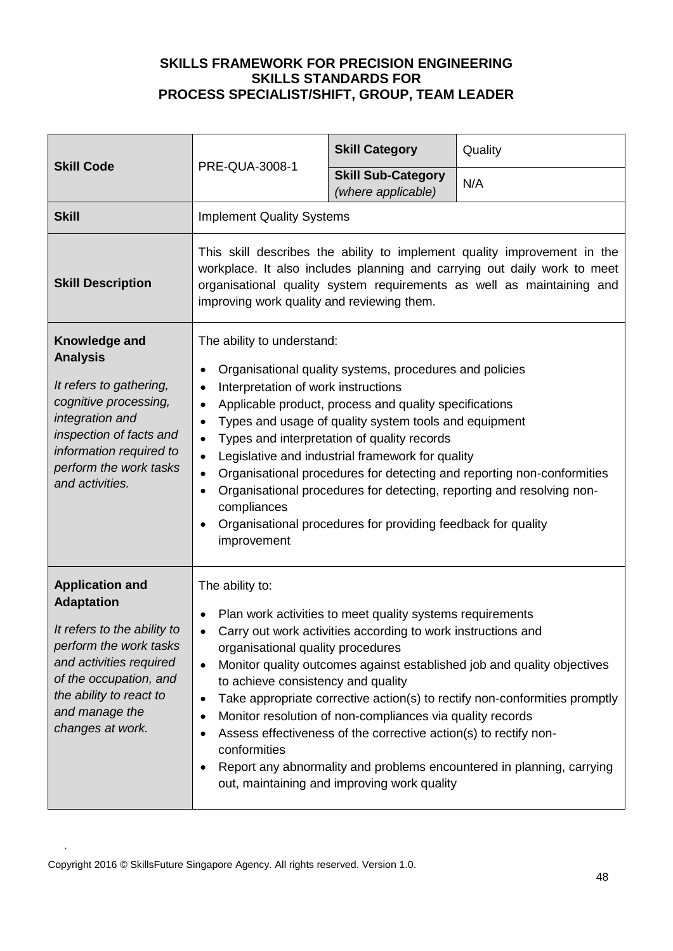| <b>Skill Code</b>                                                                                                                                                                                                          |                                                                                                                                                                                                                                                                                                                                                                                                                                                                                                                                                                                                                                                                                                             | <b>Skill Category</b>                           | Quality |
|----------------------------------------------------------------------------------------------------------------------------------------------------------------------------------------------------------------------------|-------------------------------------------------------------------------------------------------------------------------------------------------------------------------------------------------------------------------------------------------------------------------------------------------------------------------------------------------------------------------------------------------------------------------------------------------------------------------------------------------------------------------------------------------------------------------------------------------------------------------------------------------------------------------------------------------------------|-------------------------------------------------|---------|
|                                                                                                                                                                                                                            | PRE-QUA-3008-1                                                                                                                                                                                                                                                                                                                                                                                                                                                                                                                                                                                                                                                                                              | <b>Skill Sub-Category</b><br>(where applicable) | N/A     |
| <b>Skill</b>                                                                                                                                                                                                               | <b>Implement Quality Systems</b>                                                                                                                                                                                                                                                                                                                                                                                                                                                                                                                                                                                                                                                                            |                                                 |         |
| <b>Skill Description</b>                                                                                                                                                                                                   | This skill describes the ability to implement quality improvement in the<br>workplace. It also includes planning and carrying out daily work to meet<br>organisational quality system requirements as well as maintaining and<br>improving work quality and reviewing them.                                                                                                                                                                                                                                                                                                                                                                                                                                 |                                                 |         |
| Knowledge and<br><b>Analysis</b><br>It refers to gathering,<br>cognitive processing,<br>integration and<br>inspection of facts and<br>information required to<br>perform the work tasks<br>and activities.                 | The ability to understand:<br>Organisational quality systems, procedures and policies<br>Interpretation of work instructions<br>$\bullet$<br>Applicable product, process and quality specifications<br>$\bullet$<br>Types and usage of quality system tools and equipment<br>$\bullet$<br>Types and interpretation of quality records<br>$\bullet$<br>Legislative and industrial framework for quality<br>$\bullet$<br>Organisational procedures for detecting and reporting non-conformities<br>$\bullet$<br>Organisational procedures for detecting, reporting and resolving non-<br>$\bullet$<br>compliances<br>Organisational procedures for providing feedback for quality<br>$\bullet$<br>improvement |                                                 |         |
| <b>Application and</b><br><b>Adaptation</b><br>It refers to the ability to<br>perform the work tasks<br>and activities required<br>of the occupation, and<br>the ability to react to<br>and manage the<br>changes at work. | The ability to:<br>Plan work activities to meet quality systems requirements<br>Carry out work activities according to work instructions and<br>organisational quality procedures<br>Monitor quality outcomes against established job and quality objectives<br>$\bullet$<br>to achieve consistency and quality<br>Take appropriate corrective action(s) to rectify non-conformities promptly<br>$\bullet$<br>Monitor resolution of non-compliances via quality records<br>Assess effectiveness of the corrective action(s) to rectify non-<br>conformities<br>Report any abnormality and problems encountered in planning, carrying<br>out, maintaining and improving work quality                         |                                                 |         |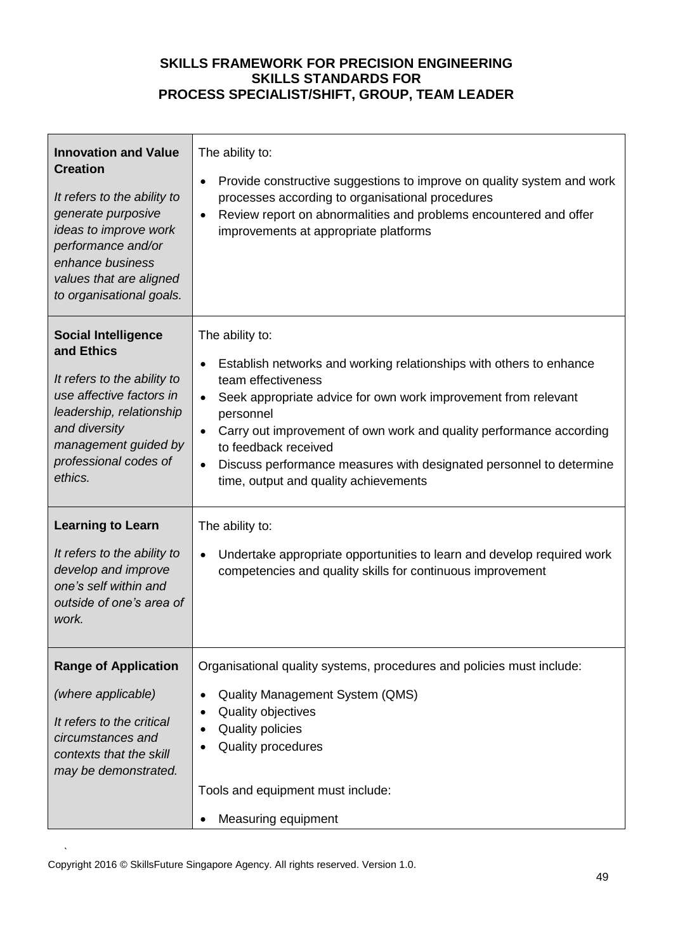| <b>Innovation and Value</b><br><b>Creation</b><br>It refers to the ability to<br>generate purposive<br>ideas to improve work<br>performance and/or<br>enhance business<br>values that are aligned<br>to organisational goals. | The ability to:<br>Provide constructive suggestions to improve on quality system and work<br>$\bullet$<br>processes according to organisational procedures<br>Review report on abnormalities and problems encountered and offer<br>$\bullet$<br>improvements at appropriate platforms                                                                                                                                                                  |
|-------------------------------------------------------------------------------------------------------------------------------------------------------------------------------------------------------------------------------|--------------------------------------------------------------------------------------------------------------------------------------------------------------------------------------------------------------------------------------------------------------------------------------------------------------------------------------------------------------------------------------------------------------------------------------------------------|
| <b>Social Intelligence</b><br>and Ethics<br>It refers to the ability to<br>use affective factors in<br>leadership, relationship<br>and diversity<br>management guided by<br>professional codes of<br>ethics.                  | The ability to:<br>Establish networks and working relationships with others to enhance<br>٠<br>team effectiveness<br>Seek appropriate advice for own work improvement from relevant<br>$\bullet$<br>personnel<br>Carry out improvement of own work and quality performance according<br>$\bullet$<br>to feedback received<br>Discuss performance measures with designated personnel to determine<br>$\bullet$<br>time, output and quality achievements |
| <b>Learning to Learn</b><br>It refers to the ability to<br>develop and improve<br>one's self within and<br>outside of one's area of<br>work.                                                                                  | The ability to:<br>Undertake appropriate opportunities to learn and develop required work<br>$\bullet$<br>competencies and quality skills for continuous improvement                                                                                                                                                                                                                                                                                   |
| <b>Range of Application</b><br>(where applicable)<br>It refers to the critical<br>circumstances and<br>contexts that the skill<br>may be demonstrated.                                                                        | Organisational quality systems, procedures and policies must include:<br><b>Quality Management System (QMS)</b><br>Quality objectives<br><b>Quality policies</b><br>Quality procedures<br>Tools and equipment must include:<br>Measuring equipment                                                                                                                                                                                                     |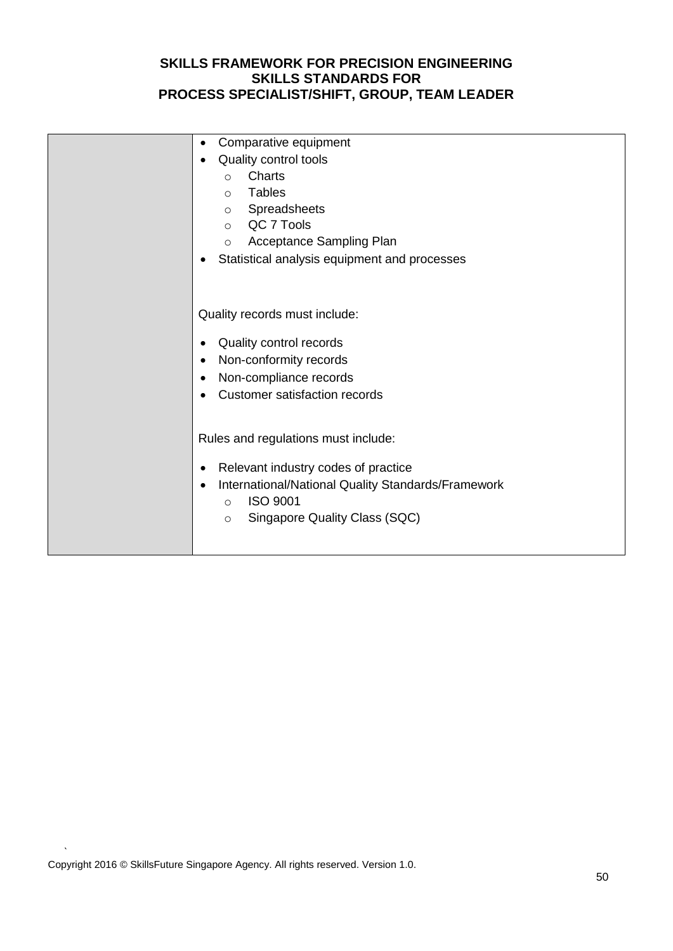| Comparative equipment<br>٠<br>Quality control tools<br>Charts<br>$\circ$<br>Tables<br>$\circ$<br>Spreadsheets<br>$\circ$<br>o QC 7 Tools<br>Acceptance Sampling Plan<br>$\circ$<br>Statistical analysis equipment and processes |
|---------------------------------------------------------------------------------------------------------------------------------------------------------------------------------------------------------------------------------|
| Quality records must include:<br>Quality control records<br>Non-conformity records<br>Non-compliance records<br><b>Customer satisfaction records</b>                                                                            |
| Rules and regulations must include:<br>Relevant industry codes of practice<br>International/National Quality Standards/Framework<br><b>ISO 9001</b><br>$\circ$<br>Singapore Quality Class (SQC)<br>$\circ$                      |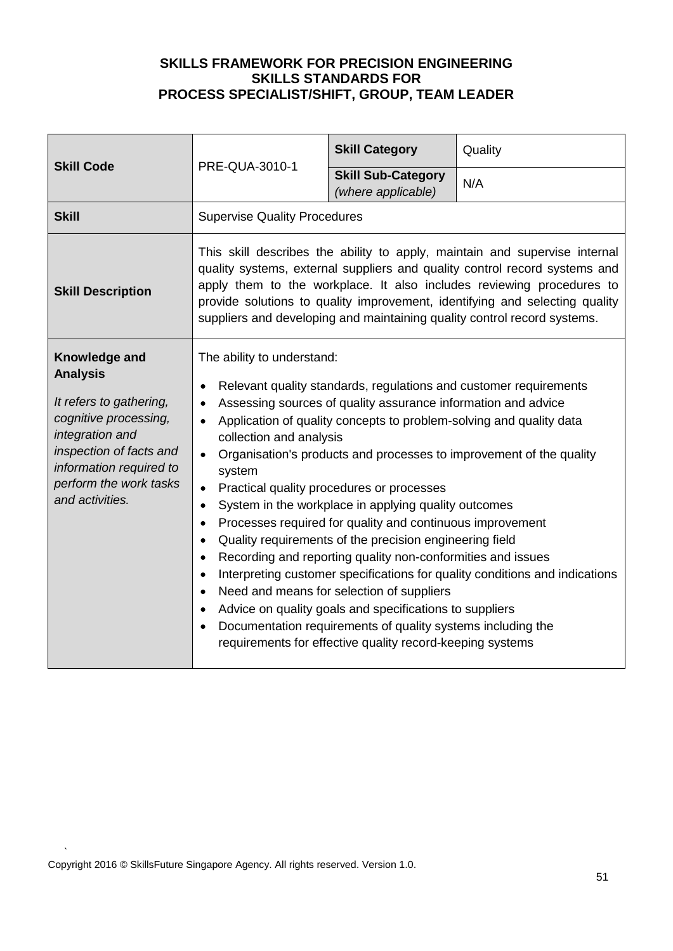| <b>Skill Code</b>                                                                                                                                                                                          | PRE-QUA-3010-1                                                                                                                                                                                                                                                                                                                                                                                                                                                                                                                                                                                                                                                                                                                                                                                                                                                                                                                                                                                                                      | <b>Skill Category</b>                           | Quality |
|------------------------------------------------------------------------------------------------------------------------------------------------------------------------------------------------------------|-------------------------------------------------------------------------------------------------------------------------------------------------------------------------------------------------------------------------------------------------------------------------------------------------------------------------------------------------------------------------------------------------------------------------------------------------------------------------------------------------------------------------------------------------------------------------------------------------------------------------------------------------------------------------------------------------------------------------------------------------------------------------------------------------------------------------------------------------------------------------------------------------------------------------------------------------------------------------------------------------------------------------------------|-------------------------------------------------|---------|
|                                                                                                                                                                                                            |                                                                                                                                                                                                                                                                                                                                                                                                                                                                                                                                                                                                                                                                                                                                                                                                                                                                                                                                                                                                                                     | <b>Skill Sub-Category</b><br>(where applicable) | N/A     |
| <b>Skill</b>                                                                                                                                                                                               | <b>Supervise Quality Procedures</b>                                                                                                                                                                                                                                                                                                                                                                                                                                                                                                                                                                                                                                                                                                                                                                                                                                                                                                                                                                                                 |                                                 |         |
| <b>Skill Description</b>                                                                                                                                                                                   | This skill describes the ability to apply, maintain and supervise internal<br>quality systems, external suppliers and quality control record systems and<br>apply them to the workplace. It also includes reviewing procedures to<br>provide solutions to quality improvement, identifying and selecting quality<br>suppliers and developing and maintaining quality control record systems.                                                                                                                                                                                                                                                                                                                                                                                                                                                                                                                                                                                                                                        |                                                 |         |
| Knowledge and<br><b>Analysis</b><br>It refers to gathering,<br>cognitive processing,<br>integration and<br>inspection of facts and<br>information required to<br>perform the work tasks<br>and activities. | The ability to understand:<br>Relevant quality standards, regulations and customer requirements<br>Assessing sources of quality assurance information and advice<br>Application of quality concepts to problem-solving and quality data<br>collection and analysis<br>Organisation's products and processes to improvement of the quality<br>$\bullet$<br>system<br>Practical quality procedures or processes<br>System in the workplace in applying quality outcomes<br>$\bullet$<br>Processes required for quality and continuous improvement<br>Quality requirements of the precision engineering field<br>$\bullet$<br>Recording and reporting quality non-conformities and issues<br>$\bullet$<br>Interpreting customer specifications for quality conditions and indications<br>Need and means for selection of suppliers<br>$\bullet$<br>Advice on quality goals and specifications to suppliers<br>Documentation requirements of quality systems including the<br>requirements for effective quality record-keeping systems |                                                 |         |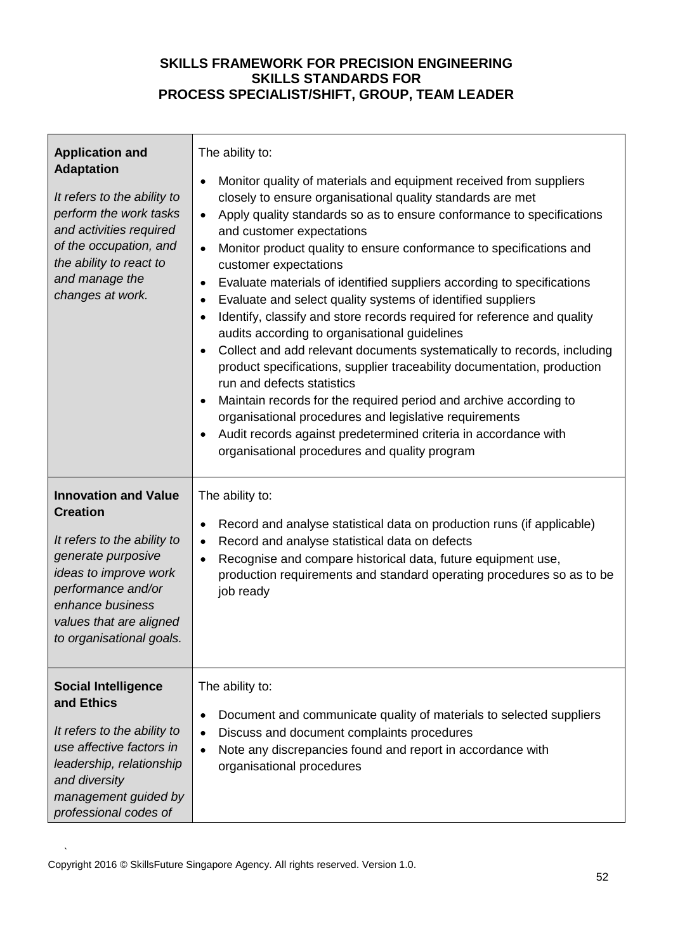| <b>Application and</b><br><b>Adaptation</b><br>It refers to the ability to<br>perform the work tasks<br>and activities required<br>of the occupation, and<br>the ability to react to<br>and manage the<br>changes at work.    | The ability to:<br>Monitor quality of materials and equipment received from suppliers<br>$\bullet$<br>closely to ensure organisational quality standards are met<br>Apply quality standards so as to ensure conformance to specifications<br>$\bullet$<br>and customer expectations<br>Monitor product quality to ensure conformance to specifications and<br>$\bullet$<br>customer expectations<br>Evaluate materials of identified suppliers according to specifications<br>$\bullet$<br>Evaluate and select quality systems of identified suppliers<br>٠<br>Identify, classify and store records required for reference and quality<br>$\bullet$<br>audits according to organisational guidelines<br>Collect and add relevant documents systematically to records, including<br>$\bullet$<br>product specifications, supplier traceability documentation, production<br>run and defects statistics<br>Maintain records for the required period and archive according to<br>organisational procedures and legislative requirements<br>Audit records against predetermined criteria in accordance with<br>organisational procedures and quality program |
|-------------------------------------------------------------------------------------------------------------------------------------------------------------------------------------------------------------------------------|----------------------------------------------------------------------------------------------------------------------------------------------------------------------------------------------------------------------------------------------------------------------------------------------------------------------------------------------------------------------------------------------------------------------------------------------------------------------------------------------------------------------------------------------------------------------------------------------------------------------------------------------------------------------------------------------------------------------------------------------------------------------------------------------------------------------------------------------------------------------------------------------------------------------------------------------------------------------------------------------------------------------------------------------------------------------------------------------------------------------------------------------------------|
| <b>Innovation and Value</b><br><b>Creation</b><br>It refers to the ability to<br>generate purposive<br>ideas to improve work<br>performance and/or<br>enhance business<br>values that are aligned<br>to organisational goals. | The ability to:<br>Record and analyse statistical data on production runs (if applicable)<br>$\bullet$<br>Record and analyse statistical data on defects<br>$\bullet$<br>Recognise and compare historical data, future equipment use,<br>$\bullet$<br>production requirements and standard operating procedures so as to be<br>job ready                                                                                                                                                                                                                                                                                                                                                                                                                                                                                                                                                                                                                                                                                                                                                                                                                 |
| <b>Social Intelligence</b><br>and Ethics<br>It refers to the ability to<br>use affective factors in<br>leadership, relationship<br>and diversity<br>management guided by<br>professional codes of                             | The ability to:<br>Document and communicate quality of materials to selected suppliers<br>$\bullet$<br>Discuss and document complaints procedures<br>Note any discrepancies found and report in accordance with<br>organisational procedures                                                                                                                                                                                                                                                                                                                                                                                                                                                                                                                                                                                                                                                                                                                                                                                                                                                                                                             |

 $\mathbf{r}$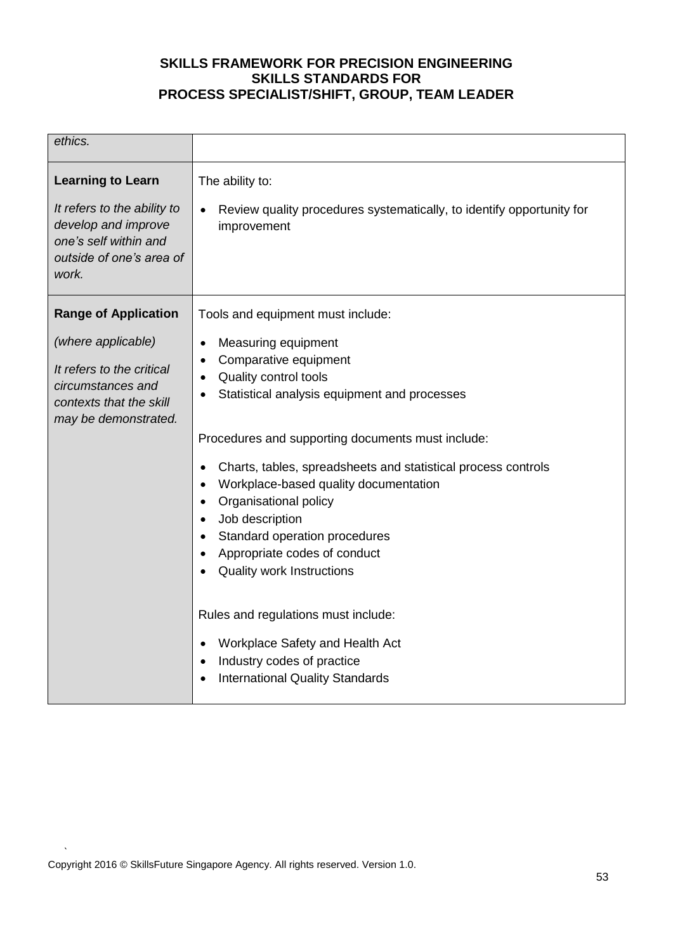| ethics.                                                                                                                                                |                                                                                                                                                                                                                                                                                                                                                                                                                                                                                                                                                                                                                                                        |
|--------------------------------------------------------------------------------------------------------------------------------------------------------|--------------------------------------------------------------------------------------------------------------------------------------------------------------------------------------------------------------------------------------------------------------------------------------------------------------------------------------------------------------------------------------------------------------------------------------------------------------------------------------------------------------------------------------------------------------------------------------------------------------------------------------------------------|
| <b>Learning to Learn</b><br>It refers to the ability to<br>develop and improve<br>one's self within and<br>outside of one's area of<br>work.           | The ability to:<br>Review quality procedures systematically, to identify opportunity for<br>improvement                                                                                                                                                                                                                                                                                                                                                                                                                                                                                                                                                |
| <b>Range of Application</b><br>(where applicable)<br>It refers to the critical<br>circumstances and<br>contexts that the skill<br>may be demonstrated. | Tools and equipment must include:<br>Measuring equipment<br>$\bullet$<br>Comparative equipment<br>Quality control tools<br>Statistical analysis equipment and processes<br>Procedures and supporting documents must include:<br>Charts, tables, spreadsheets and statistical process controls<br>Workplace-based quality documentation<br>Organisational policy<br>$\bullet$<br>Job description<br>Standard operation procedures<br>Appropriate codes of conduct<br><b>Quality work Instructions</b><br>Rules and regulations must include:<br>Workplace Safety and Health Act<br>Industry codes of practice<br><b>International Quality Standards</b> |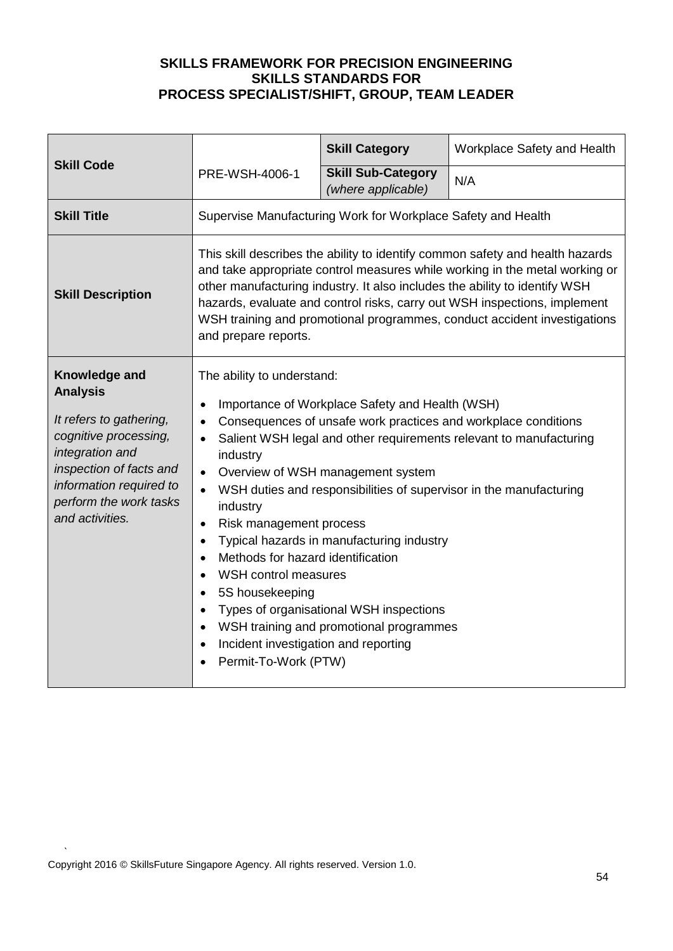| <b>Skill Code</b>                                                                                                                                                                                          |                                                                                                                                                                                                                                                                                                                                                                                                                                                                                                                                                                                                                                                                                                                                         | <b>Skill Category</b>                           | Workplace Safety and Health |
|------------------------------------------------------------------------------------------------------------------------------------------------------------------------------------------------------------|-----------------------------------------------------------------------------------------------------------------------------------------------------------------------------------------------------------------------------------------------------------------------------------------------------------------------------------------------------------------------------------------------------------------------------------------------------------------------------------------------------------------------------------------------------------------------------------------------------------------------------------------------------------------------------------------------------------------------------------------|-------------------------------------------------|-----------------------------|
|                                                                                                                                                                                                            | PRE-WSH-4006-1                                                                                                                                                                                                                                                                                                                                                                                                                                                                                                                                                                                                                                                                                                                          | <b>Skill Sub-Category</b><br>(where applicable) | N/A                         |
| <b>Skill Title</b>                                                                                                                                                                                         | Supervise Manufacturing Work for Workplace Safety and Health                                                                                                                                                                                                                                                                                                                                                                                                                                                                                                                                                                                                                                                                            |                                                 |                             |
| <b>Skill Description</b>                                                                                                                                                                                   | This skill describes the ability to identify common safety and health hazards<br>and take appropriate control measures while working in the metal working or<br>other manufacturing industry. It also includes the ability to identify WSH<br>hazards, evaluate and control risks, carry out WSH inspections, implement<br>WSH training and promotional programmes, conduct accident investigations<br>and prepare reports.                                                                                                                                                                                                                                                                                                             |                                                 |                             |
| Knowledge and<br><b>Analysis</b><br>It refers to gathering,<br>cognitive processing,<br>integration and<br>inspection of facts and<br>information required to<br>perform the work tasks<br>and activities. | The ability to understand:<br>Importance of Workplace Safety and Health (WSH)<br>$\bullet$<br>Consequences of unsafe work practices and workplace conditions<br>Salient WSH legal and other requirements relevant to manufacturing<br>industry<br>Overview of WSH management system<br>WSH duties and responsibilities of supervisor in the manufacturing<br>industry<br>Risk management process<br>$\bullet$<br>Typical hazards in manufacturing industry<br>Methods for hazard identification<br>$\bullet$<br>WSH control measures<br>$\bullet$<br>5S housekeeping<br>Types of organisational WSH inspections<br>$\bullet$<br>WSH training and promotional programmes<br>Incident investigation and reporting<br>Permit-To-Work (PTW) |                                                 |                             |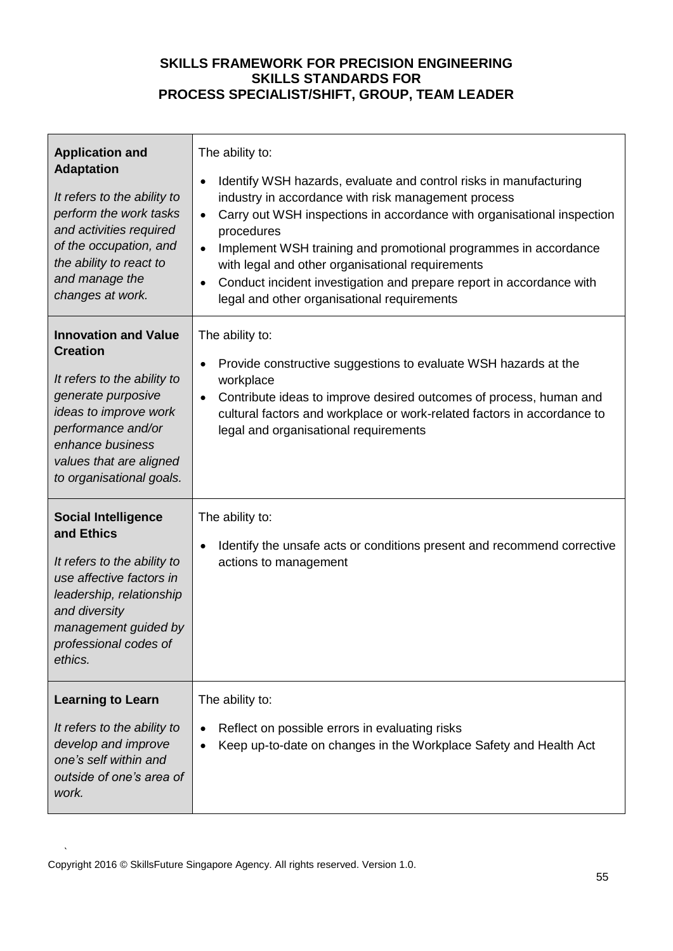| <b>Application and</b><br><b>Adaptation</b><br>It refers to the ability to<br>perform the work tasks<br>and activities required<br>of the occupation, and<br>the ability to react to<br>and manage the<br>changes at work.    | The ability to:<br>Identify WSH hazards, evaluate and control risks in manufacturing<br>٠<br>industry in accordance with risk management process<br>Carry out WSH inspections in accordance with organisational inspection<br>$\bullet$<br>procedures<br>Implement WSH training and promotional programmes in accordance<br>$\bullet$<br>with legal and other organisational requirements<br>Conduct incident investigation and prepare report in accordance with<br>$\bullet$<br>legal and other organisational requirements |
|-------------------------------------------------------------------------------------------------------------------------------------------------------------------------------------------------------------------------------|-------------------------------------------------------------------------------------------------------------------------------------------------------------------------------------------------------------------------------------------------------------------------------------------------------------------------------------------------------------------------------------------------------------------------------------------------------------------------------------------------------------------------------|
| <b>Innovation and Value</b><br><b>Creation</b><br>It refers to the ability to<br>generate purposive<br>ideas to improve work<br>performance and/or<br>enhance business<br>values that are aligned<br>to organisational goals. | The ability to:<br>Provide constructive suggestions to evaluate WSH hazards at the<br>$\bullet$<br>workplace<br>Contribute ideas to improve desired outcomes of process, human and<br>$\bullet$<br>cultural factors and workplace or work-related factors in accordance to<br>legal and organisational requirements                                                                                                                                                                                                           |
| <b>Social Intelligence</b><br>and Ethics<br>It refers to the ability to<br>use affective factors in<br>leadership, relationship<br>and diversity<br>management guided by<br>professional codes of<br>ethics.                  | The ability to:<br>Identify the unsafe acts or conditions present and recommend corrective<br>$\bullet$<br>actions to management                                                                                                                                                                                                                                                                                                                                                                                              |
| <b>Learning to Learn</b><br>It refers to the ability to<br>develop and improve<br>one's self within and<br>outside of one's area of<br>work.                                                                                  | The ability to:<br>Reflect on possible errors in evaluating risks<br>٠<br>Keep up-to-date on changes in the Workplace Safety and Health Act                                                                                                                                                                                                                                                                                                                                                                                   |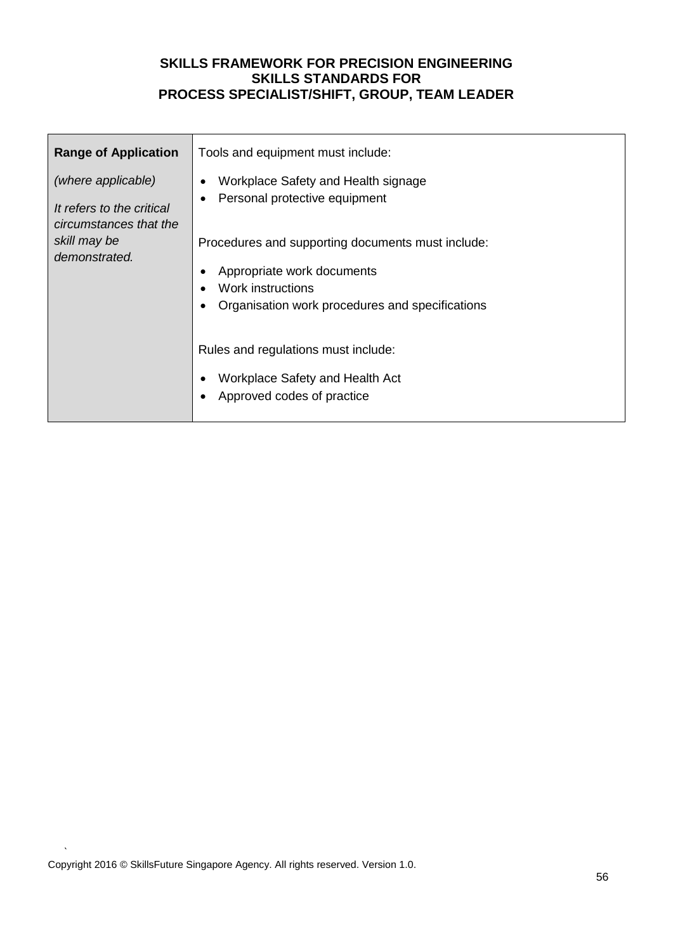| <b>Range of Application</b>                                                                                | Tools and equipment must include:                                                                                                                                                                                                                                                                                                       |  |  |  |
|------------------------------------------------------------------------------------------------------------|-----------------------------------------------------------------------------------------------------------------------------------------------------------------------------------------------------------------------------------------------------------------------------------------------------------------------------------------|--|--|--|
| (where applicable)<br>It refers to the critical<br>circumstances that the<br>skill may be<br>demonstrated. | Workplace Safety and Health signage<br>Personal protective equipment<br>Procedures and supporting documents must include:<br>Appropriate work documents<br>Work instructions<br>Organisation work procedures and specifications<br>Rules and regulations must include:<br>Workplace Safety and Health Act<br>Approved codes of practice |  |  |  |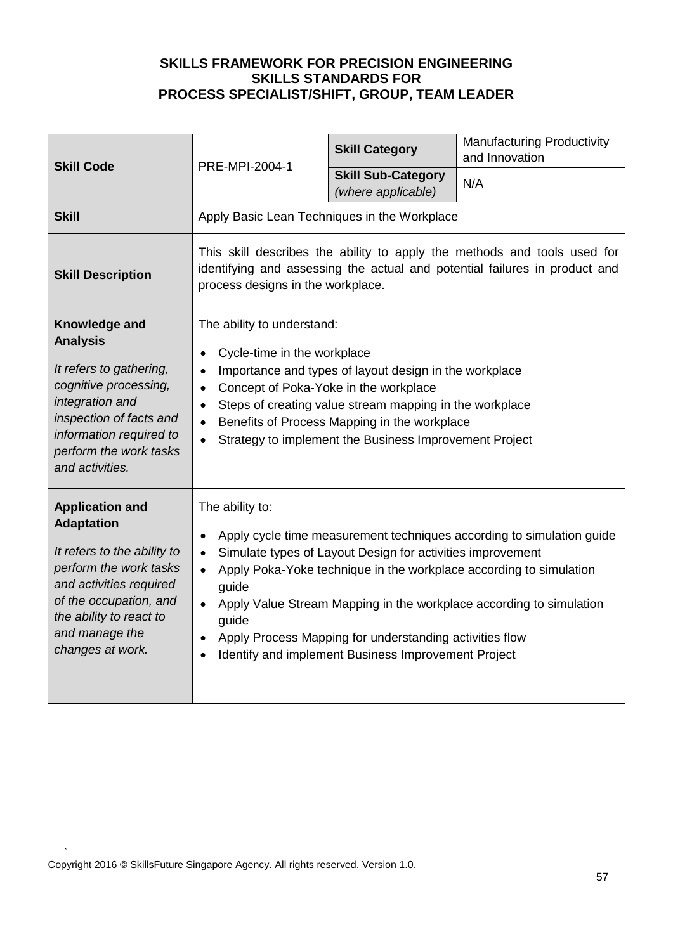| <b>Skill Code</b>                                                                                                                                                                                                          | PRE-MPI-2004-1                                                                                                                                                                                                                                                                                                                                                                                                                          | <b>Skill Category</b>                           | <b>Manufacturing Productivity</b><br>and Innovation |
|----------------------------------------------------------------------------------------------------------------------------------------------------------------------------------------------------------------------------|-----------------------------------------------------------------------------------------------------------------------------------------------------------------------------------------------------------------------------------------------------------------------------------------------------------------------------------------------------------------------------------------------------------------------------------------|-------------------------------------------------|-----------------------------------------------------|
|                                                                                                                                                                                                                            |                                                                                                                                                                                                                                                                                                                                                                                                                                         | <b>Skill Sub-Category</b><br>(where applicable) | N/A                                                 |
| <b>Skill</b>                                                                                                                                                                                                               | Apply Basic Lean Techniques in the Workplace                                                                                                                                                                                                                                                                                                                                                                                            |                                                 |                                                     |
| <b>Skill Description</b>                                                                                                                                                                                                   | This skill describes the ability to apply the methods and tools used for<br>identifying and assessing the actual and potential failures in product and<br>process designs in the workplace.                                                                                                                                                                                                                                             |                                                 |                                                     |
| Knowledge and<br><b>Analysis</b><br>It refers to gathering,<br>cognitive processing,<br>integration and<br>inspection of facts and<br>information required to<br>perform the work tasks<br>and activities.                 | The ability to understand:<br>Cycle-time in the workplace<br>Importance and types of layout design in the workplace<br>$\bullet$<br>Concept of Poka-Yoke in the workplace<br>$\bullet$<br>Steps of creating value stream mapping in the workplace<br>Benefits of Process Mapping in the workplace<br>Strategy to implement the Business Improvement Project<br>$\bullet$                                                                |                                                 |                                                     |
| <b>Application and</b><br><b>Adaptation</b><br>It refers to the ability to<br>perform the work tasks<br>and activities required<br>of the occupation, and<br>the ability to react to<br>and manage the<br>changes at work. | The ability to:<br>Apply cycle time measurement techniques according to simulation guide<br>Simulate types of Layout Design for activities improvement<br>Apply Poka-Yoke technique in the workplace according to simulation<br>guide<br>Apply Value Stream Mapping in the workplace according to simulation<br>guide<br>Apply Process Mapping for understanding activities flow<br>Identify and implement Business Improvement Project |                                                 |                                                     |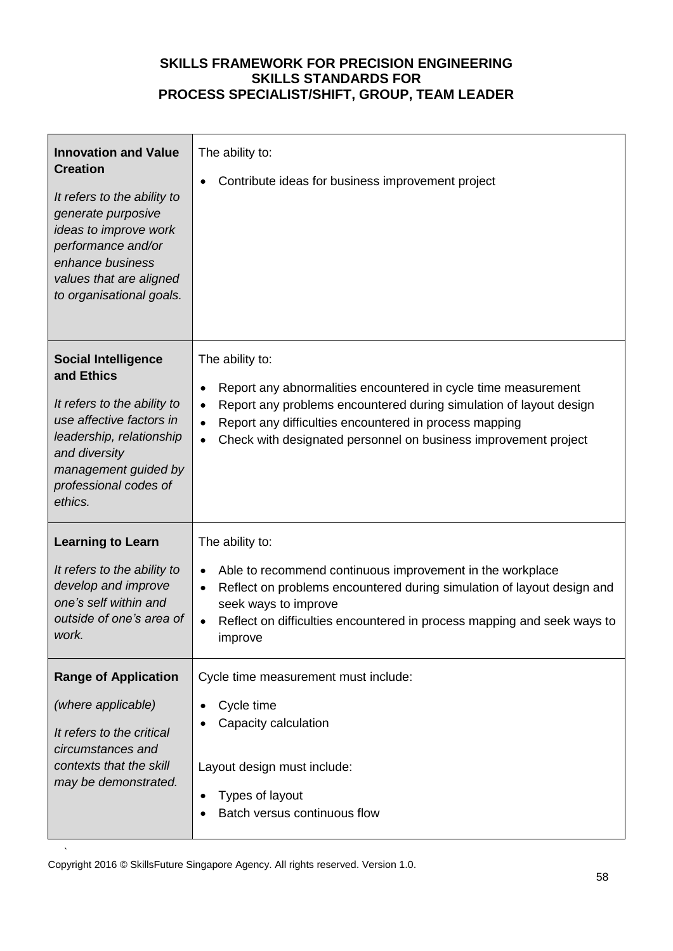| <b>Innovation and Value</b><br><b>Creation</b><br>It refers to the ability to<br>generate purposive<br>ideas to improve work<br>performance and/or<br>enhance business<br>values that are aligned<br>to organisational goals. | The ability to:<br>Contribute ideas for business improvement project                                                                                                                                                                                                                                                        |
|-------------------------------------------------------------------------------------------------------------------------------------------------------------------------------------------------------------------------------|-----------------------------------------------------------------------------------------------------------------------------------------------------------------------------------------------------------------------------------------------------------------------------------------------------------------------------|
| <b>Social Intelligence</b><br>and Ethics<br>It refers to the ability to<br>use affective factors in<br>leadership, relationship<br>and diversity<br>management guided by<br>professional codes of<br>ethics.                  | The ability to:<br>Report any abnormalities encountered in cycle time measurement<br>$\bullet$<br>Report any problems encountered during simulation of layout design<br>$\bullet$<br>Report any difficulties encountered in process mapping<br>$\bullet$<br>Check with designated personnel on business improvement project |
| <b>Learning to Learn</b><br>It refers to the ability to<br>develop and improve<br>one's self within and<br>outside of one's area of<br>work.                                                                                  | The ability to:<br>Able to recommend continuous improvement in the workplace<br>$\bullet$<br>Reflect on problems encountered during simulation of layout design and<br>seek ways to improve<br>Reflect on difficulties encountered in process mapping and seek ways to<br>improve                                           |
| <b>Range of Application</b><br>(where applicable)<br>It refers to the critical<br>circumstances and<br>contexts that the skill<br>may be demonstrated.                                                                        | Cycle time measurement must include:<br>Cycle time<br>Capacity calculation<br>Layout design must include:<br>Types of layout<br>Batch versus continuous flow                                                                                                                                                                |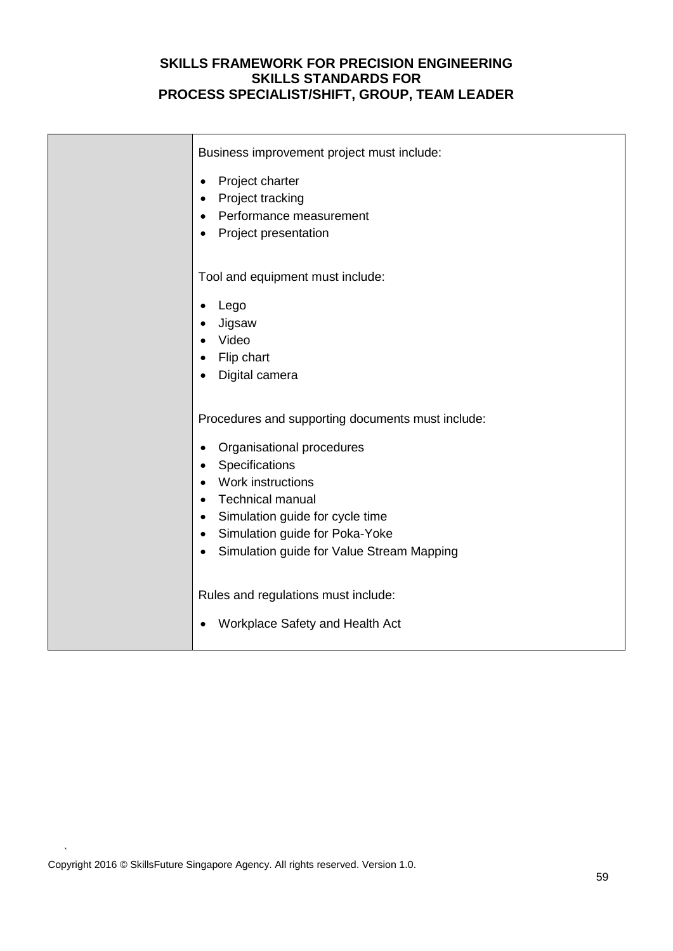| Business improvement project must include:<br>Project charter<br>$\bullet$<br>Project tracking<br>Performance measurement<br>Project presentation                                                                                                                                            |
|----------------------------------------------------------------------------------------------------------------------------------------------------------------------------------------------------------------------------------------------------------------------------------------------|
| Tool and equipment must include:<br>Lego<br>Jigsaw<br>Video<br>Flip chart<br>Digital camera                                                                                                                                                                                                  |
| Procedures and supporting documents must include:<br>Organisational procedures<br>Specifications<br>$\bullet$<br>Work instructions<br><b>Technical manual</b><br>Simulation guide for cycle time<br>Simulation guide for Poka-Yoke<br>$\bullet$<br>Simulation guide for Value Stream Mapping |
| Rules and regulations must include:<br>Workplace Safety and Health Act                                                                                                                                                                                                                       |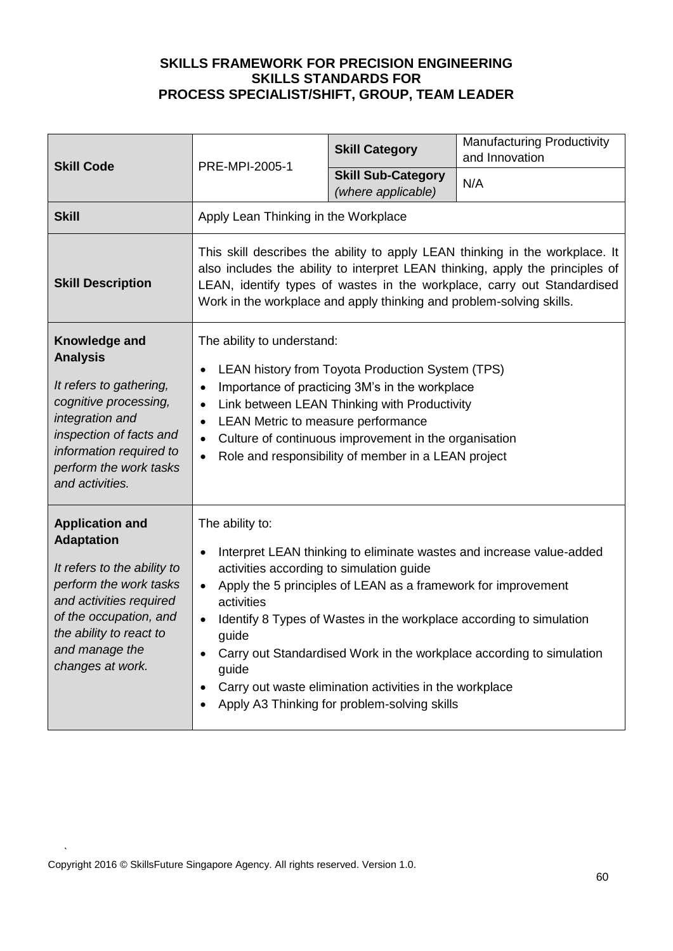| <b>Skill Code</b>                                                                                                                                                                                                          | PRE-MPI-2005-1                                                                                                                                                                                                                                                                                                                                                                                                                                                                                              | <b>Skill Category</b>                           | <b>Manufacturing Productivity</b><br>and Innovation |
|----------------------------------------------------------------------------------------------------------------------------------------------------------------------------------------------------------------------------|-------------------------------------------------------------------------------------------------------------------------------------------------------------------------------------------------------------------------------------------------------------------------------------------------------------------------------------------------------------------------------------------------------------------------------------------------------------------------------------------------------------|-------------------------------------------------|-----------------------------------------------------|
|                                                                                                                                                                                                                            |                                                                                                                                                                                                                                                                                                                                                                                                                                                                                                             | <b>Skill Sub-Category</b><br>(where applicable) | N/A                                                 |
| <b>Skill</b>                                                                                                                                                                                                               | Apply Lean Thinking in the Workplace                                                                                                                                                                                                                                                                                                                                                                                                                                                                        |                                                 |                                                     |
| <b>Skill Description</b>                                                                                                                                                                                                   | This skill describes the ability to apply LEAN thinking in the workplace. It<br>also includes the ability to interpret LEAN thinking, apply the principles of<br>LEAN, identify types of wastes in the workplace, carry out Standardised<br>Work in the workplace and apply thinking and problem-solving skills.                                                                                                                                                                                            |                                                 |                                                     |
| Knowledge and<br><b>Analysis</b><br>It refers to gathering,<br>cognitive processing,<br>integration and<br>inspection of facts and<br>information required to<br>perform the work tasks<br>and activities.                 | The ability to understand:<br>LEAN history from Toyota Production System (TPS)<br>Importance of practicing 3M's in the workplace<br>$\bullet$<br>Link between LEAN Thinking with Productivity<br>LEAN Metric to measure performance<br>$\bullet$<br>Culture of continuous improvement in the organisation<br>Role and responsibility of member in a LEAN project<br>$\bullet$                                                                                                                               |                                                 |                                                     |
| <b>Application and</b><br><b>Adaptation</b><br>It refers to the ability to<br>perform the work tasks<br>and activities required<br>of the occupation, and<br>the ability to react to<br>and manage the<br>changes at work. | The ability to:<br>Interpret LEAN thinking to eliminate wastes and increase value-added<br>activities according to simulation guide<br>Apply the 5 principles of LEAN as a framework for improvement<br>$\bullet$<br>activities<br>Identify 8 Types of Wastes in the workplace according to simulation<br>guide<br>Carry out Standardised Work in the workplace according to simulation<br>guide<br>Carry out waste elimination activities in the workplace<br>Apply A3 Thinking for problem-solving skills |                                                 |                                                     |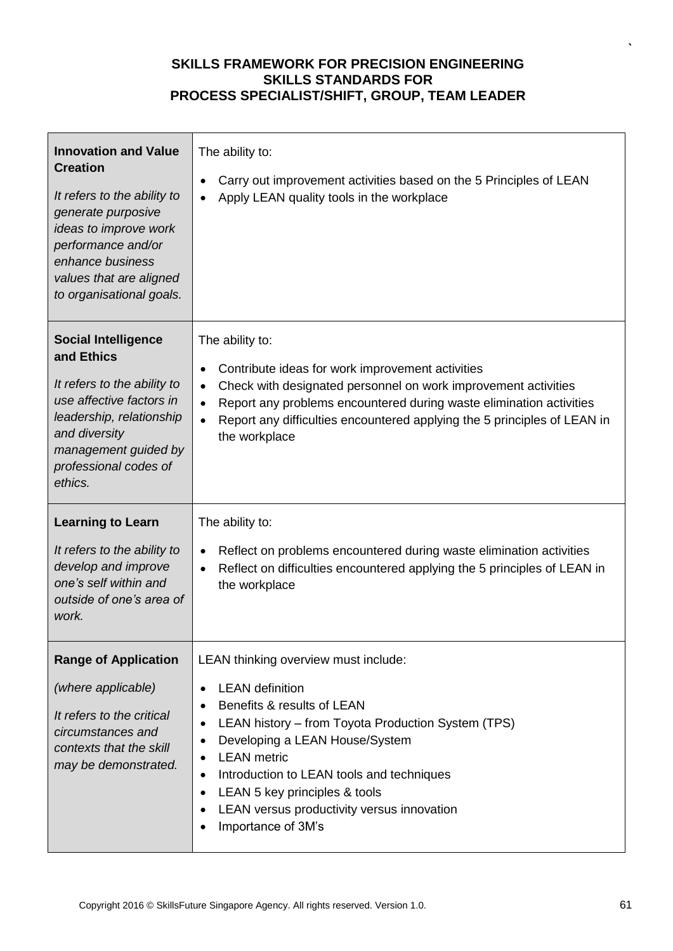| <b>Innovation and Value</b><br><b>Creation</b><br>It refers to the ability to<br>generate purposive<br>ideas to improve work<br>performance and/or<br>enhance business<br>values that are aligned<br>to organisational goals. | The ability to:<br>Carry out improvement activities based on the 5 Principles of LEAN<br>$\bullet$<br>Apply LEAN quality tools in the workplace                                                                                                                                                                                                                                                                                 |
|-------------------------------------------------------------------------------------------------------------------------------------------------------------------------------------------------------------------------------|---------------------------------------------------------------------------------------------------------------------------------------------------------------------------------------------------------------------------------------------------------------------------------------------------------------------------------------------------------------------------------------------------------------------------------|
| <b>Social Intelligence</b><br>and Ethics<br>It refers to the ability to<br>use affective factors in<br>leadership, relationship<br>and diversity<br>management guided by<br>professional codes of<br>ethics.                  | The ability to:<br>Contribute ideas for work improvement activities<br>$\bullet$<br>Check with designated personnel on work improvement activities<br>$\bullet$<br>Report any problems encountered during waste elimination activities<br>$\bullet$<br>Report any difficulties encountered applying the 5 principles of LEAN in<br>$\bullet$<br>the workplace                                                                   |
| <b>Learning to Learn</b><br>It refers to the ability to<br>develop and improve<br>one's self within and<br>outside of one's area of<br>work.                                                                                  | The ability to:<br>Reflect on problems encountered during waste elimination activities<br>$\bullet$<br>Reflect on difficulties encountered applying the 5 principles of LEAN in<br>$\bullet$<br>the workplace                                                                                                                                                                                                                   |
| <b>Range of Application</b><br>(where applicable)<br>It refers to the critical<br>circumstances and<br>contexts that the skill<br>may be demonstrated.                                                                        | LEAN thinking overview must include:<br><b>LEAN</b> definition<br>$\bullet$<br>Benefits & results of LEAN<br>$\bullet$<br>LEAN history - from Toyota Production System (TPS)<br>٠<br>Developing a LEAN House/System<br>٠<br><b>LEAN</b> metric<br>٠<br>Introduction to LEAN tools and techniques<br>$\bullet$<br>LEAN 5 key principles & tools<br>$\bullet$<br>LEAN versus productivity versus innovation<br>Importance of 3M's |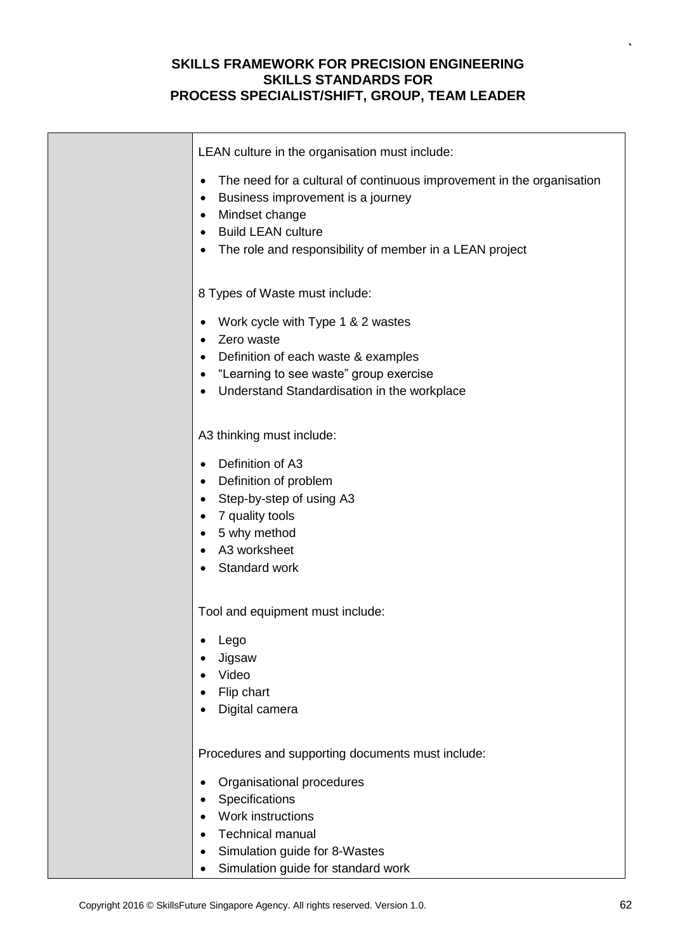| LEAN culture in the organisation must include:                                                                                                                                                                                 |
|--------------------------------------------------------------------------------------------------------------------------------------------------------------------------------------------------------------------------------|
| The need for a cultural of continuous improvement in the organisation<br>٠<br>Business improvement is a journey<br>٠<br>Mindset change<br><b>Build LEAN culture</b><br>The role and responsibility of member in a LEAN project |
| 8 Types of Waste must include:                                                                                                                                                                                                 |
| Work cycle with Type 1 & 2 wastes<br>Zero waste<br>Definition of each waste & examples<br>"Learning to see waste" group exercise<br>Understand Standardisation in the workplace                                                |
| A3 thinking must include:                                                                                                                                                                                                      |
| Definition of A3<br>Definition of problem<br>٠<br>Step-by-step of using A3<br>7 quality tools<br>5 why method<br>A3 worksheet<br>Standard work                                                                                 |
| Tool and equipment must include:                                                                                                                                                                                               |
| Lego<br>Jigsaw<br>Video<br>Flip chart<br>Digital camera                                                                                                                                                                        |
| Procedures and supporting documents must include:                                                                                                                                                                              |
| Organisational procedures<br>$\bullet$<br>Specifications<br>Work instructions<br><b>Technical manual</b><br>Simulation guide for 8-Wastes                                                                                      |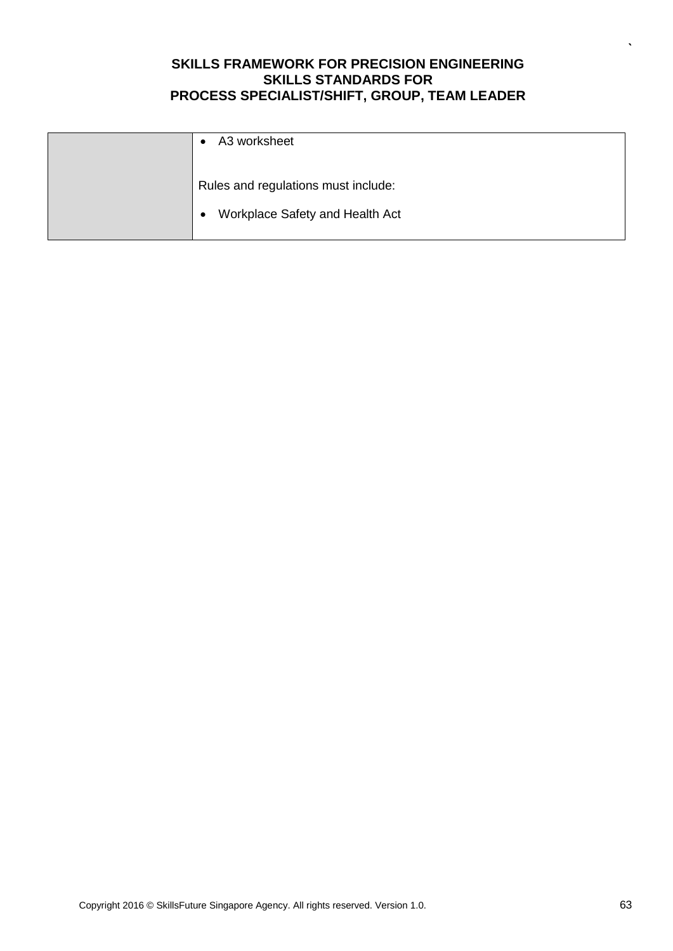| A3 worksheet                                                                        |
|-------------------------------------------------------------------------------------|
| Rules and regulations must include:<br>Workplace Safety and Health Act<br>$\bullet$ |
|                                                                                     |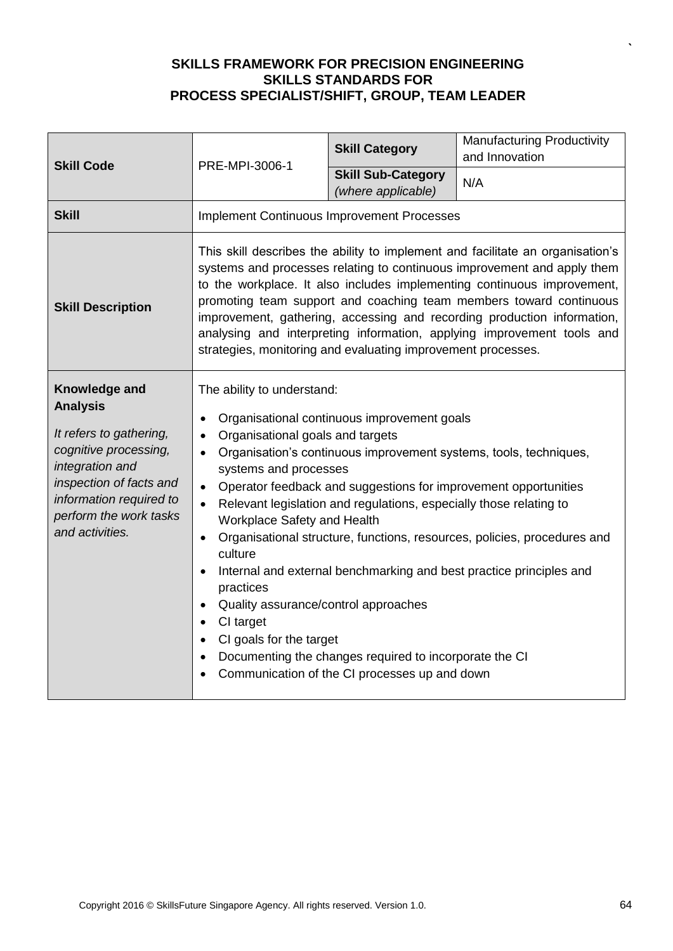| <b>Skill Code</b>                                                                                                                                                                                          | PRE-MPI-3006-1                                                                                                                                                                                                                                                                                                                                                                                                                                                                                                                                                                                                                                                                                                                                                                                                                          | <b>Skill Category</b>                           | <b>Manufacturing Productivity</b><br>and Innovation |
|------------------------------------------------------------------------------------------------------------------------------------------------------------------------------------------------------------|-----------------------------------------------------------------------------------------------------------------------------------------------------------------------------------------------------------------------------------------------------------------------------------------------------------------------------------------------------------------------------------------------------------------------------------------------------------------------------------------------------------------------------------------------------------------------------------------------------------------------------------------------------------------------------------------------------------------------------------------------------------------------------------------------------------------------------------------|-------------------------------------------------|-----------------------------------------------------|
|                                                                                                                                                                                                            |                                                                                                                                                                                                                                                                                                                                                                                                                                                                                                                                                                                                                                                                                                                                                                                                                                         | <b>Skill Sub-Category</b><br>(where applicable) | N/A                                                 |
| <b>Skill</b>                                                                                                                                                                                               | <b>Implement Continuous Improvement Processes</b>                                                                                                                                                                                                                                                                                                                                                                                                                                                                                                                                                                                                                                                                                                                                                                                       |                                                 |                                                     |
| <b>Skill Description</b>                                                                                                                                                                                   | This skill describes the ability to implement and facilitate an organisation's<br>systems and processes relating to continuous improvement and apply them<br>to the workplace. It also includes implementing continuous improvement,<br>promoting team support and coaching team members toward continuous<br>improvement, gathering, accessing and recording production information,<br>analysing and interpreting information, applying improvement tools and<br>strategies, monitoring and evaluating improvement processes.                                                                                                                                                                                                                                                                                                         |                                                 |                                                     |
| Knowledge and<br><b>Analysis</b><br>It refers to gathering,<br>cognitive processing,<br>integration and<br>inspection of facts and<br>information required to<br>perform the work tasks<br>and activities. | The ability to understand:<br>Organisational continuous improvement goals<br>$\bullet$<br>Organisational goals and targets<br>$\bullet$<br>Organisation's continuous improvement systems, tools, techniques,<br>$\bullet$<br>systems and processes<br>Operator feedback and suggestions for improvement opportunities<br>$\bullet$<br>Relevant legislation and regulations, especially those relating to<br>Workplace Safety and Health<br>Organisational structure, functions, resources, policies, procedures and<br>$\bullet$<br>culture<br>Internal and external benchmarking and best practice principles and<br>practices<br>Quality assurance/control approaches<br>CI target<br>$\bullet$<br>CI goals for the target<br>Documenting the changes required to incorporate the CI<br>Communication of the CI processes up and down |                                                 |                                                     |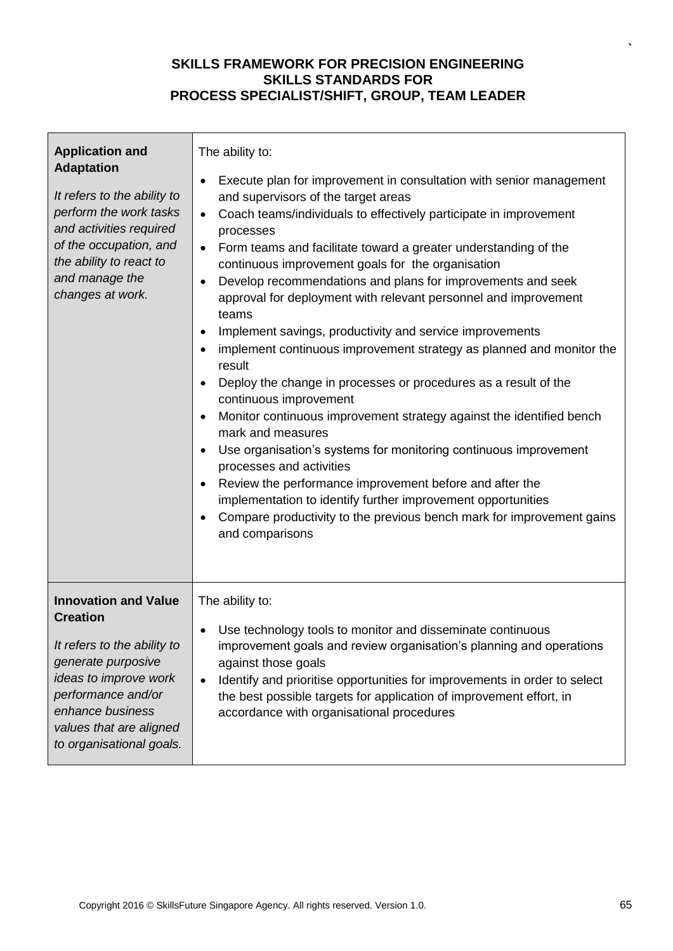| <b>Application and</b><br><b>Adaptation</b><br>It refers to the ability to<br>perform the work tasks<br>and activities required<br>of the occupation, and<br>the ability to react to<br>and manage the<br>changes at work.    | The ability to:<br>Execute plan for improvement in consultation with senior management<br>$\bullet$<br>and supervisors of the target areas<br>Coach teams/individuals to effectively participate in improvement<br>$\bullet$<br>processes<br>Form teams and facilitate toward a greater understanding of the<br>$\bullet$<br>continuous improvement goals for the organisation<br>Develop recommendations and plans for improvements and seek<br>$\bullet$<br>approval for deployment with relevant personnel and improvement<br>teams<br>Implement savings, productivity and service improvements<br>$\bullet$<br>implement continuous improvement strategy as planned and monitor the<br>$\bullet$<br>result<br>Deploy the change in processes or procedures as a result of the<br>$\bullet$<br>continuous improvement<br>Monitor continuous improvement strategy against the identified bench<br>$\bullet$<br>mark and measures<br>Use organisation's systems for monitoring continuous improvement<br>$\bullet$<br>processes and activities<br>Review the performance improvement before and after the<br>$\bullet$<br>implementation to identify further improvement opportunities<br>Compare productivity to the previous bench mark for improvement gains<br>and comparisons |
|-------------------------------------------------------------------------------------------------------------------------------------------------------------------------------------------------------------------------------|-------------------------------------------------------------------------------------------------------------------------------------------------------------------------------------------------------------------------------------------------------------------------------------------------------------------------------------------------------------------------------------------------------------------------------------------------------------------------------------------------------------------------------------------------------------------------------------------------------------------------------------------------------------------------------------------------------------------------------------------------------------------------------------------------------------------------------------------------------------------------------------------------------------------------------------------------------------------------------------------------------------------------------------------------------------------------------------------------------------------------------------------------------------------------------------------------------------------------------------------------------------------------------------|
| <b>Innovation and Value</b><br><b>Creation</b><br>It refers to the ability to<br>generate purposive<br>ideas to improve work<br>performance and/or<br>enhance business<br>values that are aligned<br>to organisational goals. | The ability to:<br>Use technology tools to monitor and disseminate continuous<br>improvement goals and review organisation's planning and operations<br>against those goals<br>Identify and prioritise opportunities for improvements in order to select<br>$\bullet$<br>the best possible targets for application of improvement effort, in<br>accordance with organisational procedures                                                                                                                                                                                                                                                                                                                                                                                                                                                                                                                                                                                                                                                                                                                                                                                                                                                                                           |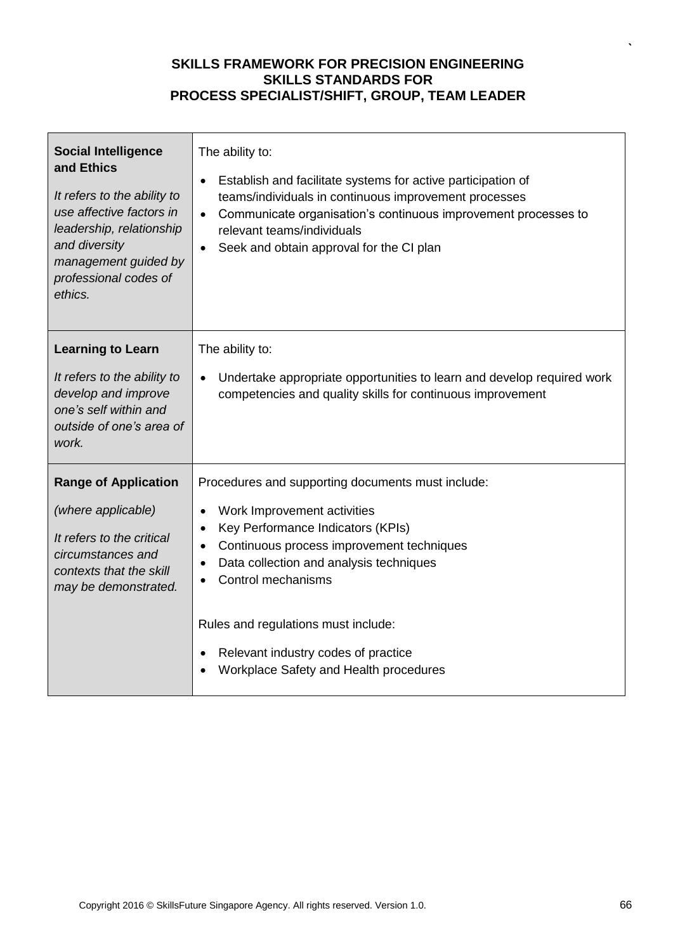| <b>Social Intelligence</b><br>and Ethics<br>It refers to the ability to<br>use affective factors in<br>leadership, relationship<br>and diversity<br>management guided by<br>professional codes of<br>ethics. | The ability to:<br>Establish and facilitate systems for active participation of<br>$\bullet$<br>teams/individuals in continuous improvement processes<br>Communicate organisation's continuous improvement processes to<br>$\bullet$<br>relevant teams/individuals<br>Seek and obtain approval for the CI plan |
|--------------------------------------------------------------------------------------------------------------------------------------------------------------------------------------------------------------|----------------------------------------------------------------------------------------------------------------------------------------------------------------------------------------------------------------------------------------------------------------------------------------------------------------|
| <b>Learning to Learn</b>                                                                                                                                                                                     | The ability to:                                                                                                                                                                                                                                                                                                |
| It refers to the ability to<br>develop and improve<br>one's self within and<br>outside of one's area of<br>work.                                                                                             | Undertake appropriate opportunities to learn and develop required work<br>competencies and quality skills for continuous improvement                                                                                                                                                                           |
| <b>Range of Application</b>                                                                                                                                                                                  | Procedures and supporting documents must include:                                                                                                                                                                                                                                                              |
| (where applicable)                                                                                                                                                                                           | Work Improvement activities<br>$\bullet$                                                                                                                                                                                                                                                                       |
| It refers to the critical                                                                                                                                                                                    | Key Performance Indicators (KPIs)<br>$\bullet$                                                                                                                                                                                                                                                                 |
| circumstances and                                                                                                                                                                                            | Continuous process improvement techniques<br>Data collection and analysis techniques                                                                                                                                                                                                                           |
| contexts that the skill<br>may be demonstrated.                                                                                                                                                              | Control mechanisms                                                                                                                                                                                                                                                                                             |
|                                                                                                                                                                                                              | Rules and regulations must include:                                                                                                                                                                                                                                                                            |
|                                                                                                                                                                                                              | Relevant industry codes of practice                                                                                                                                                                                                                                                                            |
|                                                                                                                                                                                                              | Workplace Safety and Health procedures                                                                                                                                                                                                                                                                         |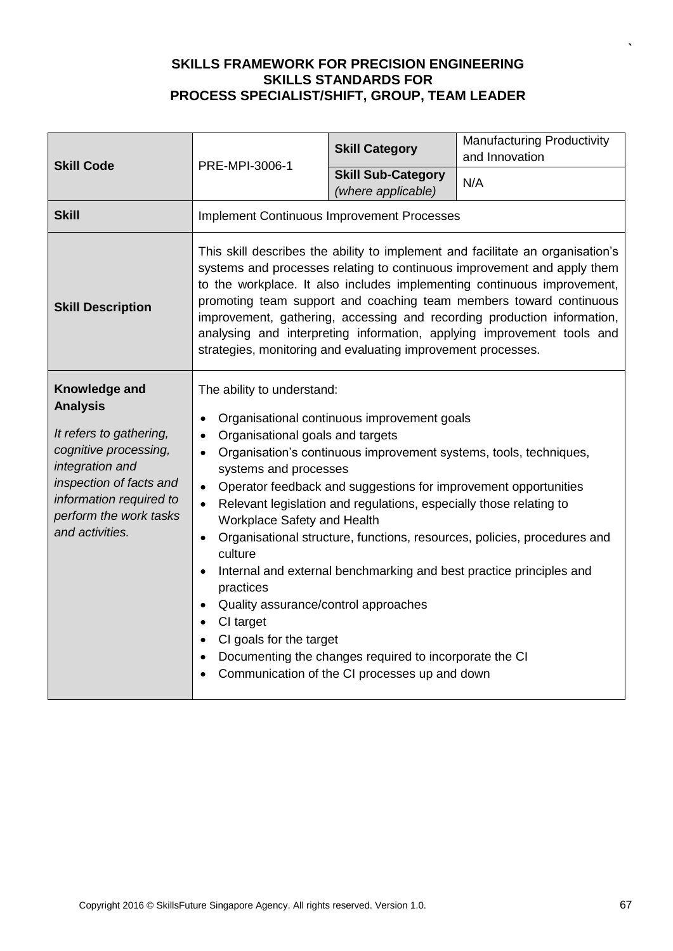| <b>Skill Code</b>                                                                                                                                                                                          | PRE-MPI-3006-1                                                                                                                                                                                                                                                                                                                                                                                                                                                                                                                                                                                                                                                                                                                                                                                                             | <b>Skill Category</b>                           | Manufacturing Productivity<br>and Innovation |
|------------------------------------------------------------------------------------------------------------------------------------------------------------------------------------------------------------|----------------------------------------------------------------------------------------------------------------------------------------------------------------------------------------------------------------------------------------------------------------------------------------------------------------------------------------------------------------------------------------------------------------------------------------------------------------------------------------------------------------------------------------------------------------------------------------------------------------------------------------------------------------------------------------------------------------------------------------------------------------------------------------------------------------------------|-------------------------------------------------|----------------------------------------------|
|                                                                                                                                                                                                            |                                                                                                                                                                                                                                                                                                                                                                                                                                                                                                                                                                                                                                                                                                                                                                                                                            | <b>Skill Sub-Category</b><br>(where applicable) | N/A                                          |
| <b>Skill</b>                                                                                                                                                                                               | <b>Implement Continuous Improvement Processes</b>                                                                                                                                                                                                                                                                                                                                                                                                                                                                                                                                                                                                                                                                                                                                                                          |                                                 |                                              |
| <b>Skill Description</b>                                                                                                                                                                                   | This skill describes the ability to implement and facilitate an organisation's<br>systems and processes relating to continuous improvement and apply them<br>to the workplace. It also includes implementing continuous improvement,<br>promoting team support and coaching team members toward continuous<br>improvement, gathering, accessing and recording production information,<br>analysing and interpreting information, applying improvement tools and<br>strategies, monitoring and evaluating improvement processes.                                                                                                                                                                                                                                                                                            |                                                 |                                              |
| Knowledge and<br><b>Analysis</b><br>It refers to gathering,<br>cognitive processing,<br>integration and<br>inspection of facts and<br>information required to<br>perform the work tasks<br>and activities. | The ability to understand:<br>Organisational continuous improvement goals<br>$\bullet$<br>Organisational goals and targets<br>Organisation's continuous improvement systems, tools, techniques,<br>$\bullet$<br>systems and processes<br>Operator feedback and suggestions for improvement opportunities<br>$\bullet$<br>Relevant legislation and regulations, especially those relating to<br>Workplace Safety and Health<br>Organisational structure, functions, resources, policies, procedures and<br>$\bullet$<br>culture<br>Internal and external benchmarking and best practice principles and<br>practices<br>Quality assurance/control approaches<br>CI target<br>$\bullet$<br>CI goals for the target<br>Documenting the changes required to incorporate the CI<br>Communication of the CI processes up and down |                                                 |                                              |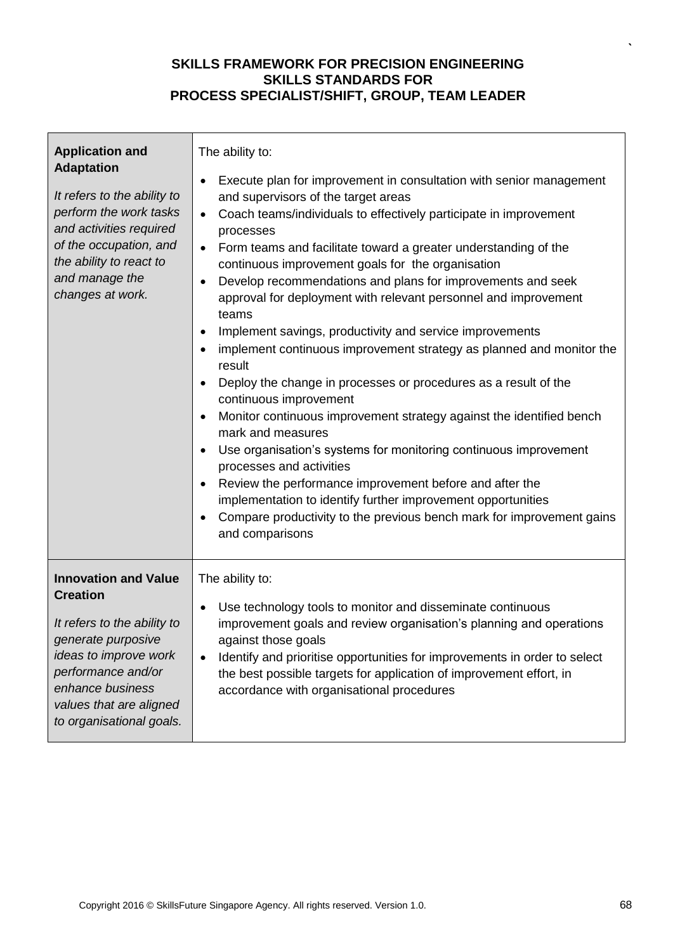| <b>Application and</b><br><b>Adaptation</b><br>It refers to the ability to<br>perform the work tasks<br>and activities required<br>of the occupation, and<br>the ability to react to<br>and manage the<br>changes at work.    | The ability to:<br>Execute plan for improvement in consultation with senior management<br>٠<br>and supervisors of the target areas<br>Coach teams/individuals to effectively participate in improvement<br>$\bullet$<br>processes<br>Form teams and facilitate toward a greater understanding of the<br>$\bullet$<br>continuous improvement goals for the organisation<br>Develop recommendations and plans for improvements and seek<br>$\bullet$<br>approval for deployment with relevant personnel and improvement<br>teams<br>Implement savings, productivity and service improvements<br>implement continuous improvement strategy as planned and monitor the<br>$\bullet$<br>result<br>Deploy the change in processes or procedures as a result of the<br>$\bullet$<br>continuous improvement<br>Monitor continuous improvement strategy against the identified bench<br>$\bullet$<br>mark and measures<br>Use organisation's systems for monitoring continuous improvement<br>$\bullet$<br>processes and activities<br>Review the performance improvement before and after the<br>implementation to identify further improvement opportunities<br>Compare productivity to the previous bench mark for improvement gains<br>and comparisons |
|-------------------------------------------------------------------------------------------------------------------------------------------------------------------------------------------------------------------------------|---------------------------------------------------------------------------------------------------------------------------------------------------------------------------------------------------------------------------------------------------------------------------------------------------------------------------------------------------------------------------------------------------------------------------------------------------------------------------------------------------------------------------------------------------------------------------------------------------------------------------------------------------------------------------------------------------------------------------------------------------------------------------------------------------------------------------------------------------------------------------------------------------------------------------------------------------------------------------------------------------------------------------------------------------------------------------------------------------------------------------------------------------------------------------------------------------------------------------------------------------|
| <b>Innovation and Value</b><br><b>Creation</b><br>It refers to the ability to<br>generate purposive<br>ideas to improve work<br>performance and/or<br>enhance business<br>values that are aligned<br>to organisational goals. | The ability to:<br>Use technology tools to monitor and disseminate continuous<br>$\bullet$<br>improvement goals and review organisation's planning and operations<br>against those goals<br>Identify and prioritise opportunities for improvements in order to select<br>the best possible targets for application of improvement effort, in<br>accordance with organisational procedures                                                                                                                                                                                                                                                                                                                                                                                                                                                                                                                                                                                                                                                                                                                                                                                                                                                         |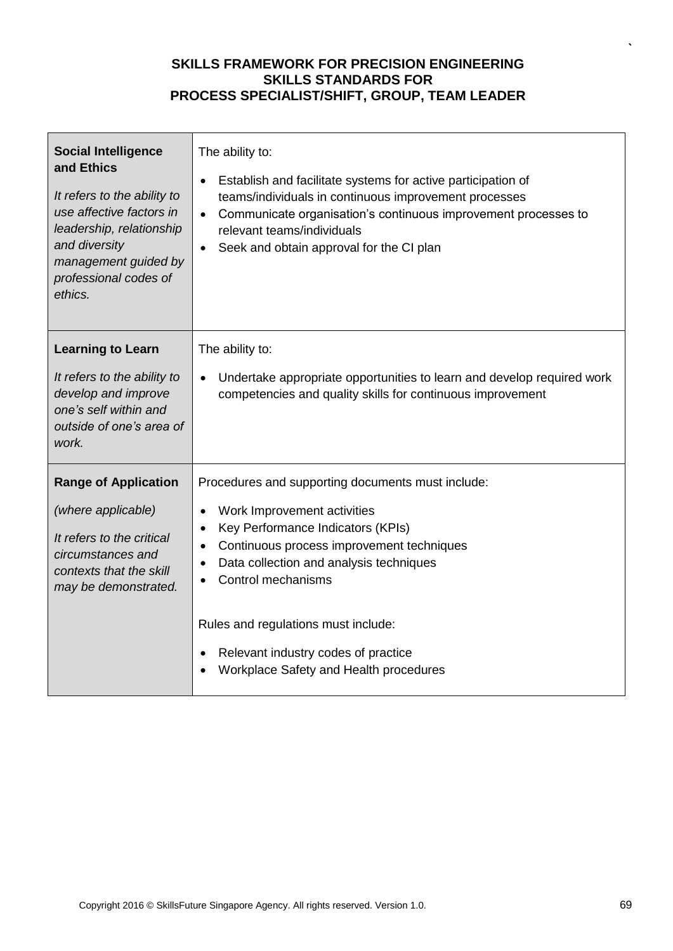| <b>Social Intelligence</b><br>and Ethics<br>It refers to the ability to<br>use affective factors in<br>leadership, relationship<br>and diversity<br>management guided by<br>professional codes of<br>ethics. | The ability to:<br>Establish and facilitate systems for active participation of<br>$\bullet$<br>teams/individuals in continuous improvement processes<br>Communicate organisation's continuous improvement processes to<br>$\bullet$<br>relevant teams/individuals<br>Seek and obtain approval for the CI plan |
|--------------------------------------------------------------------------------------------------------------------------------------------------------------------------------------------------------------|----------------------------------------------------------------------------------------------------------------------------------------------------------------------------------------------------------------------------------------------------------------------------------------------------------------|
| <b>Learning to Learn</b>                                                                                                                                                                                     | The ability to:                                                                                                                                                                                                                                                                                                |
| It refers to the ability to<br>develop and improve<br>one's self within and<br>outside of one's area of<br>work.                                                                                             | Undertake appropriate opportunities to learn and develop required work<br>competencies and quality skills for continuous improvement                                                                                                                                                                           |
| <b>Range of Application</b>                                                                                                                                                                                  | Procedures and supporting documents must include:                                                                                                                                                                                                                                                              |
| (where applicable)                                                                                                                                                                                           | Work Improvement activities<br>$\bullet$                                                                                                                                                                                                                                                                       |
| It refers to the critical                                                                                                                                                                                    | Key Performance Indicators (KPIs)<br>$\bullet$                                                                                                                                                                                                                                                                 |
| circumstances and                                                                                                                                                                                            | Continuous process improvement techniques<br>Data collection and analysis techniques                                                                                                                                                                                                                           |
| contexts that the skill<br>may be demonstrated.                                                                                                                                                              | Control mechanisms                                                                                                                                                                                                                                                                                             |
|                                                                                                                                                                                                              | Rules and regulations must include:                                                                                                                                                                                                                                                                            |
|                                                                                                                                                                                                              | Relevant industry codes of practice                                                                                                                                                                                                                                                                            |
|                                                                                                                                                                                                              | Workplace Safety and Health procedures                                                                                                                                                                                                                                                                         |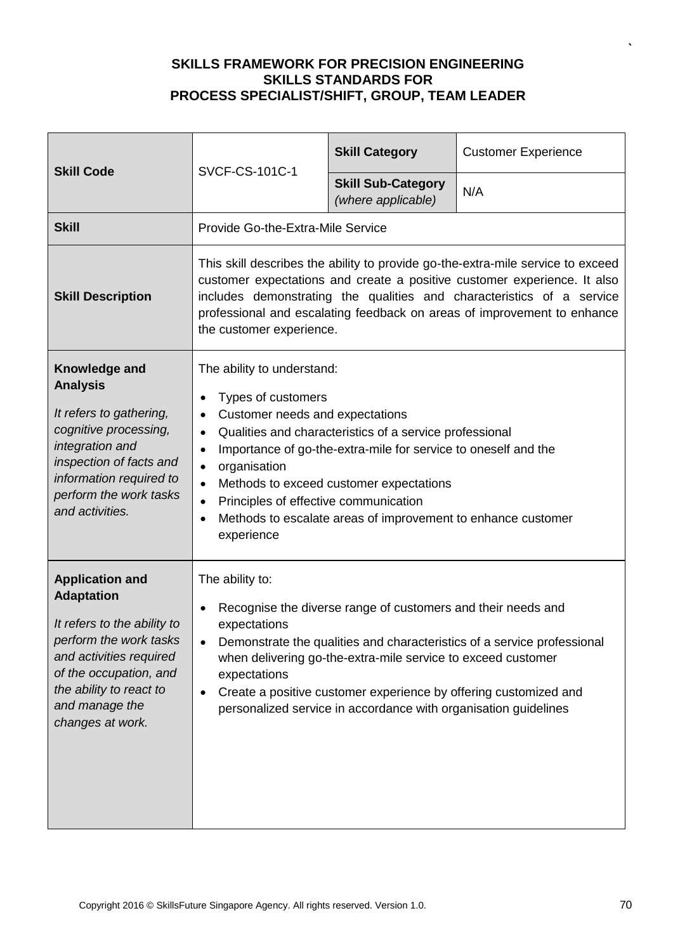| <b>Skill Code</b>                                                                                                                                                                                                          | <b>SVCF-CS-101C-1</b>                                                                                                                                                                                                                                                                                                                                                                                                                                                                         | <b>Skill Category</b>                           | <b>Customer Experience</b> |
|----------------------------------------------------------------------------------------------------------------------------------------------------------------------------------------------------------------------------|-----------------------------------------------------------------------------------------------------------------------------------------------------------------------------------------------------------------------------------------------------------------------------------------------------------------------------------------------------------------------------------------------------------------------------------------------------------------------------------------------|-------------------------------------------------|----------------------------|
|                                                                                                                                                                                                                            |                                                                                                                                                                                                                                                                                                                                                                                                                                                                                               | <b>Skill Sub-Category</b><br>(where applicable) | N/A                        |
| <b>Skill</b>                                                                                                                                                                                                               | Provide Go-the-Extra-Mile Service                                                                                                                                                                                                                                                                                                                                                                                                                                                             |                                                 |                            |
| <b>Skill Description</b>                                                                                                                                                                                                   | This skill describes the ability to provide go-the-extra-mile service to exceed<br>customer expectations and create a positive customer experience. It also<br>includes demonstrating the qualities and characteristics of a service<br>professional and escalating feedback on areas of improvement to enhance<br>the customer experience.                                                                                                                                                   |                                                 |                            |
| Knowledge and<br><b>Analysis</b><br>It refers to gathering,<br>cognitive processing,<br>integration and<br>inspection of facts and<br>information required to<br>perform the work tasks<br>and activities.                 | The ability to understand:<br>Types of customers<br>Customer needs and expectations<br>$\bullet$<br>Qualities and characteristics of a service professional<br>$\bullet$<br>Importance of go-the-extra-mile for service to oneself and the<br>$\bullet$<br>organisation<br>$\bullet$<br>Methods to exceed customer expectations<br>$\bullet$<br>Principles of effective communication<br>$\bullet$<br>Methods to escalate areas of improvement to enhance customer<br>$\bullet$<br>experience |                                                 |                            |
| <b>Application and</b><br><b>Adaptation</b><br>It refers to the ability to<br>perform the work tasks<br>and activities required<br>of the occupation, and<br>the ability to react to<br>and manage the<br>changes at work. | The ability to:<br>Recognise the diverse range of customers and their needs and<br>expectations<br>Demonstrate the qualities and characteristics of a service professional<br>when delivering go-the-extra-mile service to exceed customer<br>expectations<br>Create a positive customer experience by offering customized and<br>٠<br>personalized service in accordance with organisation guidelines                                                                                        |                                                 |                            |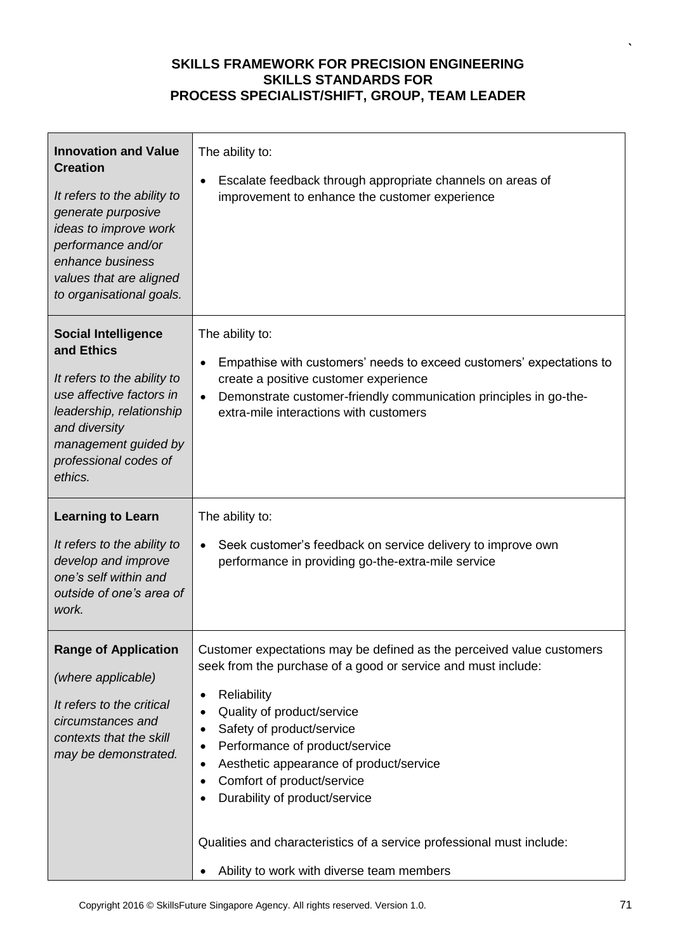| <b>Innovation and Value</b><br><b>Creation</b><br>It refers to the ability to<br>generate purposive<br>ideas to improve work<br>performance and/or<br>enhance business<br>values that are aligned<br>to organisational goals. | The ability to:<br>Escalate feedback through appropriate channels on areas of<br>٠<br>improvement to enhance the customer experience                                                                                                                                                                                                                                                                                                                                                                                             |
|-------------------------------------------------------------------------------------------------------------------------------------------------------------------------------------------------------------------------------|----------------------------------------------------------------------------------------------------------------------------------------------------------------------------------------------------------------------------------------------------------------------------------------------------------------------------------------------------------------------------------------------------------------------------------------------------------------------------------------------------------------------------------|
| <b>Social Intelligence</b><br>and Ethics<br>It refers to the ability to<br>use affective factors in<br>leadership, relationship<br>and diversity<br>management guided by<br>professional codes of<br>ethics.                  | The ability to:<br>Empathise with customers' needs to exceed customers' expectations to<br>$\bullet$<br>create a positive customer experience<br>Demonstrate customer-friendly communication principles in go-the-<br>$\bullet$<br>extra-mile interactions with customers                                                                                                                                                                                                                                                        |
| <b>Learning to Learn</b><br>It refers to the ability to<br>develop and improve<br>one's self within and<br>outside of one's area of<br>work.                                                                                  | The ability to:<br>Seek customer's feedback on service delivery to improve own<br>$\bullet$<br>performance in providing go-the-extra-mile service                                                                                                                                                                                                                                                                                                                                                                                |
| <b>Range of Application</b><br>(where applicable)<br>It refers to the critical<br>circumstances and<br>contexts that the skill<br>may be demonstrated.                                                                        | Customer expectations may be defined as the perceived value customers<br>seek from the purchase of a good or service and must include:<br>Reliability<br>$\bullet$<br>Quality of product/service<br>٠<br>Safety of product/service<br>٠<br>Performance of product/service<br>٠<br>Aesthetic appearance of product/service<br>٠<br>Comfort of product/service<br>$\bullet$<br>Durability of product/service<br>Qualities and characteristics of a service professional must include:<br>Ability to work with diverse team members |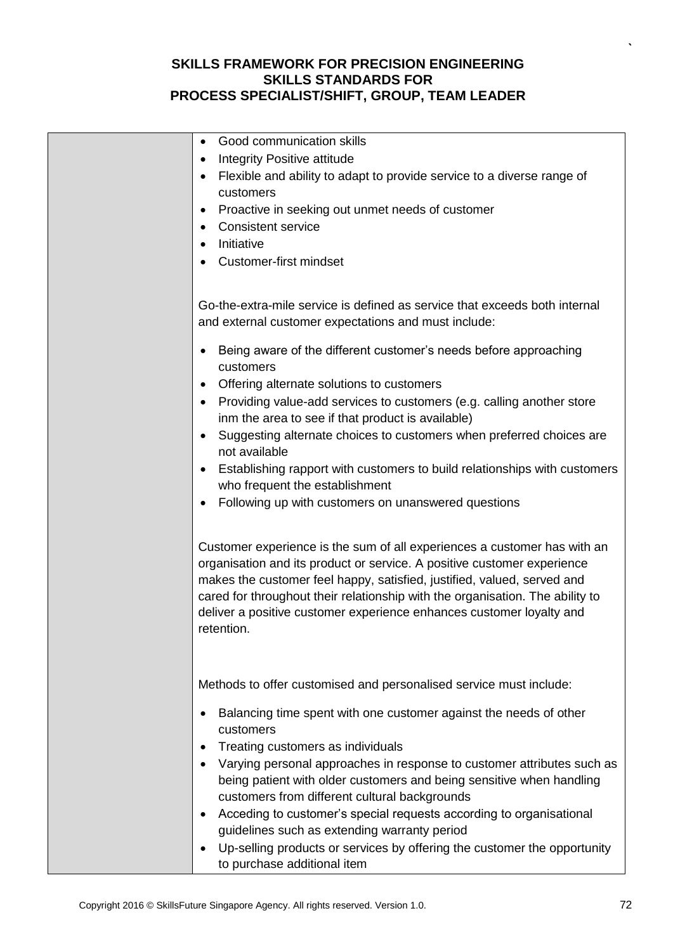| Good communication skills<br>Integrity Positive attitude<br>٠<br>Flexible and ability to adapt to provide service to a diverse range of<br>customers<br>Proactive in seeking out unmet needs of customer<br><b>Consistent service</b><br>Initiative<br><b>Customer-first mindset</b>                                                                                                                                                                                                                                                                                                                                                        |
|---------------------------------------------------------------------------------------------------------------------------------------------------------------------------------------------------------------------------------------------------------------------------------------------------------------------------------------------------------------------------------------------------------------------------------------------------------------------------------------------------------------------------------------------------------------------------------------------------------------------------------------------|
| Go-the-extra-mile service is defined as service that exceeds both internal<br>and external customer expectations and must include:                                                                                                                                                                                                                                                                                                                                                                                                                                                                                                          |
| Being aware of the different customer's needs before approaching<br>customers<br>Offering alternate solutions to customers<br>Providing value-add services to customers (e.g. calling another store<br>inm the area to see if that product is available)<br>Suggesting alternate choices to customers when preferred choices are<br>$\bullet$<br>not available<br>Establishing rapport with customers to build relationships with customers<br>who frequent the establishment<br>Following up with customers on unanswered questions                                                                                                        |
| Customer experience is the sum of all experiences a customer has with an<br>organisation and its product or service. A positive customer experience<br>makes the customer feel happy, satisfied, justified, valued, served and<br>cared for throughout their relationship with the organisation. The ability to<br>deliver a positive customer experience enhances customer loyalty and<br>retention.                                                                                                                                                                                                                                       |
| Methods to offer customised and personalised service must include:<br>Balancing time spent with one customer against the needs of other<br>customers<br>Treating customers as individuals<br>Varying personal approaches in response to customer attributes such as<br>being patient with older customers and being sensitive when handling<br>customers from different cultural backgrounds<br>Acceding to customer's special requests according to organisational<br>guidelines such as extending warranty period<br>Up-selling products or services by offering the customer the opportunity<br>$\bullet$<br>to purchase additional item |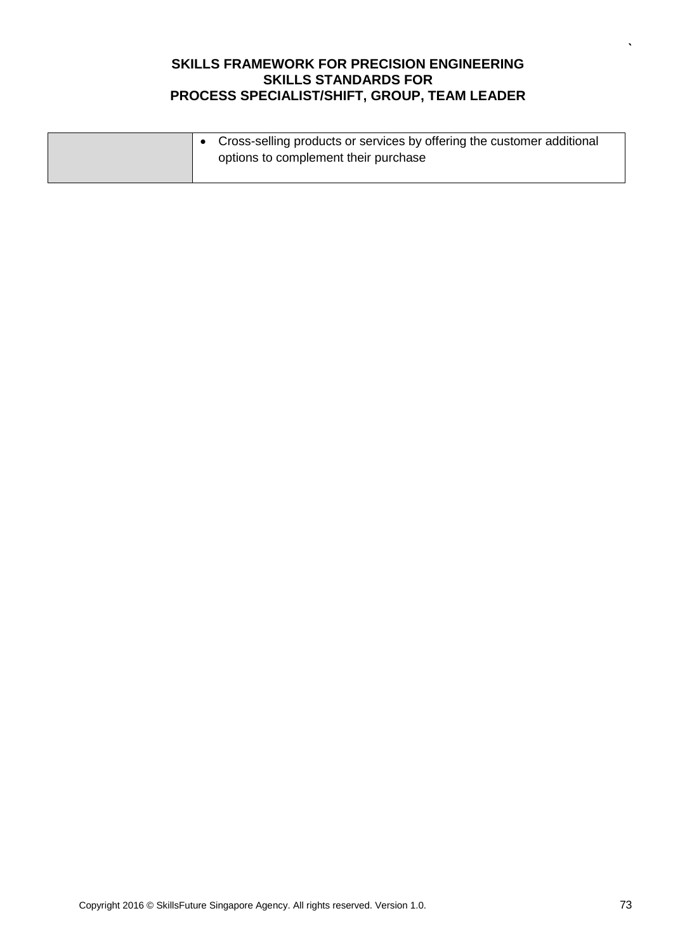|  | Cross-selling products or services by offering the customer additional<br>options to complement their purchase |
|--|----------------------------------------------------------------------------------------------------------------|
|--|----------------------------------------------------------------------------------------------------------------|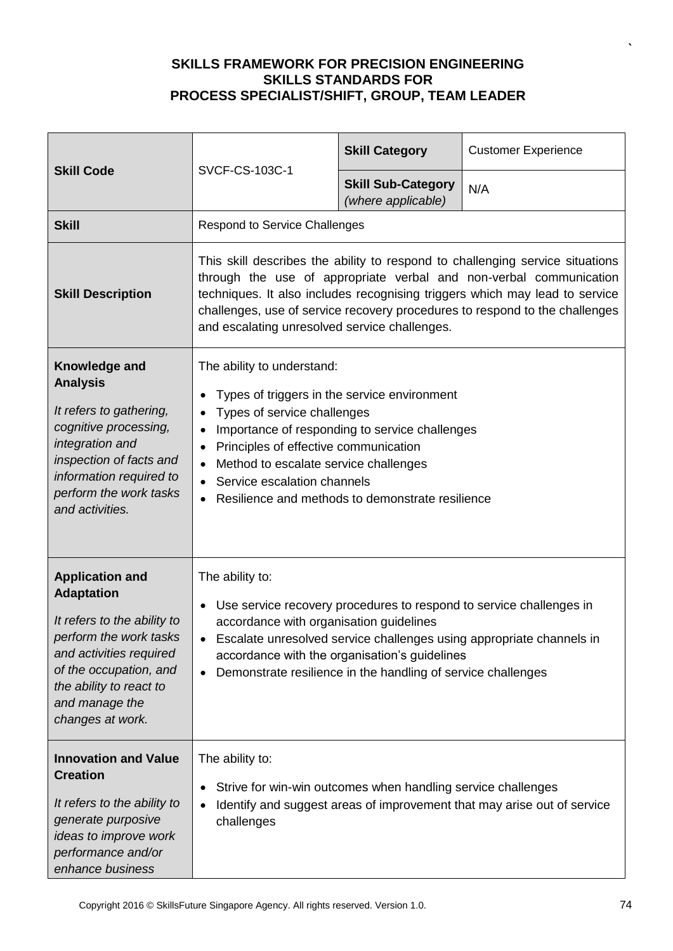| <b>Skill Code</b>                                                                                                                                                                                                          | SVCF-CS-103C-1                                                                                                                                                                                                                                                                                                                                                     | <b>Skill Category</b>                           | <b>Customer Experience</b> |
|----------------------------------------------------------------------------------------------------------------------------------------------------------------------------------------------------------------------------|--------------------------------------------------------------------------------------------------------------------------------------------------------------------------------------------------------------------------------------------------------------------------------------------------------------------------------------------------------------------|-------------------------------------------------|----------------------------|
|                                                                                                                                                                                                                            |                                                                                                                                                                                                                                                                                                                                                                    | <b>Skill Sub-Category</b><br>(where applicable) | N/A                        |
| <b>Skill</b>                                                                                                                                                                                                               | <b>Respond to Service Challenges</b>                                                                                                                                                                                                                                                                                                                               |                                                 |                            |
| <b>Skill Description</b>                                                                                                                                                                                                   | This skill describes the ability to respond to challenging service situations<br>through the use of appropriate verbal and non-verbal communication<br>techniques. It also includes recognising triggers which may lead to service<br>challenges, use of service recovery procedures to respond to the challenges<br>and escalating unresolved service challenges. |                                                 |                            |
| Knowledge and<br><b>Analysis</b><br>It refers to gathering,<br>cognitive processing,<br>integration and<br>inspection of facts and<br>information required to<br>perform the work tasks<br>and activities.                 | The ability to understand:<br>Types of triggers in the service environment<br>Types of service challenges<br>Importance of responding to service challenges<br>Principles of effective communication<br>$\bullet$<br>Method to escalate service challenges<br>Service escalation channels<br>$\bullet$<br>Resilience and methods to demonstrate resilience         |                                                 |                            |
| <b>Application and</b><br><b>Adaptation</b><br>It refers to the ability to<br>perform the work tasks<br>and activities required<br>of the occupation, and<br>the ability to react to<br>and manage the<br>changes at work. | The ability to:<br>Use service recovery procedures to respond to service challenges in<br>accordance with organisation guidelines<br>Escalate unresolved service challenges using appropriate channels in<br>accordance with the organisation's guidelines<br>Demonstrate resilience in the handling of service challenges<br>$\bullet$                            |                                                 |                            |
| <b>Innovation and Value</b><br><b>Creation</b><br>It refers to the ability to<br>generate purposive<br>ideas to improve work<br>performance and/or<br>enhance business                                                     | The ability to:<br>Strive for win-win outcomes when handling service challenges<br>Identify and suggest areas of improvement that may arise out of service<br>challenges                                                                                                                                                                                           |                                                 |                            |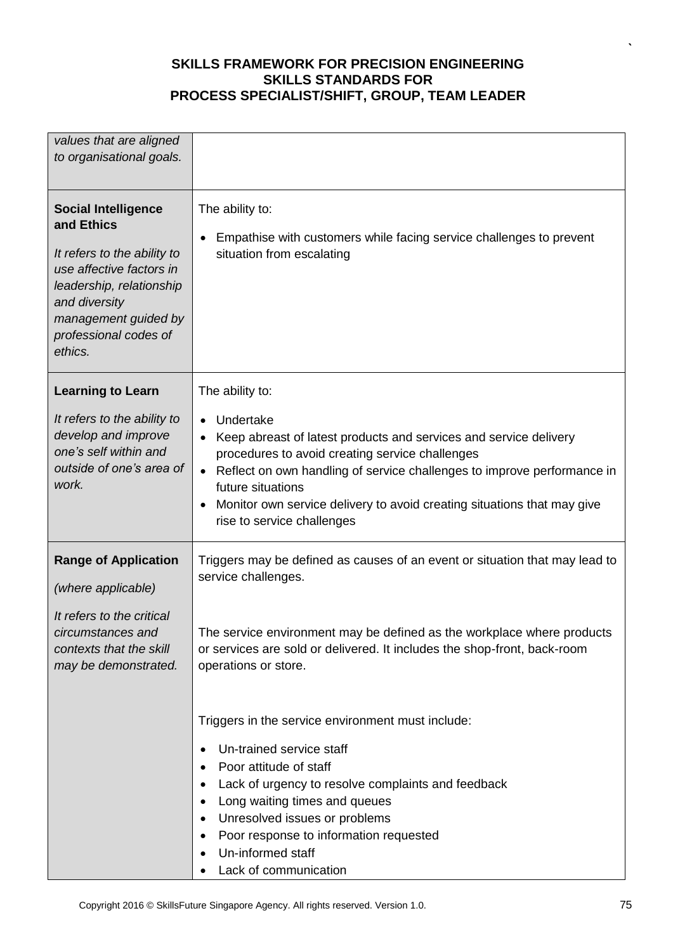| values that are aligned<br>to organisational goals.                                                                                                                                                          |                                                                                                                                                                                                                                                                                                                                                                                   |  |
|--------------------------------------------------------------------------------------------------------------------------------------------------------------------------------------------------------------|-----------------------------------------------------------------------------------------------------------------------------------------------------------------------------------------------------------------------------------------------------------------------------------------------------------------------------------------------------------------------------------|--|
| <b>Social Intelligence</b><br>and Ethics<br>It refers to the ability to<br>use affective factors in<br>leadership, relationship<br>and diversity<br>management guided by<br>professional codes of<br>ethics. | The ability to:<br>Empathise with customers while facing service challenges to prevent<br>situation from escalating                                                                                                                                                                                                                                                               |  |
| <b>Learning to Learn</b>                                                                                                                                                                                     | The ability to:                                                                                                                                                                                                                                                                                                                                                                   |  |
| It refers to the ability to<br>develop and improve<br>one's self within and<br>outside of one's area of<br>work.                                                                                             | Undertake<br>$\bullet$<br>Keep abreast of latest products and services and service delivery<br>procedures to avoid creating service challenges<br>Reflect on own handling of service challenges to improve performance in<br>$\bullet$<br>future situations<br>Monitor own service delivery to avoid creating situations that may give<br>$\bullet$<br>rise to service challenges |  |
| <b>Range of Application</b><br>(where applicable)                                                                                                                                                            | Triggers may be defined as causes of an event or situation that may lead to<br>service challenges.                                                                                                                                                                                                                                                                                |  |
| It refers to the critical<br>circumstances and<br>contexts that the skill<br>may be demonstrated.                                                                                                            | The service environment may be defined as the workplace where products<br>or services are sold or delivered. It includes the shop-front, back-room<br>operations or store.                                                                                                                                                                                                        |  |
|                                                                                                                                                                                                              | Triggers in the service environment must include:<br>Un-trained service staff<br>Poor attitude of staff<br>Lack of urgency to resolve complaints and feedback<br>$\bullet$<br>Long waiting times and queues<br>Unresolved issues or problems<br>Poor response to information requested<br>Un-informed staff<br>Lack of communication                                              |  |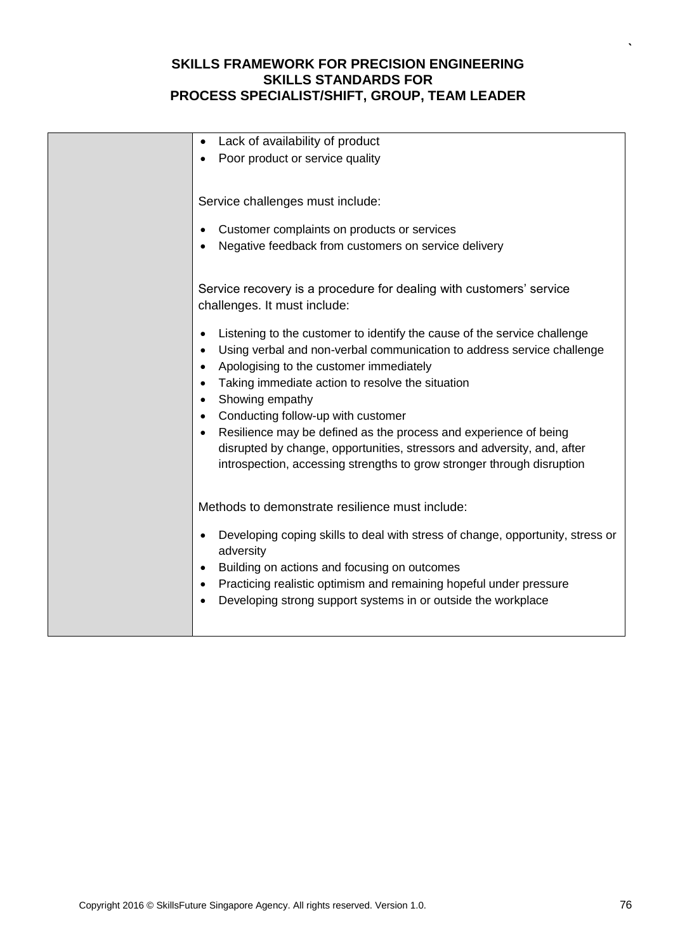| Lack of availability of product<br>Poor product or service quality                                                                                                                                                                                                                                                                                                                                                                                                                                                                                                                                                                         |
|--------------------------------------------------------------------------------------------------------------------------------------------------------------------------------------------------------------------------------------------------------------------------------------------------------------------------------------------------------------------------------------------------------------------------------------------------------------------------------------------------------------------------------------------------------------------------------------------------------------------------------------------|
| Service challenges must include:<br>Customer complaints on products or services<br>Negative feedback from customers on service delivery                                                                                                                                                                                                                                                                                                                                                                                                                                                                                                    |
| Service recovery is a procedure for dealing with customers' service<br>challenges. It must include:<br>Listening to the customer to identify the cause of the service challenge<br>Using verbal and non-verbal communication to address service challenge<br>Apologising to the customer immediately<br>Taking immediate action to resolve the situation<br>Showing empathy<br>Conducting follow-up with customer<br>Resilience may be defined as the process and experience of being<br>disrupted by change, opportunities, stressors and adversity, and, after<br>introspection, accessing strengths to grow stronger through disruption |
| Methods to demonstrate resilience must include:<br>Developing coping skills to deal with stress of change, opportunity, stress or<br>adversity<br>Building on actions and focusing on outcomes<br>Practicing realistic optimism and remaining hopeful under pressure<br>Developing strong support systems in or outside the workplace                                                                                                                                                                                                                                                                                                      |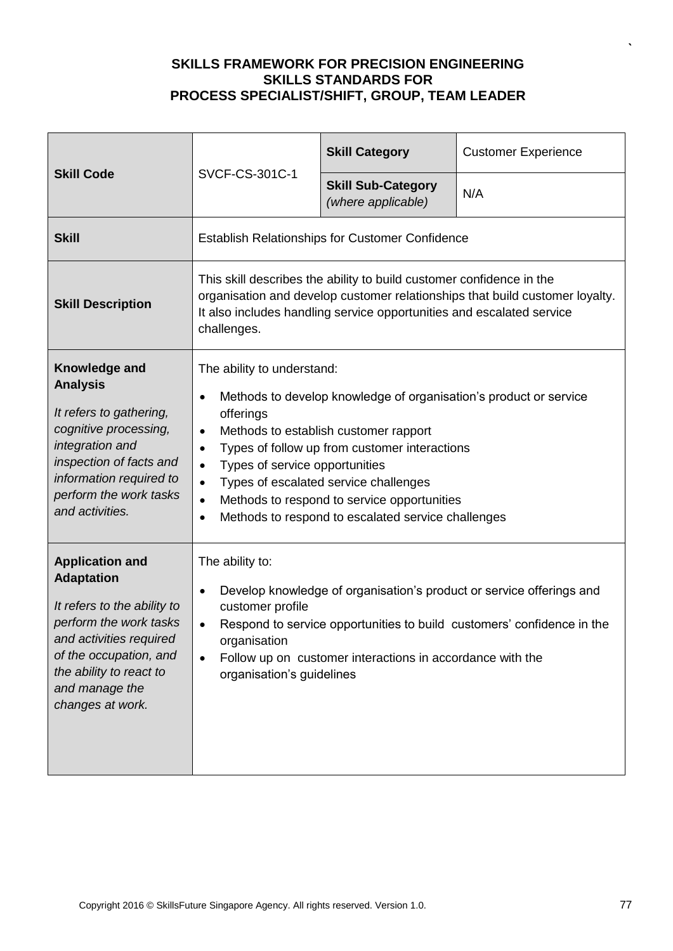| <b>Skill Code</b>                                                                                                                                                                                                          | SVCF-CS-301C-1                                                                                                                                                                                                                                                                                                                                                                                                                                                       | <b>Skill Category</b>                           | <b>Customer Experience</b> |
|----------------------------------------------------------------------------------------------------------------------------------------------------------------------------------------------------------------------------|----------------------------------------------------------------------------------------------------------------------------------------------------------------------------------------------------------------------------------------------------------------------------------------------------------------------------------------------------------------------------------------------------------------------------------------------------------------------|-------------------------------------------------|----------------------------|
|                                                                                                                                                                                                                            |                                                                                                                                                                                                                                                                                                                                                                                                                                                                      | <b>Skill Sub-Category</b><br>(where applicable) | N/A                        |
| <b>Skill</b>                                                                                                                                                                                                               | <b>Establish Relationships for Customer Confidence</b>                                                                                                                                                                                                                                                                                                                                                                                                               |                                                 |                            |
| <b>Skill Description</b>                                                                                                                                                                                                   | This skill describes the ability to build customer confidence in the<br>organisation and develop customer relationships that build customer loyalty.<br>It also includes handling service opportunities and escalated service<br>challenges.                                                                                                                                                                                                                         |                                                 |                            |
| Knowledge and<br><b>Analysis</b><br>It refers to gathering,<br>cognitive processing,<br>integration and<br>inspection of facts and<br>information required to<br>perform the work tasks<br>and activities.                 | The ability to understand:<br>Methods to develop knowledge of organisation's product or service<br>offerings<br>Methods to establish customer rapport<br>$\bullet$<br>Types of follow up from customer interactions<br>$\bullet$<br>Types of service opportunities<br>$\bullet$<br>Types of escalated service challenges<br>$\bullet$<br>Methods to respond to service opportunities<br>$\bullet$<br>Methods to respond to escalated service challenges<br>$\bullet$ |                                                 |                            |
| <b>Application and</b><br><b>Adaptation</b><br>It refers to the ability to<br>perform the work tasks<br>and activities required<br>of the occupation, and<br>the ability to react to<br>and manage the<br>changes at work. | The ability to:<br>Develop knowledge of organisation's product or service offerings and<br>$\bullet$<br>customer profile<br>Respond to service opportunities to build customers' confidence in the<br>$\bullet$<br>organisation<br>Follow up on customer interactions in accordance with the<br>$\bullet$<br>organisation's guidelines                                                                                                                               |                                                 |                            |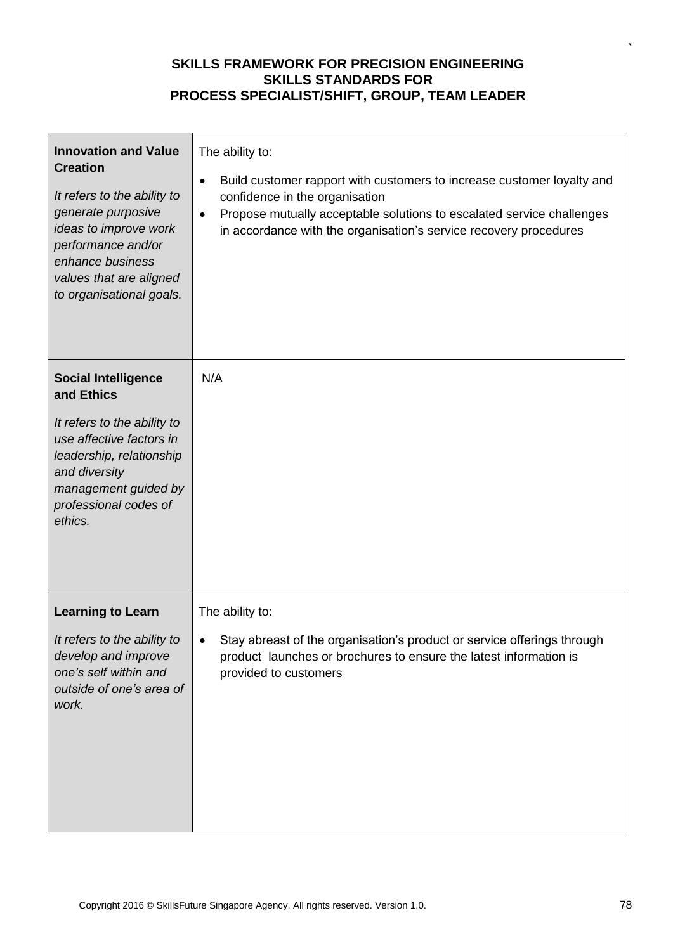| <b>Innovation and Value</b><br><b>Creation</b><br>It refers to the ability to<br>generate purposive<br>ideas to improve work<br>performance and/or<br>enhance business<br>values that are aligned<br>to organisational goals. | The ability to:<br>Build customer rapport with customers to increase customer loyalty and<br>$\bullet$<br>confidence in the organisation<br>Propose mutually acceptable solutions to escalated service challenges<br>$\bullet$<br>in accordance with the organisation's service recovery procedures |
|-------------------------------------------------------------------------------------------------------------------------------------------------------------------------------------------------------------------------------|-----------------------------------------------------------------------------------------------------------------------------------------------------------------------------------------------------------------------------------------------------------------------------------------------------|
| <b>Social Intelligence</b><br>and Ethics                                                                                                                                                                                      | N/A                                                                                                                                                                                                                                                                                                 |
| It refers to the ability to<br>use affective factors in<br>leadership, relationship<br>and diversity<br>management guided by<br>professional codes of<br>ethics.                                                              |                                                                                                                                                                                                                                                                                                     |
| <b>Learning to Learn</b>                                                                                                                                                                                                      | The ability to:                                                                                                                                                                                                                                                                                     |
| It refers to the ability to<br>develop and improve<br>one's self within and<br>outside of one's area of<br>work.                                                                                                              | Stay abreast of the organisation's product or service offerings through<br>product launches or brochures to ensure the latest information is<br>provided to customers                                                                                                                               |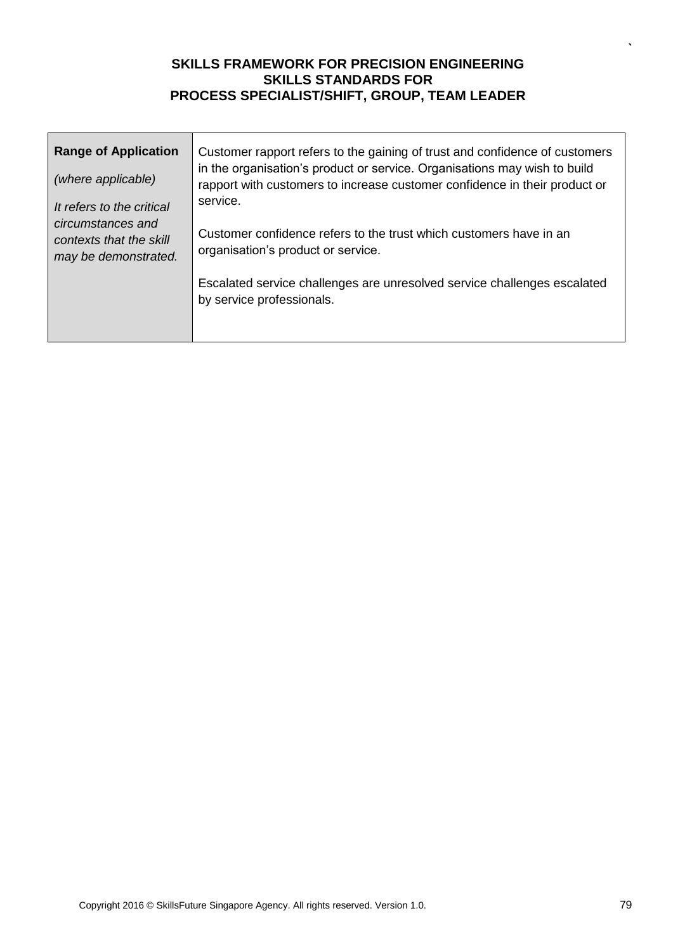| <b>Range of Application</b><br>(where applicable)                                                 | Customer rapport refers to the gaining of trust and confidence of customers<br>in the organisation's product or service. Organisations may wish to build<br>rapport with customers to increase customer confidence in their product or<br>service. |
|---------------------------------------------------------------------------------------------------|----------------------------------------------------------------------------------------------------------------------------------------------------------------------------------------------------------------------------------------------------|
| It refers to the critical<br>circumstances and<br>contexts that the skill<br>may be demonstrated. | Customer confidence refers to the trust which customers have in an<br>organisation's product or service.                                                                                                                                           |
|                                                                                                   | Escalated service challenges are unresolved service challenges escalated<br>by service professionals.                                                                                                                                              |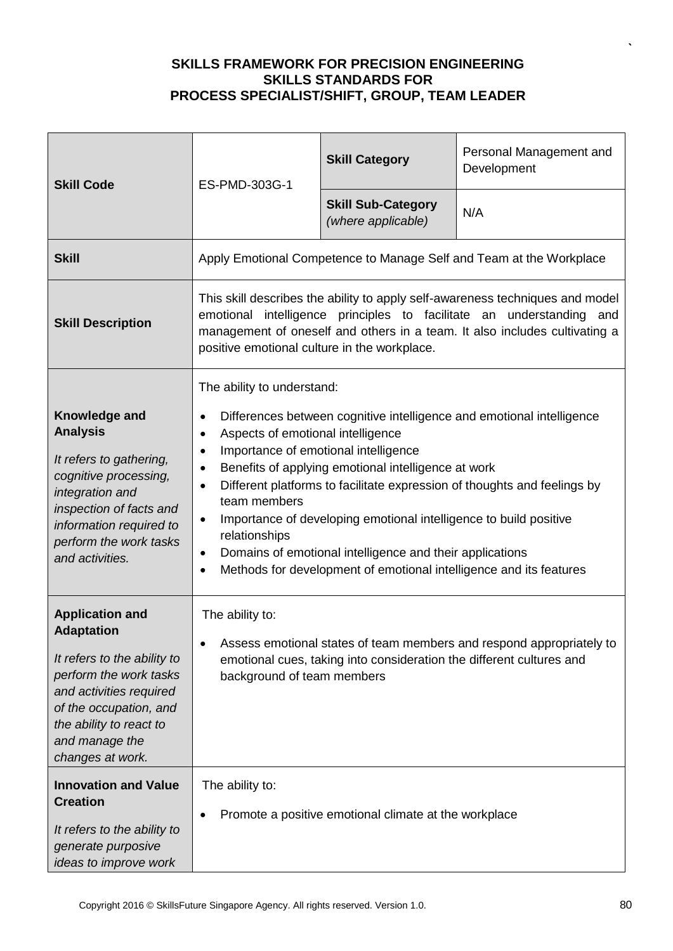| <b>Skill Code</b>                                                                                                                                                                                                          | ES-PMD-303G-1                                                                                                                                                                                                                                                                                                                                                                                                                                                                                                                                                                                                                                                       | <b>Skill Category</b>                           | Personal Management and<br>Development |
|----------------------------------------------------------------------------------------------------------------------------------------------------------------------------------------------------------------------------|---------------------------------------------------------------------------------------------------------------------------------------------------------------------------------------------------------------------------------------------------------------------------------------------------------------------------------------------------------------------------------------------------------------------------------------------------------------------------------------------------------------------------------------------------------------------------------------------------------------------------------------------------------------------|-------------------------------------------------|----------------------------------------|
|                                                                                                                                                                                                                            |                                                                                                                                                                                                                                                                                                                                                                                                                                                                                                                                                                                                                                                                     | <b>Skill Sub-Category</b><br>(where applicable) | N/A                                    |
| <b>Skill</b>                                                                                                                                                                                                               | Apply Emotional Competence to Manage Self and Team at the Workplace                                                                                                                                                                                                                                                                                                                                                                                                                                                                                                                                                                                                 |                                                 |                                        |
| <b>Skill Description</b>                                                                                                                                                                                                   | This skill describes the ability to apply self-awareness techniques and model<br>emotional intelligence principles to facilitate an understanding<br>and<br>management of oneself and others in a team. It also includes cultivating a<br>positive emotional culture in the workplace.                                                                                                                                                                                                                                                                                                                                                                              |                                                 |                                        |
| Knowledge and<br><b>Analysis</b><br>It refers to gathering,<br>cognitive processing,<br>integration and<br>inspection of facts and<br>information required to<br>perform the work tasks<br>and activities.                 | The ability to understand:<br>Differences between cognitive intelligence and emotional intelligence<br>$\bullet$<br>Aspects of emotional intelligence<br>$\bullet$<br>Importance of emotional intelligence<br>$\bullet$<br>Benefits of applying emotional intelligence at work<br>$\bullet$<br>Different platforms to facilitate expression of thoughts and feelings by<br>$\bullet$<br>team members<br>Importance of developing emotional intelligence to build positive<br>$\bullet$<br>relationships<br>Domains of emotional intelligence and their applications<br>$\bullet$<br>Methods for development of emotional intelligence and its features<br>$\bullet$ |                                                 |                                        |
| <b>Application and</b><br><b>Adaptation</b><br>It refers to the ability to<br>perform the work tasks<br>and activities required<br>of the occupation, and<br>the ability to react to<br>and manage the<br>changes at work. | The ability to:<br>Assess emotional states of team members and respond appropriately to<br>emotional cues, taking into consideration the different cultures and<br>background of team members                                                                                                                                                                                                                                                                                                                                                                                                                                                                       |                                                 |                                        |
| <b>Innovation and Value</b><br><b>Creation</b><br>It refers to the ability to<br>generate purposive<br>ideas to improve work                                                                                               | The ability to:<br>Promote a positive emotional climate at the workplace                                                                                                                                                                                                                                                                                                                                                                                                                                                                                                                                                                                            |                                                 |                                        |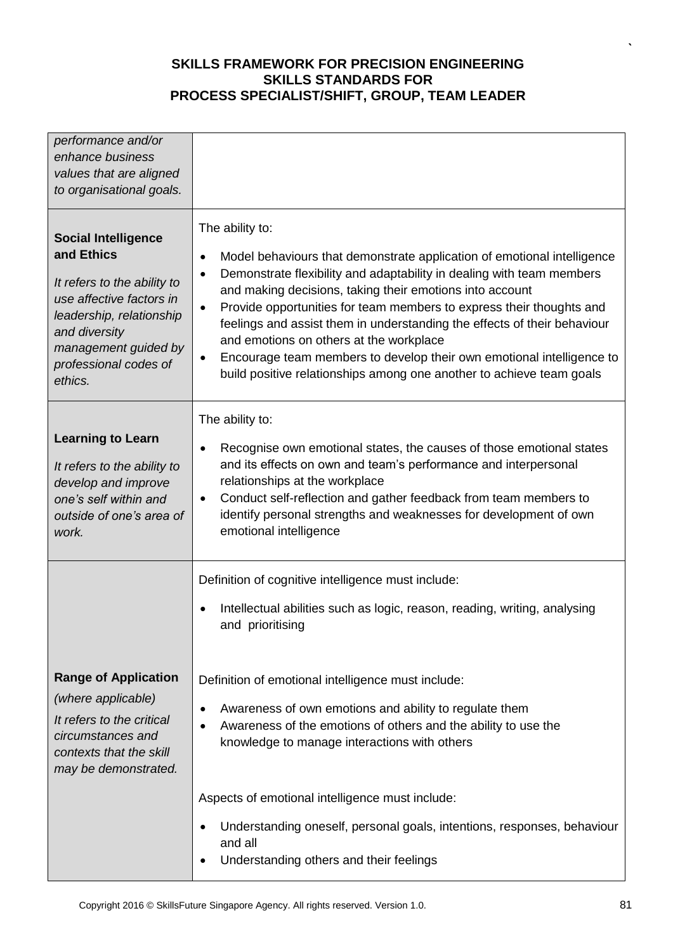| performance and/or<br>enhance business<br>values that are aligned<br>to organisational goals.                                                                                                                |                                                                                                                                                                                                                                                                                                                                                                                                                                                                                                                                                                                                                                     |
|--------------------------------------------------------------------------------------------------------------------------------------------------------------------------------------------------------------|-------------------------------------------------------------------------------------------------------------------------------------------------------------------------------------------------------------------------------------------------------------------------------------------------------------------------------------------------------------------------------------------------------------------------------------------------------------------------------------------------------------------------------------------------------------------------------------------------------------------------------------|
| <b>Social Intelligence</b><br>and Ethics<br>It refers to the ability to<br>use affective factors in<br>leadership, relationship<br>and diversity<br>management guided by<br>professional codes of<br>ethics. | The ability to:<br>Model behaviours that demonstrate application of emotional intelligence<br>$\bullet$<br>Demonstrate flexibility and adaptability in dealing with team members<br>$\bullet$<br>and making decisions, taking their emotions into account<br>Provide opportunities for team members to express their thoughts and<br>$\bullet$<br>feelings and assist them in understanding the effects of their behaviour<br>and emotions on others at the workplace<br>Encourage team members to develop their own emotional intelligence to<br>$\bullet$<br>build positive relationships among one another to achieve team goals |
| <b>Learning to Learn</b><br>It refers to the ability to<br>develop and improve<br>one's self within and<br>outside of one's area of<br>work.                                                                 | The ability to:<br>Recognise own emotional states, the causes of those emotional states<br>and its effects on own and team's performance and interpersonal<br>relationships at the workplace<br>Conduct self-reflection and gather feedback from team members to<br>$\bullet$<br>identify personal strengths and weaknesses for development of own<br>emotional intelligence                                                                                                                                                                                                                                                        |
| <b>Range of Application</b><br>(where applicable)<br>It refers to the critical<br>circumstances and<br>contexts that the skill<br>may be demonstrated.                                                       | Definition of cognitive intelligence must include:<br>Intellectual abilities such as logic, reason, reading, writing, analysing<br>and prioritising<br>Definition of emotional intelligence must include:<br>Awareness of own emotions and ability to regulate them<br>Awareness of the emotions of others and the ability to use the<br>knowledge to manage interactions with others                                                                                                                                                                                                                                               |
|                                                                                                                                                                                                              | Aspects of emotional intelligence must include:<br>Understanding oneself, personal goals, intentions, responses, behaviour<br>and all<br>Understanding others and their feelings                                                                                                                                                                                                                                                                                                                                                                                                                                                    |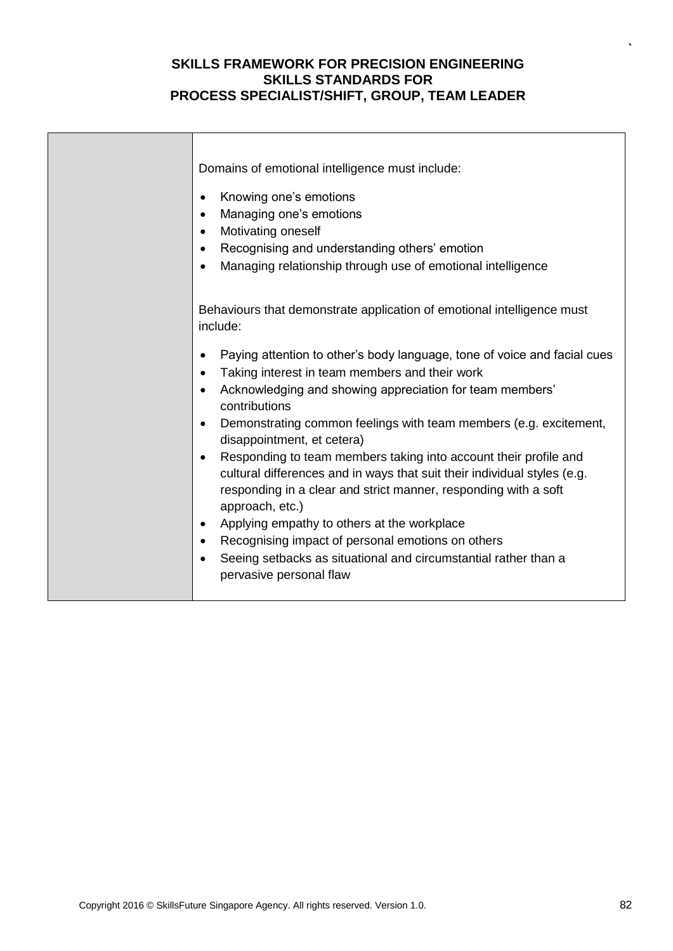| Domains of emotional intelligence must include:                                                                                                                                                                              |
|------------------------------------------------------------------------------------------------------------------------------------------------------------------------------------------------------------------------------|
| Knowing one's emotions<br>$\bullet$                                                                                                                                                                                          |
| Managing one's emotions<br>$\bullet$                                                                                                                                                                                         |
| Motivating oneself<br>$\bullet$                                                                                                                                                                                              |
| Recognising and understanding others' emotion<br>$\bullet$                                                                                                                                                                   |
| Managing relationship through use of emotional intelligence<br>$\bullet$                                                                                                                                                     |
| Behaviours that demonstrate application of emotional intelligence must                                                                                                                                                       |
| include:                                                                                                                                                                                                                     |
| Paying attention to other's body language, tone of voice and facial cues                                                                                                                                                     |
| Taking interest in team members and their work<br>$\bullet$                                                                                                                                                                  |
| Acknowledging and showing appreciation for team members'<br>$\bullet$<br>contributions                                                                                                                                       |
| Demonstrating common feelings with team members (e.g. excitement,<br>$\bullet$<br>disappointment, et cetera)                                                                                                                 |
| Responding to team members taking into account their profile and<br>$\bullet$<br>cultural differences and in ways that suit their individual styles (e.g.<br>responding in a clear and strict manner, responding with a soft |
| approach, etc.)                                                                                                                                                                                                              |
| Applying empathy to others at the workplace<br>$\bullet$                                                                                                                                                                     |
| Recognising impact of personal emotions on others<br>$\bullet$                                                                                                                                                               |
| Seeing setbacks as situational and circumstantial rather than a<br>pervasive personal flaw                                                                                                                                   |
|                                                                                                                                                                                                                              |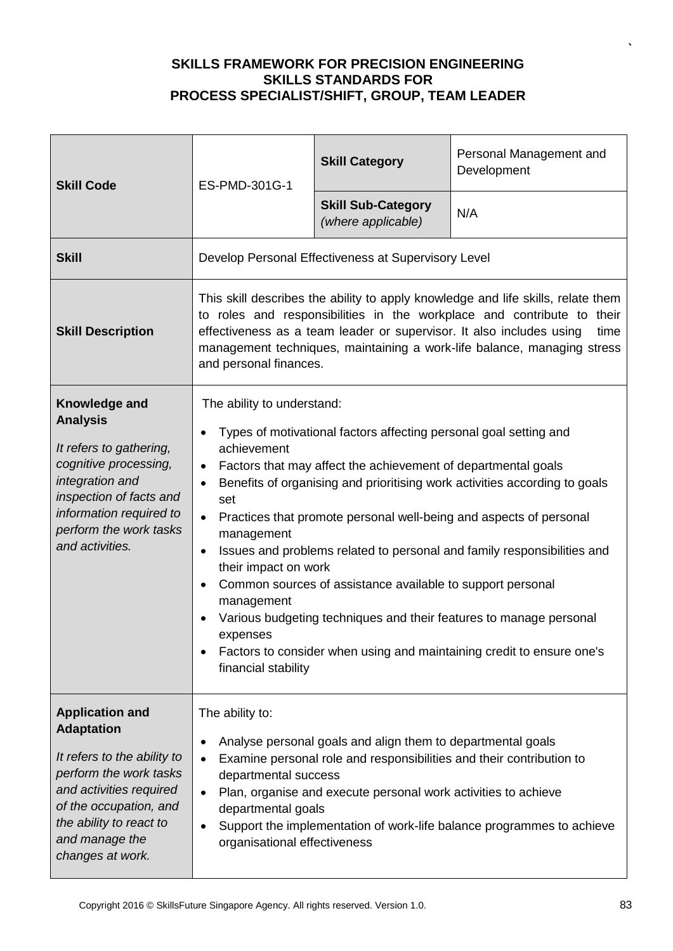| <b>Skill Code</b>                                                                                                                                                                                                          | ES-PMD-301G-1                                                                                                                                                                                                                                                                                                                                                                                                                                                                                                                                                                                                                                                                                                                                                                 | <b>Skill Category</b>                               | Personal Management and<br>Development |
|----------------------------------------------------------------------------------------------------------------------------------------------------------------------------------------------------------------------------|-------------------------------------------------------------------------------------------------------------------------------------------------------------------------------------------------------------------------------------------------------------------------------------------------------------------------------------------------------------------------------------------------------------------------------------------------------------------------------------------------------------------------------------------------------------------------------------------------------------------------------------------------------------------------------------------------------------------------------------------------------------------------------|-----------------------------------------------------|----------------------------------------|
|                                                                                                                                                                                                                            |                                                                                                                                                                                                                                                                                                                                                                                                                                                                                                                                                                                                                                                                                                                                                                               | <b>Skill Sub-Category</b><br>(where applicable)     | N/A                                    |
| <b>Skill</b>                                                                                                                                                                                                               |                                                                                                                                                                                                                                                                                                                                                                                                                                                                                                                                                                                                                                                                                                                                                                               | Develop Personal Effectiveness at Supervisory Level |                                        |
| <b>Skill Description</b>                                                                                                                                                                                                   | This skill describes the ability to apply knowledge and life skills, relate them<br>to roles and responsibilities in the workplace and contribute to their<br>effectiveness as a team leader or supervisor. It also includes using<br>time<br>management techniques, maintaining a work-life balance, managing stress<br>and personal finances.                                                                                                                                                                                                                                                                                                                                                                                                                               |                                                     |                                        |
| Knowledge and<br><b>Analysis</b><br>It refers to gathering,<br>cognitive processing,<br>integration and<br>inspection of facts and<br>information required to<br>perform the work tasks<br>and activities.                 | The ability to understand:<br>Types of motivational factors affecting personal goal setting and<br>achievement<br>Factors that may affect the achievement of departmental goals<br>Benefits of organising and prioritising work activities according to goals<br>$\bullet$<br>set<br>Practices that promote personal well-being and aspects of personal<br>$\bullet$<br>management<br>Issues and problems related to personal and family responsibilities and<br>$\bullet$<br>their impact on work<br>Common sources of assistance available to support personal<br>$\bullet$<br>management<br>Various budgeting techniques and their features to manage personal<br>expenses<br>Factors to consider when using and maintaining credit to ensure one's<br>financial stability |                                                     |                                        |
| <b>Application and</b><br><b>Adaptation</b><br>It refers to the ability to<br>perform the work tasks<br>and activities required<br>of the occupation, and<br>the ability to react to<br>and manage the<br>changes at work. | The ability to:<br>Analyse personal goals and align them to departmental goals<br>$\bullet$<br>Examine personal role and responsibilities and their contribution to<br>departmental success<br>Plan, organise and execute personal work activities to achieve<br>departmental goals<br>Support the implementation of work-life balance programmes to achieve<br>organisational effectiveness                                                                                                                                                                                                                                                                                                                                                                                  |                                                     |                                        |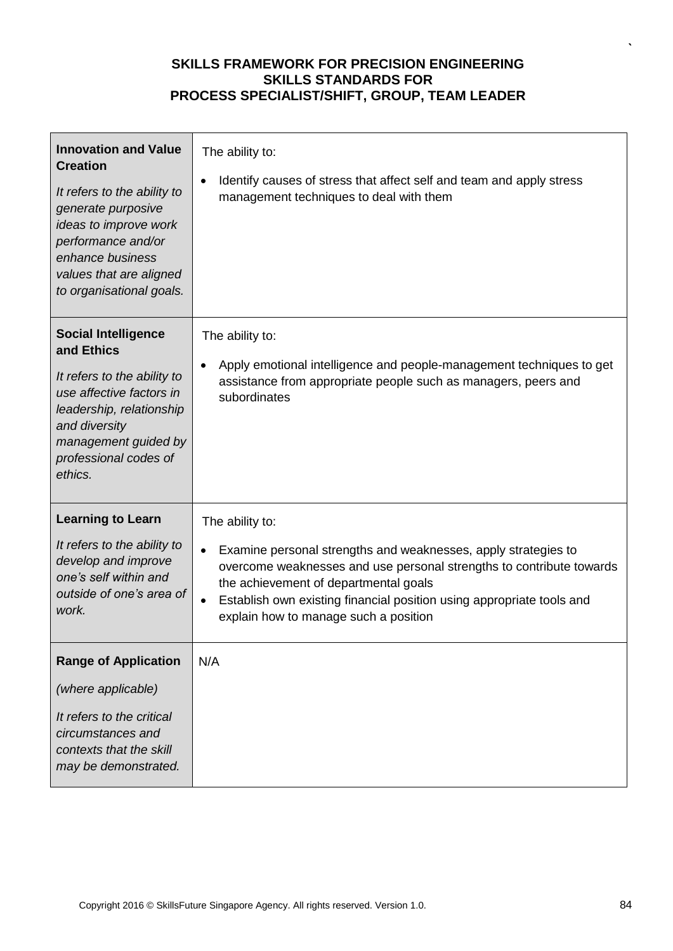| <b>Innovation and Value</b><br><b>Creation</b><br>It refers to the ability to<br>generate purposive<br>ideas to improve work<br>performance and/or<br>enhance business<br>values that are aligned<br>to organisational goals. | The ability to:<br>Identify causes of stress that affect self and team and apply stress<br>management techniques to deal with them                                                                                                                                                                                                |
|-------------------------------------------------------------------------------------------------------------------------------------------------------------------------------------------------------------------------------|-----------------------------------------------------------------------------------------------------------------------------------------------------------------------------------------------------------------------------------------------------------------------------------------------------------------------------------|
| <b>Social Intelligence</b><br>and Ethics<br>It refers to the ability to<br>use affective factors in<br>leadership, relationship<br>and diversity<br>management guided by<br>professional codes of<br>ethics.                  | The ability to:<br>Apply emotional intelligence and people-management techniques to get<br>$\bullet$<br>assistance from appropriate people such as managers, peers and<br>subordinates                                                                                                                                            |
| <b>Learning to Learn</b><br>It refers to the ability to<br>develop and improve<br>one's self within and<br>outside of one's area of<br>work.                                                                                  | The ability to:<br>Examine personal strengths and weaknesses, apply strategies to<br>$\bullet$<br>overcome weaknesses and use personal strengths to contribute towards<br>the achievement of departmental goals<br>Establish own existing financial position using appropriate tools and<br>explain how to manage such a position |
| <b>Range of Application</b><br>(where applicable)<br>It refers to the critical<br>circumstances and<br>contexts that the skill<br>may be demonstrated.                                                                        | N/A                                                                                                                                                                                                                                                                                                                               |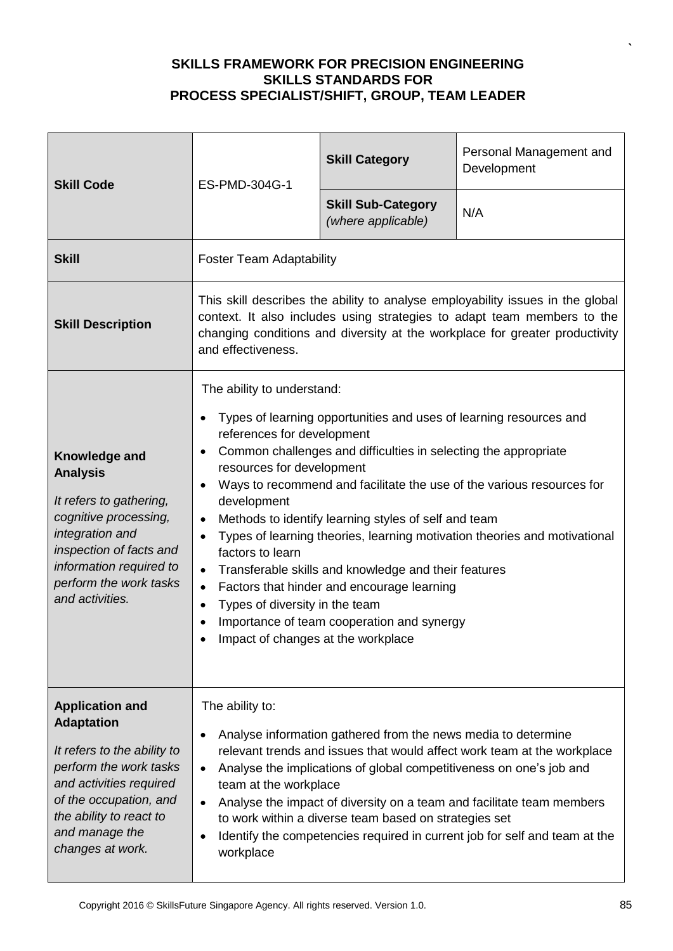| <b>Skill Code</b>                                                                                                                                                                                                          | ES-PMD-304G-1                                                                                                                                                                                                                                                                                                                                                                                                                                                                                                                                                                                                                                                                                                                                                                | <b>Skill Category</b>                           | Personal Management and<br>Development |
|----------------------------------------------------------------------------------------------------------------------------------------------------------------------------------------------------------------------------|------------------------------------------------------------------------------------------------------------------------------------------------------------------------------------------------------------------------------------------------------------------------------------------------------------------------------------------------------------------------------------------------------------------------------------------------------------------------------------------------------------------------------------------------------------------------------------------------------------------------------------------------------------------------------------------------------------------------------------------------------------------------------|-------------------------------------------------|----------------------------------------|
|                                                                                                                                                                                                                            |                                                                                                                                                                                                                                                                                                                                                                                                                                                                                                                                                                                                                                                                                                                                                                              | <b>Skill Sub-Category</b><br>(where applicable) | N/A                                    |
| <b>Skill</b>                                                                                                                                                                                                               | <b>Foster Team Adaptability</b>                                                                                                                                                                                                                                                                                                                                                                                                                                                                                                                                                                                                                                                                                                                                              |                                                 |                                        |
| <b>Skill Description</b>                                                                                                                                                                                                   | This skill describes the ability to analyse employability issues in the global<br>context. It also includes using strategies to adapt team members to the<br>changing conditions and diversity at the workplace for greater productivity<br>and effectiveness.                                                                                                                                                                                                                                                                                                                                                                                                                                                                                                               |                                                 |                                        |
| Knowledge and<br><b>Analysis</b><br>It refers to gathering,<br>cognitive processing,<br>integration and<br>inspection of facts and<br>information required to<br>perform the work tasks<br>and activities.                 | The ability to understand:<br>Types of learning opportunities and uses of learning resources and<br>references for development<br>Common challenges and difficulties in selecting the appropriate<br>resources for development<br>Ways to recommend and facilitate the use of the various resources for<br>development<br>Methods to identify learning styles of self and team<br>$\bullet$<br>Types of learning theories, learning motivation theories and motivational<br>$\bullet$<br>factors to learn<br>Transferable skills and knowledge and their features<br>$\bullet$<br>Factors that hinder and encourage learning<br>$\bullet$<br>Types of diversity in the team<br>$\bullet$<br>Importance of team cooperation and synergy<br>Impact of changes at the workplace |                                                 |                                        |
| <b>Application and</b><br><b>Adaptation</b><br>It refers to the ability to<br>perform the work tasks<br>and activities required<br>of the occupation, and<br>the ability to react to<br>and manage the<br>changes at work. | The ability to:<br>Analyse information gathered from the news media to determine<br>relevant trends and issues that would affect work team at the workplace<br>Analyse the implications of global competitiveness on one's job and<br>team at the workplace<br>Analyse the impact of diversity on a team and facilitate team members<br>to work within a diverse team based on strategies set<br>Identify the competencies required in current job for self and team at the<br>workplace                                                                                                                                                                                                                                                                                     |                                                 |                                        |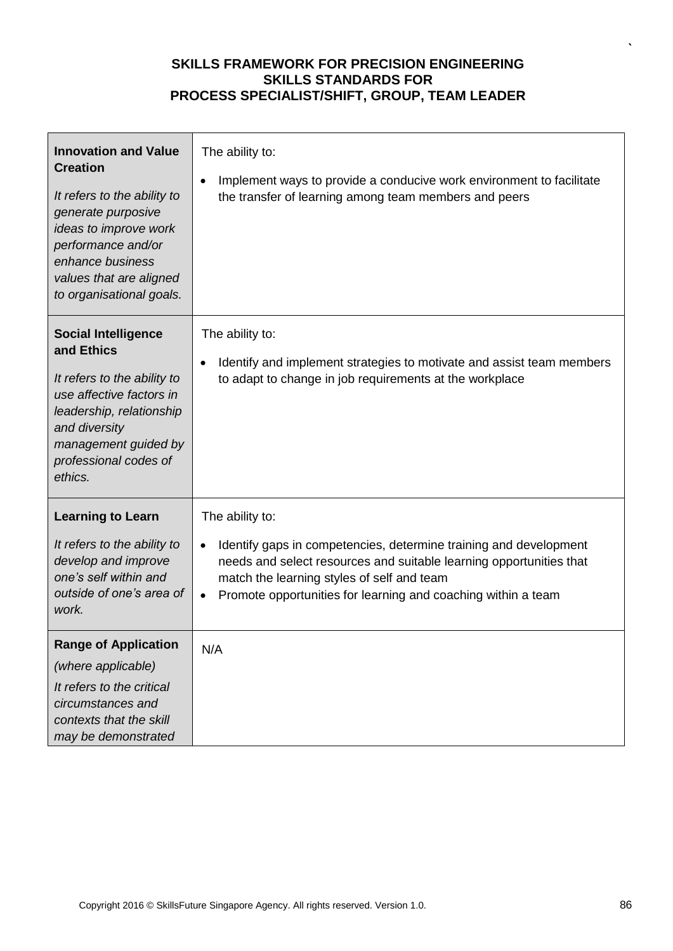| <b>Innovation and Value</b><br><b>Creation</b><br>It refers to the ability to<br>generate purposive<br>ideas to improve work<br>performance and/or<br>enhance business<br>values that are aligned<br>to organisational goals. | The ability to:<br>Implement ways to provide a conducive work environment to facilitate<br>٠<br>the transfer of learning among team members and peers                                                                                                                                                |
|-------------------------------------------------------------------------------------------------------------------------------------------------------------------------------------------------------------------------------|------------------------------------------------------------------------------------------------------------------------------------------------------------------------------------------------------------------------------------------------------------------------------------------------------|
| <b>Social Intelligence</b><br>and Ethics<br>It refers to the ability to<br>use affective factors in<br>leadership, relationship<br>and diversity<br>management guided by<br>professional codes of<br>ethics.                  | The ability to:<br>Identify and implement strategies to motivate and assist team members<br>to adapt to change in job requirements at the workplace                                                                                                                                                  |
| <b>Learning to Learn</b><br>It refers to the ability to<br>develop and improve<br>one's self within and<br>outside of one's area of<br>work.                                                                                  | The ability to:<br>Identify gaps in competencies, determine training and development<br>$\bullet$<br>needs and select resources and suitable learning opportunities that<br>match the learning styles of self and team<br>Promote opportunities for learning and coaching within a team<br>$\bullet$ |
| <b>Range of Application</b><br>(where applicable)<br>It refers to the critical<br>circumstances and<br>contexts that the skill<br>may be demonstrated                                                                         | N/A                                                                                                                                                                                                                                                                                                  |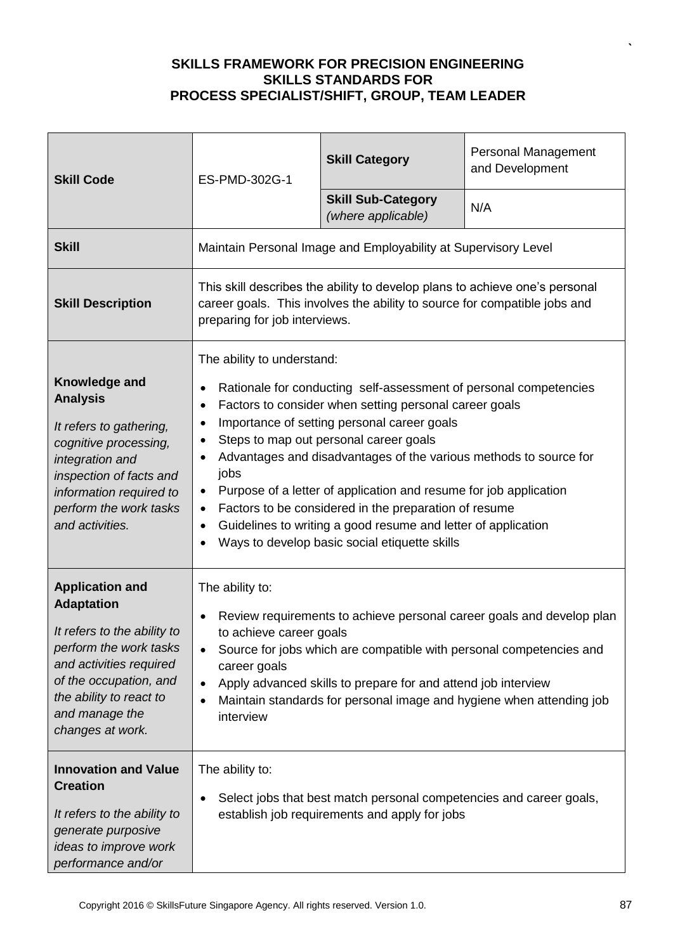| <b>Skill Code</b>                                                                                                                                                                                                          | ES-PMD-302G-1                                                                                                                                                                                                                                                                                                                                                                                                                                                                                                                                                                                                                                                      | <b>Skill Category</b>                                          | <b>Personal Management</b><br>and Development |
|----------------------------------------------------------------------------------------------------------------------------------------------------------------------------------------------------------------------------|--------------------------------------------------------------------------------------------------------------------------------------------------------------------------------------------------------------------------------------------------------------------------------------------------------------------------------------------------------------------------------------------------------------------------------------------------------------------------------------------------------------------------------------------------------------------------------------------------------------------------------------------------------------------|----------------------------------------------------------------|-----------------------------------------------|
|                                                                                                                                                                                                                            |                                                                                                                                                                                                                                                                                                                                                                                                                                                                                                                                                                                                                                                                    | <b>Skill Sub-Category</b><br>(where applicable)                | N/A                                           |
| <b>Skill</b>                                                                                                                                                                                                               |                                                                                                                                                                                                                                                                                                                                                                                                                                                                                                                                                                                                                                                                    | Maintain Personal Image and Employability at Supervisory Level |                                               |
| <b>Skill Description</b>                                                                                                                                                                                                   | This skill describes the ability to develop plans to achieve one's personal<br>career goals. This involves the ability to source for compatible jobs and<br>preparing for job interviews.                                                                                                                                                                                                                                                                                                                                                                                                                                                                          |                                                                |                                               |
| Knowledge and<br><b>Analysis</b><br>It refers to gathering,<br>cognitive processing,<br>integration and<br>inspection of facts and<br>information required to<br>perform the work tasks<br>and activities.                 | The ability to understand:<br>Rationale for conducting self-assessment of personal competencies<br>Factors to consider when setting personal career goals<br>$\bullet$<br>Importance of setting personal career goals<br>٠<br>Steps to map out personal career goals<br>$\bullet$<br>Advantages and disadvantages of the various methods to source for<br>jobs<br>Purpose of a letter of application and resume for job application<br>$\bullet$<br>Factors to be considered in the preparation of resume<br>$\bullet$<br>Guidelines to writing a good resume and letter of application<br>$\bullet$<br>Ways to develop basic social etiquette skills<br>$\bullet$ |                                                                |                                               |
| <b>Application and</b><br><b>Adaptation</b><br>It refers to the ability to<br>perform the work tasks<br>and activities required<br>of the occupation, and<br>the ability to react to<br>and manage the<br>changes at work. | The ability to:<br>Review requirements to achieve personal career goals and develop plan<br>to achieve career goals<br>Source for jobs which are compatible with personal competencies and<br>career goals<br>Apply advanced skills to prepare for and attend job interview<br>$\bullet$<br>Maintain standards for personal image and hygiene when attending job<br>interview                                                                                                                                                                                                                                                                                      |                                                                |                                               |
| <b>Innovation and Value</b><br><b>Creation</b><br>It refers to the ability to<br>generate purposive<br>ideas to improve work<br>performance and/or                                                                         | The ability to:<br>Select jobs that best match personal competencies and career goals,<br>establish job requirements and apply for jobs                                                                                                                                                                                                                                                                                                                                                                                                                                                                                                                            |                                                                |                                               |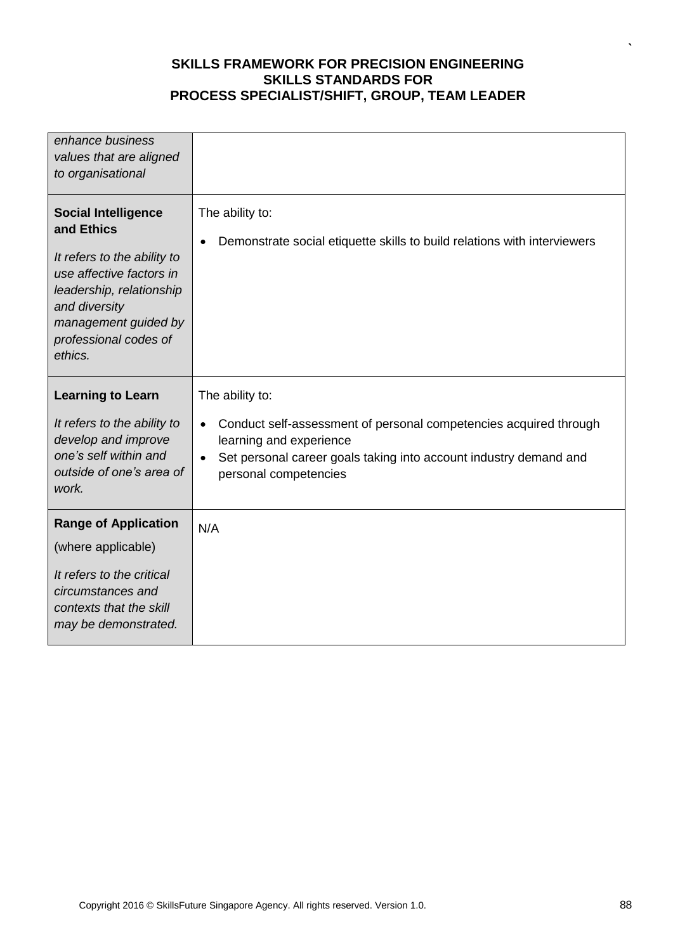| enhance business<br>values that are aligned<br>to organisational                                                                                                                                             |                                                                                                                                                                                                                            |
|--------------------------------------------------------------------------------------------------------------------------------------------------------------------------------------------------------------|----------------------------------------------------------------------------------------------------------------------------------------------------------------------------------------------------------------------------|
| <b>Social Intelligence</b><br>and Ethics<br>It refers to the ability to<br>use affective factors in<br>leadership, relationship<br>and diversity<br>management guided by<br>professional codes of<br>ethics. | The ability to:<br>Demonstrate social etiquette skills to build relations with interviewers                                                                                                                                |
| <b>Learning to Learn</b><br>It refers to the ability to<br>develop and improve<br>one's self within and<br>outside of one's area of<br>work.                                                                 | The ability to:<br>Conduct self-assessment of personal competencies acquired through<br>$\bullet$<br>learning and experience<br>Set personal career goals taking into account industry demand and<br>personal competencies |
| <b>Range of Application</b><br>(where applicable)<br>It refers to the critical<br>circumstances and<br>contexts that the skill<br>may be demonstrated.                                                       | N/A                                                                                                                                                                                                                        |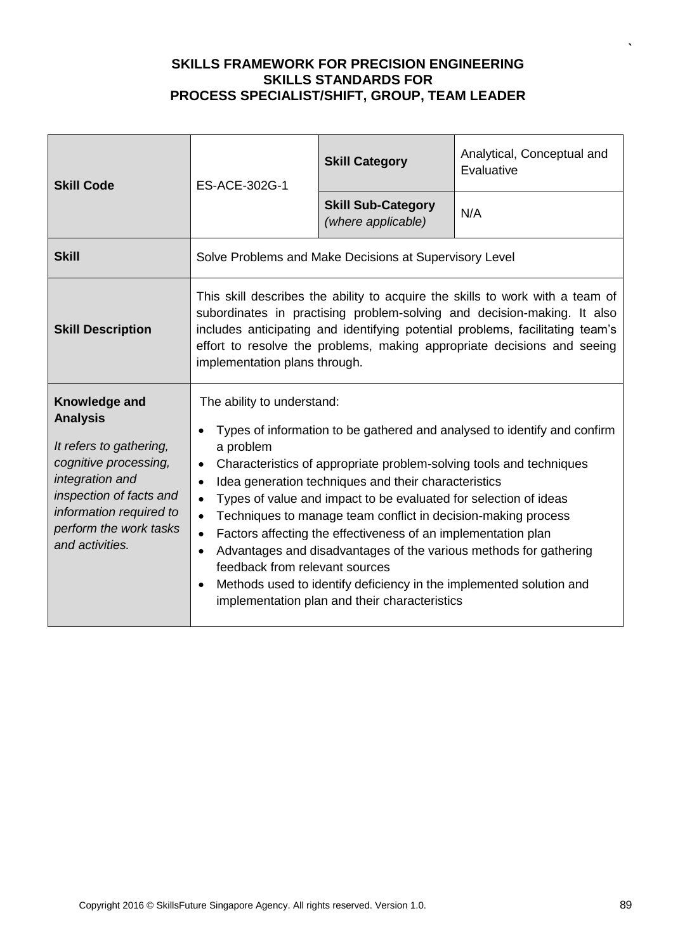| <b>Skill Code</b>                                                                                                                                                                                          | ES-ACE-302G-1                                                                                                                                                                                                                                                                                                                                                                                                                                                                                                                                                                                                                                                                                                                                                         | <b>Skill Category</b>                           | Analytical, Conceptual and<br>Evaluative |
|------------------------------------------------------------------------------------------------------------------------------------------------------------------------------------------------------------|-----------------------------------------------------------------------------------------------------------------------------------------------------------------------------------------------------------------------------------------------------------------------------------------------------------------------------------------------------------------------------------------------------------------------------------------------------------------------------------------------------------------------------------------------------------------------------------------------------------------------------------------------------------------------------------------------------------------------------------------------------------------------|-------------------------------------------------|------------------------------------------|
|                                                                                                                                                                                                            |                                                                                                                                                                                                                                                                                                                                                                                                                                                                                                                                                                                                                                                                                                                                                                       | <b>Skill Sub-Category</b><br>(where applicable) | N/A                                      |
| <b>Skill</b>                                                                                                                                                                                               | Solve Problems and Make Decisions at Supervisory Level                                                                                                                                                                                                                                                                                                                                                                                                                                                                                                                                                                                                                                                                                                                |                                                 |                                          |
| <b>Skill Description</b>                                                                                                                                                                                   | This skill describes the ability to acquire the skills to work with a team of<br>subordinates in practising problem-solving and decision-making. It also<br>includes anticipating and identifying potential problems, facilitating team's<br>effort to resolve the problems, making appropriate decisions and seeing<br>implementation plans through.                                                                                                                                                                                                                                                                                                                                                                                                                 |                                                 |                                          |
| Knowledge and<br><b>Analysis</b><br>It refers to gathering,<br>cognitive processing,<br>integration and<br>inspection of facts and<br>information required to<br>perform the work tasks<br>and activities. | The ability to understand:<br>Types of information to be gathered and analysed to identify and confirm<br>a problem<br>Characteristics of appropriate problem-solving tools and techniques<br>Idea generation techniques and their characteristics<br>$\bullet$<br>Types of value and impact to be evaluated for selection of ideas<br>$\bullet$<br>Techniques to manage team conflict in decision-making process<br>$\bullet$<br>Factors affecting the effectiveness of an implementation plan<br>$\bullet$<br>Advantages and disadvantages of the various methods for gathering<br>$\bullet$<br>feedback from relevant sources<br>Methods used to identify deficiency in the implemented solution and<br>$\bullet$<br>implementation plan and their characteristics |                                                 |                                          |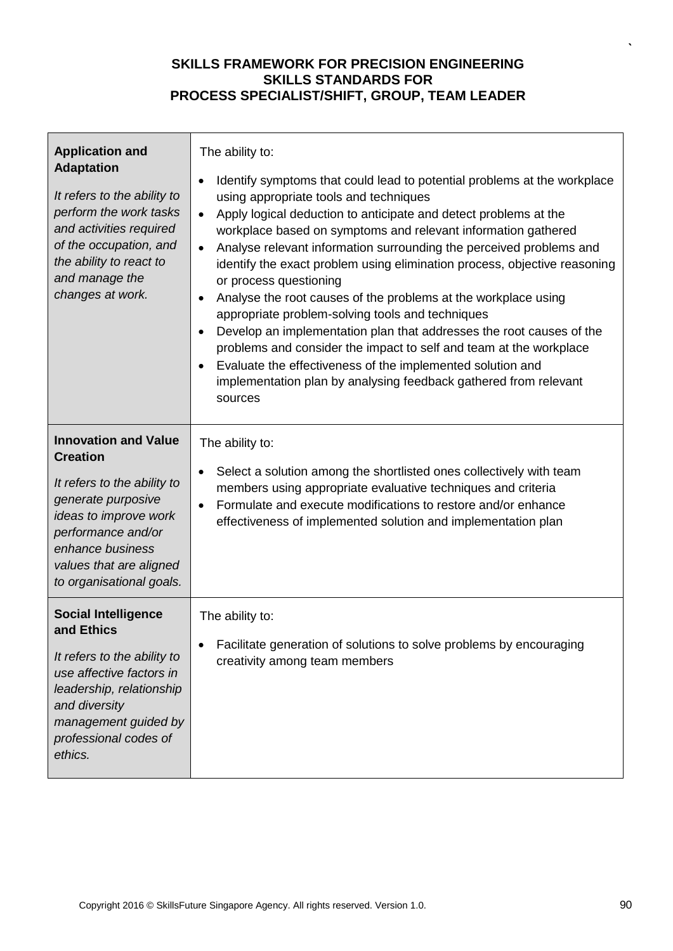| <b>Application and</b><br><b>Adaptation</b><br>It refers to the ability to<br>perform the work tasks<br>and activities required<br>of the occupation, and<br>the ability to react to<br>and manage the<br>changes at work.    | The ability to:<br>Identify symptoms that could lead to potential problems at the workplace<br>$\bullet$<br>using appropriate tools and techniques<br>Apply logical deduction to anticipate and detect problems at the<br>$\bullet$<br>workplace based on symptoms and relevant information gathered<br>Analyse relevant information surrounding the perceived problems and<br>$\bullet$<br>identify the exact problem using elimination process, objective reasoning<br>or process questioning<br>Analyse the root causes of the problems at the workplace using<br>appropriate problem-solving tools and techniques<br>Develop an implementation plan that addresses the root causes of the<br>problems and consider the impact to self and team at the workplace<br>Evaluate the effectiveness of the implemented solution and<br>implementation plan by analysing feedback gathered from relevant<br>sources |
|-------------------------------------------------------------------------------------------------------------------------------------------------------------------------------------------------------------------------------|------------------------------------------------------------------------------------------------------------------------------------------------------------------------------------------------------------------------------------------------------------------------------------------------------------------------------------------------------------------------------------------------------------------------------------------------------------------------------------------------------------------------------------------------------------------------------------------------------------------------------------------------------------------------------------------------------------------------------------------------------------------------------------------------------------------------------------------------------------------------------------------------------------------|
| <b>Innovation and Value</b><br><b>Creation</b><br>It refers to the ability to<br>generate purposive<br>ideas to improve work<br>performance and/or<br>enhance business<br>values that are aligned<br>to organisational goals. | The ability to:<br>Select a solution among the shortlisted ones collectively with team<br>$\bullet$<br>members using appropriate evaluative techniques and criteria<br>Formulate and execute modifications to restore and/or enhance<br>$\bullet$<br>effectiveness of implemented solution and implementation plan                                                                                                                                                                                                                                                                                                                                                                                                                                                                                                                                                                                               |
| <b>Social Intelligence</b><br>and Ethics<br>It refers to the ability to<br>use affective factors in<br>leadership, relationship<br>and diversity<br>management guided by<br>professional codes of<br>ethics.                  | The ability to:<br>Facilitate generation of solutions to solve problems by encouraging<br>creativity among team members                                                                                                                                                                                                                                                                                                                                                                                                                                                                                                                                                                                                                                                                                                                                                                                          |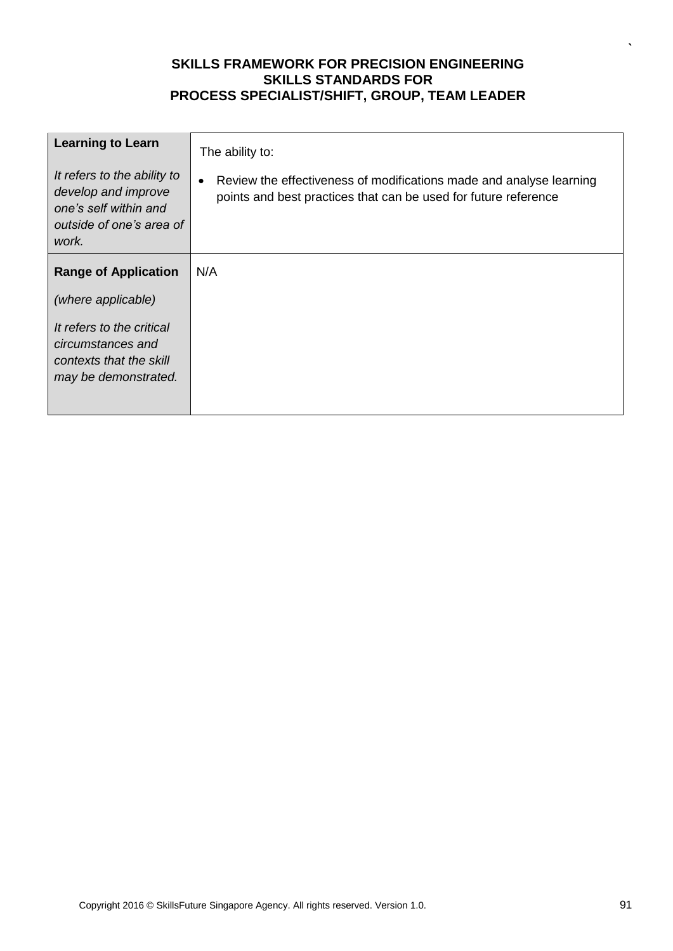| <b>Learning to Learn</b>                                                                                         | The ability to:                                                                                                                        |
|------------------------------------------------------------------------------------------------------------------|----------------------------------------------------------------------------------------------------------------------------------------|
| It refers to the ability to<br>develop and improve<br>one's self within and<br>outside of one's area of<br>work. | Review the effectiveness of modifications made and analyse learning<br>points and best practices that can be used for future reference |
| <b>Range of Application</b>                                                                                      | N/A                                                                                                                                    |
| (where applicable)                                                                                               |                                                                                                                                        |
| It refers to the critical<br>circumstances and<br>contexts that the skill<br>may be demonstrated.                |                                                                                                                                        |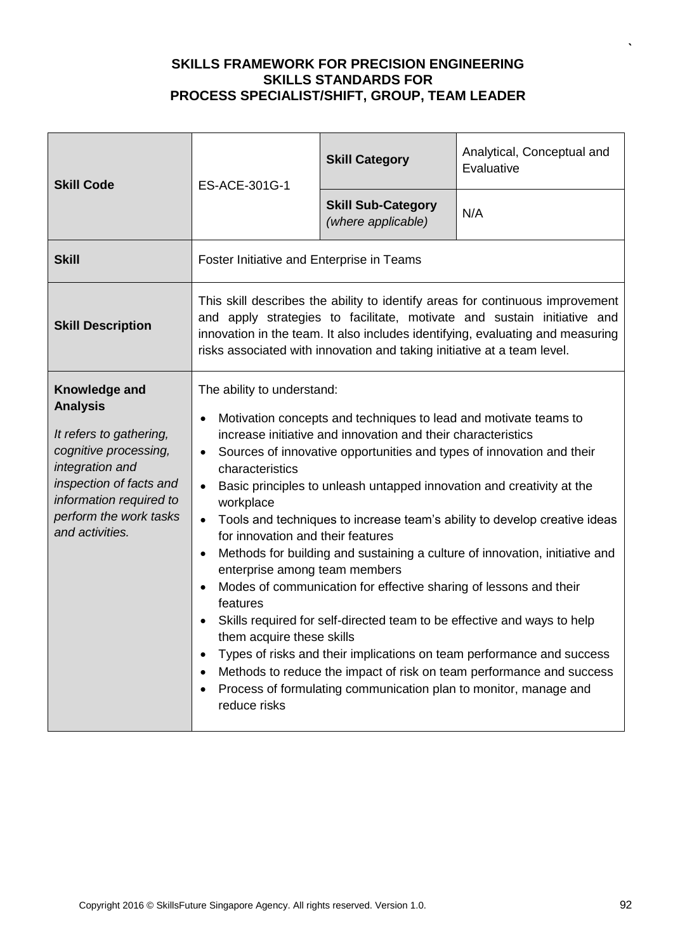| <b>Skill Code</b>                                                                                                                                                                                          | ES-ACE-301G-1                                                                                                                                                                                                                                                                                                                                                                                                                                                                                                                                                                                                                                                                                                                                                                                                                                                                                                                                                                                                                                           | <b>Skill Category</b>                           | Analytical, Conceptual and<br>Evaluative |
|------------------------------------------------------------------------------------------------------------------------------------------------------------------------------------------------------------|---------------------------------------------------------------------------------------------------------------------------------------------------------------------------------------------------------------------------------------------------------------------------------------------------------------------------------------------------------------------------------------------------------------------------------------------------------------------------------------------------------------------------------------------------------------------------------------------------------------------------------------------------------------------------------------------------------------------------------------------------------------------------------------------------------------------------------------------------------------------------------------------------------------------------------------------------------------------------------------------------------------------------------------------------------|-------------------------------------------------|------------------------------------------|
|                                                                                                                                                                                                            |                                                                                                                                                                                                                                                                                                                                                                                                                                                                                                                                                                                                                                                                                                                                                                                                                                                                                                                                                                                                                                                         | <b>Skill Sub-Category</b><br>(where applicable) | N/A                                      |
| <b>Skill</b>                                                                                                                                                                                               | Foster Initiative and Enterprise in Teams                                                                                                                                                                                                                                                                                                                                                                                                                                                                                                                                                                                                                                                                                                                                                                                                                                                                                                                                                                                                               |                                                 |                                          |
| <b>Skill Description</b>                                                                                                                                                                                   | This skill describes the ability to identify areas for continuous improvement<br>and apply strategies to facilitate, motivate and sustain initiative and<br>innovation in the team. It also includes identifying, evaluating and measuring<br>risks associated with innovation and taking initiative at a team level.                                                                                                                                                                                                                                                                                                                                                                                                                                                                                                                                                                                                                                                                                                                                   |                                                 |                                          |
| Knowledge and<br><b>Analysis</b><br>It refers to gathering,<br>cognitive processing,<br>integration and<br>inspection of facts and<br>information required to<br>perform the work tasks<br>and activities. | The ability to understand:<br>Motivation concepts and techniques to lead and motivate teams to<br>increase initiative and innovation and their characteristics<br>Sources of innovative opportunities and types of innovation and their<br>characteristics<br>Basic principles to unleash untapped innovation and creativity at the<br>$\bullet$<br>workplace<br>Tools and techniques to increase team's ability to develop creative ideas<br>$\bullet$<br>for innovation and their features<br>Methods for building and sustaining a culture of innovation, initiative and<br>$\bullet$<br>enterprise among team members<br>Modes of communication for effective sharing of lessons and their<br>features<br>Skills required for self-directed team to be effective and ways to help<br>them acquire these skills<br>Types of risks and their implications on team performance and success<br>Methods to reduce the impact of risk on team performance and success<br>Process of formulating communication plan to monitor, manage and<br>reduce risks |                                                 |                                          |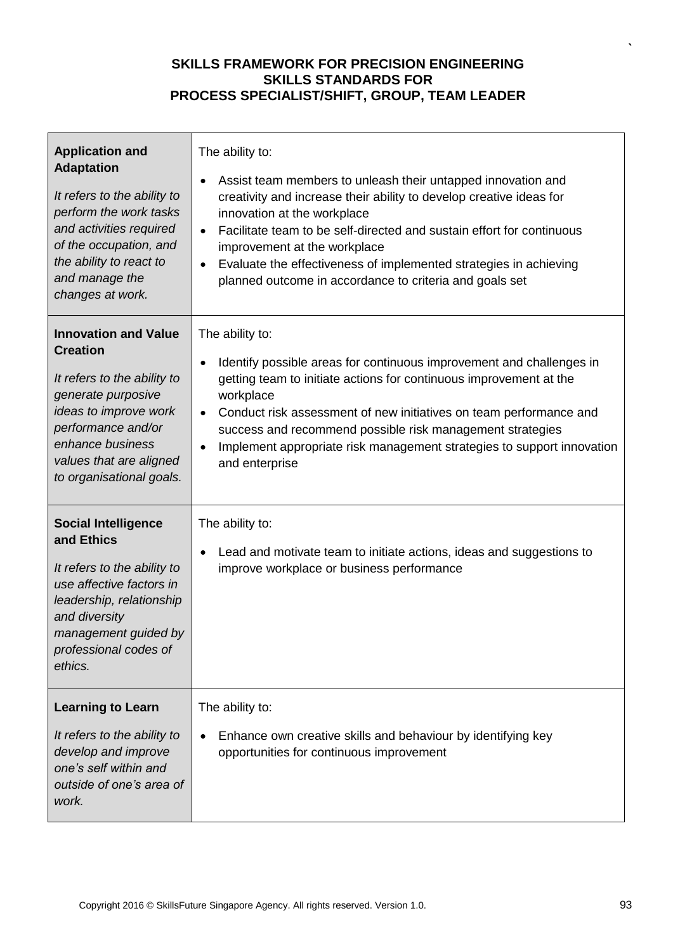| <b>Application and</b><br><b>Adaptation</b><br>It refers to the ability to<br>perform the work tasks<br>and activities required<br>of the occupation, and<br>the ability to react to<br>and manage the<br>changes at work.    | The ability to:<br>Assist team members to unleash their untapped innovation and<br>$\bullet$<br>creativity and increase their ability to develop creative ideas for<br>innovation at the workplace<br>Facilitate team to be self-directed and sustain effort for continuous<br>improvement at the workplace<br>Evaluate the effectiveness of implemented strategies in achieving<br>$\bullet$<br>planned outcome in accordance to criteria and goals set |
|-------------------------------------------------------------------------------------------------------------------------------------------------------------------------------------------------------------------------------|----------------------------------------------------------------------------------------------------------------------------------------------------------------------------------------------------------------------------------------------------------------------------------------------------------------------------------------------------------------------------------------------------------------------------------------------------------|
| <b>Innovation and Value</b><br><b>Creation</b><br>It refers to the ability to<br>generate purposive<br>ideas to improve work<br>performance and/or<br>enhance business<br>values that are aligned<br>to organisational goals. | The ability to:<br>Identify possible areas for continuous improvement and challenges in<br>$\bullet$<br>getting team to initiate actions for continuous improvement at the<br>workplace<br>Conduct risk assessment of new initiatives on team performance and<br>success and recommend possible risk management strategies<br>Implement appropriate risk management strategies to support innovation<br>and enterprise                                   |
| <b>Social Intelligence</b><br>and Ethics<br>It refers to the ability to<br>use affective factors in<br>leadership, relationship<br>and diversity<br>management guided by<br>professional codes of<br>ethics.                  | The ability to:<br>Lead and motivate team to initiate actions, ideas and suggestions to<br>$\bullet$<br>improve workplace or business performance                                                                                                                                                                                                                                                                                                        |
| <b>Learning to Learn</b><br>It refers to the ability to<br>develop and improve<br>one's self within and<br>outside of one's area of<br>work.                                                                                  | The ability to:<br>Enhance own creative skills and behaviour by identifying key<br>opportunities for continuous improvement                                                                                                                                                                                                                                                                                                                              |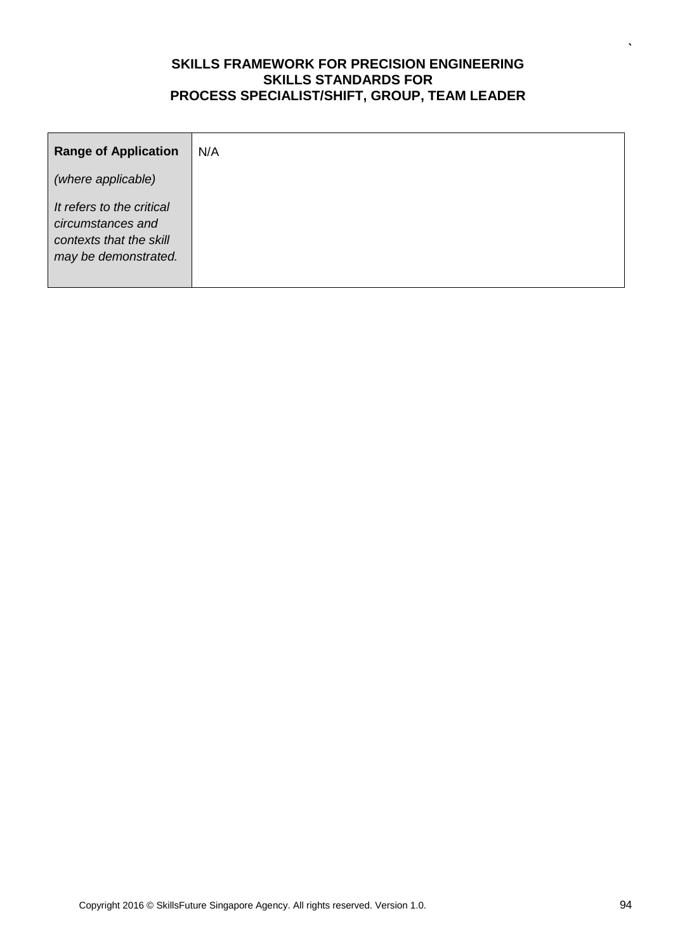| <b>Range of Application</b>                                                                       | N/A |
|---------------------------------------------------------------------------------------------------|-----|
| (where applicable)                                                                                |     |
| It refers to the critical<br>circumstances and<br>contexts that the skill<br>may be demonstrated. |     |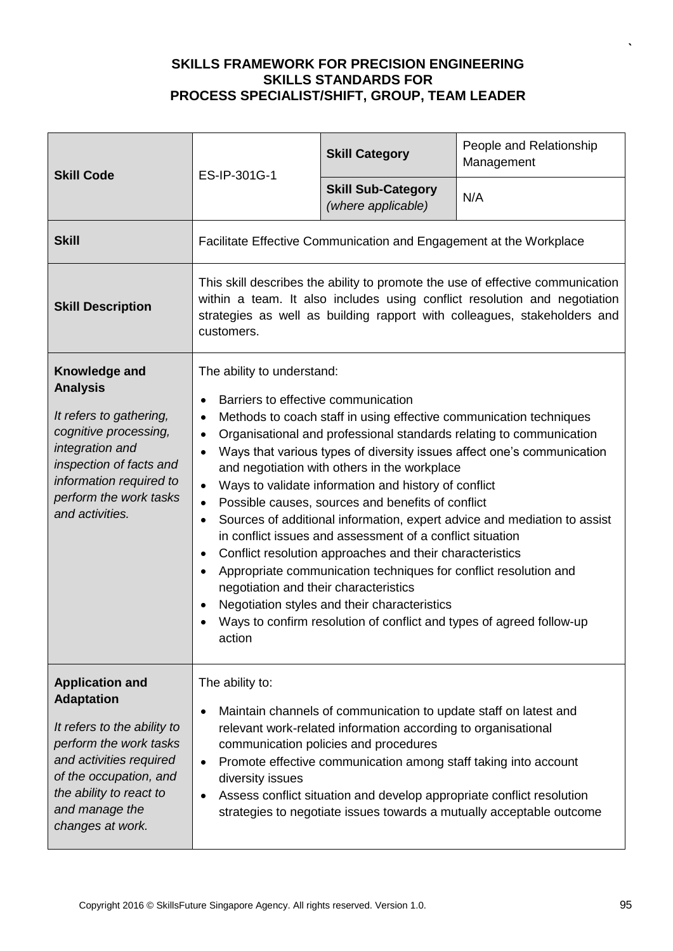| <b>Skill Code</b>                                                                                                                                                                                                          | ES-IP-301G-1                                                                                                                                                                                                                                                                                                                                                                                                                                                                                                                                                                                                                                                                                                                                                                                                                                                                                                                                                                                                      | <b>Skill Category</b>                                              | People and Relationship<br>Management |
|----------------------------------------------------------------------------------------------------------------------------------------------------------------------------------------------------------------------------|-------------------------------------------------------------------------------------------------------------------------------------------------------------------------------------------------------------------------------------------------------------------------------------------------------------------------------------------------------------------------------------------------------------------------------------------------------------------------------------------------------------------------------------------------------------------------------------------------------------------------------------------------------------------------------------------------------------------------------------------------------------------------------------------------------------------------------------------------------------------------------------------------------------------------------------------------------------------------------------------------------------------|--------------------------------------------------------------------|---------------------------------------|
|                                                                                                                                                                                                                            |                                                                                                                                                                                                                                                                                                                                                                                                                                                                                                                                                                                                                                                                                                                                                                                                                                                                                                                                                                                                                   | <b>Skill Sub-Category</b><br>(where applicable)                    | N/A                                   |
| <b>Skill</b>                                                                                                                                                                                                               |                                                                                                                                                                                                                                                                                                                                                                                                                                                                                                                                                                                                                                                                                                                                                                                                                                                                                                                                                                                                                   | Facilitate Effective Communication and Engagement at the Workplace |                                       |
| <b>Skill Description</b>                                                                                                                                                                                                   | This skill describes the ability to promote the use of effective communication<br>within a team. It also includes using conflict resolution and negotiation<br>strategies as well as building rapport with colleagues, stakeholders and<br>customers.                                                                                                                                                                                                                                                                                                                                                                                                                                                                                                                                                                                                                                                                                                                                                             |                                                                    |                                       |
| Knowledge and<br><b>Analysis</b><br>It refers to gathering,<br>cognitive processing,<br>integration and<br>inspection of facts and<br>information required to<br>perform the work tasks<br>and activities.                 | The ability to understand:<br>Barriers to effective communication<br>$\bullet$<br>Methods to coach staff in using effective communication techniques<br>$\bullet$<br>Organisational and professional standards relating to communication<br>$\bullet$<br>Ways that various types of diversity issues affect one's communication<br>and negotiation with others in the workplace<br>Ways to validate information and history of conflict<br>$\bullet$<br>Possible causes, sources and benefits of conflict<br>$\bullet$<br>Sources of additional information, expert advice and mediation to assist<br>$\bullet$<br>in conflict issues and assessment of a conflict situation<br>Conflict resolution approaches and their characteristics<br>$\bullet$<br>Appropriate communication techniques for conflict resolution and<br>$\bullet$<br>negotiation and their characteristics<br>Negotiation styles and their characteristics<br>Ways to confirm resolution of conflict and types of agreed follow-up<br>action |                                                                    |                                       |
| <b>Application and</b><br><b>Adaptation</b><br>It refers to the ability to<br>perform the work tasks<br>and activities required<br>of the occupation, and<br>the ability to react to<br>and manage the<br>changes at work. | The ability to:<br>Maintain channels of communication to update staff on latest and<br>٠<br>relevant work-related information according to organisational<br>communication policies and procedures<br>Promote effective communication among staff taking into account<br>diversity issues<br>Assess conflict situation and develop appropriate conflict resolution<br>strategies to negotiate issues towards a mutually acceptable outcome                                                                                                                                                                                                                                                                                                                                                                                                                                                                                                                                                                        |                                                                    |                                       |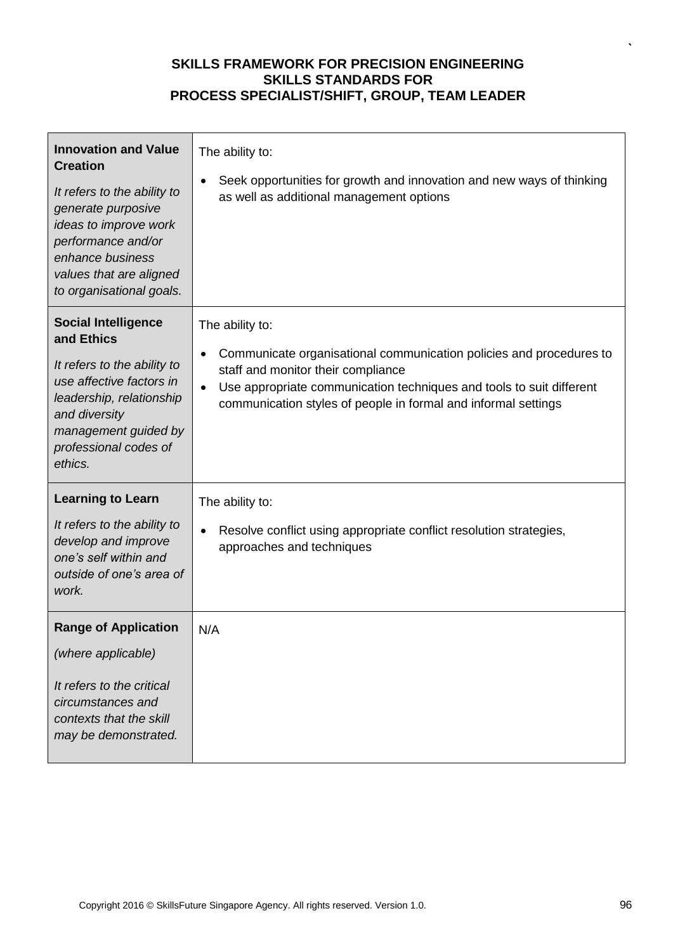| <b>Innovation and Value</b><br><b>Creation</b><br>It refers to the ability to<br>generate purposive<br>ideas to improve work<br>performance and/or<br>enhance business<br>values that are aligned<br>to organisational goals. | The ability to:<br>Seek opportunities for growth and innovation and new ways of thinking<br>$\bullet$<br>as well as additional management options                                                                                                                                                |
|-------------------------------------------------------------------------------------------------------------------------------------------------------------------------------------------------------------------------------|--------------------------------------------------------------------------------------------------------------------------------------------------------------------------------------------------------------------------------------------------------------------------------------------------|
| <b>Social Intelligence</b><br>and Ethics<br>It refers to the ability to<br>use affective factors in<br>leadership, relationship<br>and diversity<br>management guided by<br>professional codes of<br>ethics.                  | The ability to:<br>Communicate organisational communication policies and procedures to<br>$\bullet$<br>staff and monitor their compliance<br>Use appropriate communication techniques and tools to suit different<br>$\bullet$<br>communication styles of people in formal and informal settings |
| <b>Learning to Learn</b><br>It refers to the ability to<br>develop and improve<br>one's self within and<br>outside of one's area of<br>work.                                                                                  | The ability to:<br>Resolve conflict using appropriate conflict resolution strategies,<br>$\bullet$<br>approaches and techniques                                                                                                                                                                  |
| <b>Range of Application</b><br>(where applicable)<br>It refers to the critical<br>circumstances and<br>contexts that the skill<br>may be demonstrated.                                                                        | N/A                                                                                                                                                                                                                                                                                              |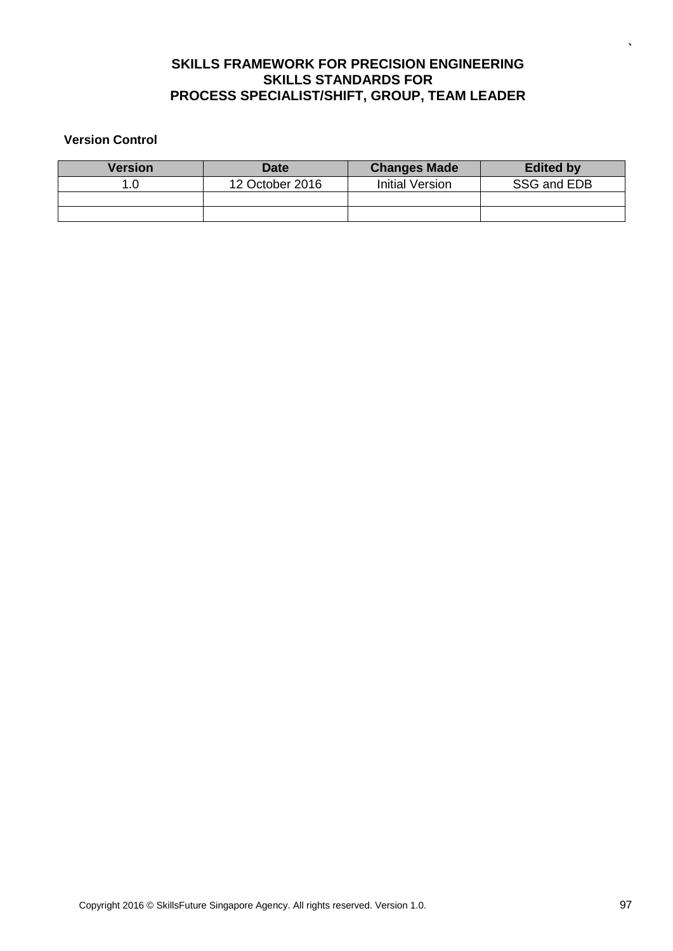#### **Version Control**

| Version | <b>Date</b>     | <b>Changes Made</b> | <b>Edited by</b> |
|---------|-----------------|---------------------|------------------|
|         | 12 October 2016 | Initial Version     | SSG and EDB      |
|         |                 |                     |                  |
|         |                 |                     |                  |